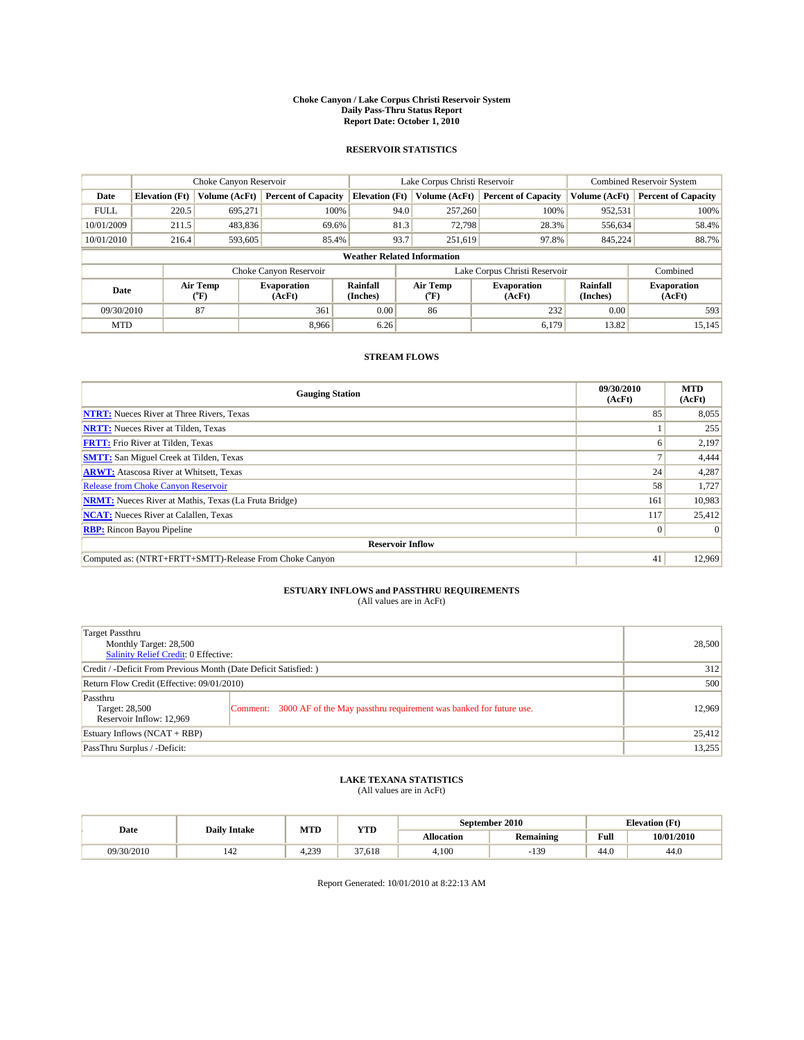#### **Choke Canyon / Lake Corpus Christi Reservoir System Daily Pass-Thru Status Report Report Date: October 1, 2010**

## **RESERVOIR STATISTICS**

|             | Choke Canyon Reservoir             |                                           |                              |                       | Lake Corpus Christi Reservoir | <b>Combined Reservoir System</b> |                             |                              |  |  |
|-------------|------------------------------------|-------------------------------------------|------------------------------|-----------------------|-------------------------------|----------------------------------|-----------------------------|------------------------------|--|--|
| Date        | <b>Elevation</b> (Ft)              | Volume (AcFt)                             | <b>Percent of Capacity</b>   | <b>Elevation</b> (Ft) | Volume (AcFt)                 | <b>Percent of Capacity</b>       | Volume (AcFt)               | <b>Percent of Capacity</b>   |  |  |
| <b>FULL</b> | 220.5                              | 695,271                                   | 100%                         | 94.0                  | 257,260                       | 100%                             | 952,531                     | 100%                         |  |  |
| 10/01/2009  | 211.5                              | 483,836                                   | 69.6%                        | 81.3                  | 72,798                        | 28.3%                            | 556,634                     | 58.4%                        |  |  |
| 10/01/2010  | 216.4                              | 593,605                                   | 85.4%                        | 93.7                  | 251,619                       | 97.8%                            | 845,224                     | 88.7%                        |  |  |
|             | <b>Weather Related Information</b> |                                           |                              |                       |                               |                                  |                             |                              |  |  |
|             |                                    |                                           | Choke Canyon Reservoir       |                       | Lake Corpus Christi Reservoir |                                  |                             | Combined                     |  |  |
| Date        |                                    | Air Temp<br>$({}^{\mathrm{o}}\mathrm{F})$ | <b>Evaporation</b><br>(AcFt) | Rainfall<br>(Inches)  | Air Temp<br>("F)              | <b>Evaporation</b><br>(AcFt)     | <b>Rainfall</b><br>(Inches) | <b>Evaporation</b><br>(AcFt) |  |  |
| 09/30/2010  |                                    | 87                                        | 361                          | 0.00                  | 86                            | 232                              | 0.00                        | 593                          |  |  |
| <b>MTD</b>  |                                    |                                           | 8.966                        | 6.26                  |                               | 6.179                            | 13.82                       | 15,145                       |  |  |

## **STREAM FLOWS**

| <b>Gauging Station</b>                                       | 09/30/2010<br>(AcFt) | <b>MTD</b><br>(AcFt) |
|--------------------------------------------------------------|----------------------|----------------------|
| <b>NTRT:</b> Nueces River at Three Rivers, Texas             | 85                   | 8,055                |
| <b>NRTT:</b> Nueces River at Tilden, Texas                   |                      | 255                  |
| <b>FRTT:</b> Frio River at Tilden, Texas                     | h                    | 2,197                |
| <b>SMTT:</b> San Miguel Creek at Tilden, Texas               |                      | 4,444                |
| <b>ARWT:</b> Atascosa River at Whitsett, Texas               | 24                   | 4,287                |
| <b>Release from Choke Canyon Reservoir</b>                   | 58                   | 1,727                |
| <b>NRMT:</b> Nueces River at Mathis, Texas (La Fruta Bridge) | 161                  | 10,983               |
| <b>NCAT:</b> Nueces River at Calallen, Texas                 | 117                  | 25,412               |
| <b>RBP:</b> Rincon Bayou Pipeline                            | $\overline{0}$       | $\Omega$             |
| <b>Reservoir Inflow</b>                                      |                      |                      |
| Computed as: (NTRT+FRTT+SMTT)-Release From Choke Canyon      | 41                   | 12,969               |

# **ESTUARY INFLOWS and PASSTHRU REQUIREMENTS**<br>(All values are in AcFt)

| Target Passthru<br>Monthly Target: 28,500<br>Salinity Relief Credit: 0 Effective: |                                                                             | 28,500 |
|-----------------------------------------------------------------------------------|-----------------------------------------------------------------------------|--------|
| Credit / -Deficit From Previous Month (Date Deficit Satisfied: )                  | 312                                                                         |        |
| Return Flow Credit (Effective: 09/01/2010)                                        | 500                                                                         |        |
| Passthru<br>Target: 28,500<br>Reservoir Inflow: 12,969                            | Comment: 3000 AF of the May passthru requirement was banked for future use. | 12.969 |
| Estuary Inflows $(NCAT + RBP)$                                                    |                                                                             | 25,412 |
| PassThru Surplus / -Deficit:                                                      |                                                                             | 13,255 |

# **LAKE TEXANA STATISTICS** (All values are in AcFt)

|            | <b>Daily Intake</b> | MTD        | YTD          | September 2010<br><b>Elevation</b> (Ft) |                  |      |            |
|------------|---------------------|------------|--------------|-----------------------------------------|------------------|------|------------|
| Date       |                     |            |              | Allocation                              | <b>Remaining</b> | Full | 10/01/2010 |
| 09/30/2010 | 142                 | 239<br>ر _ | 27<br>37.618 | 4.100                                   | $-13o$           | 44.0 | 44.0       |

Report Generated: 10/01/2010 at 8:22:13 AM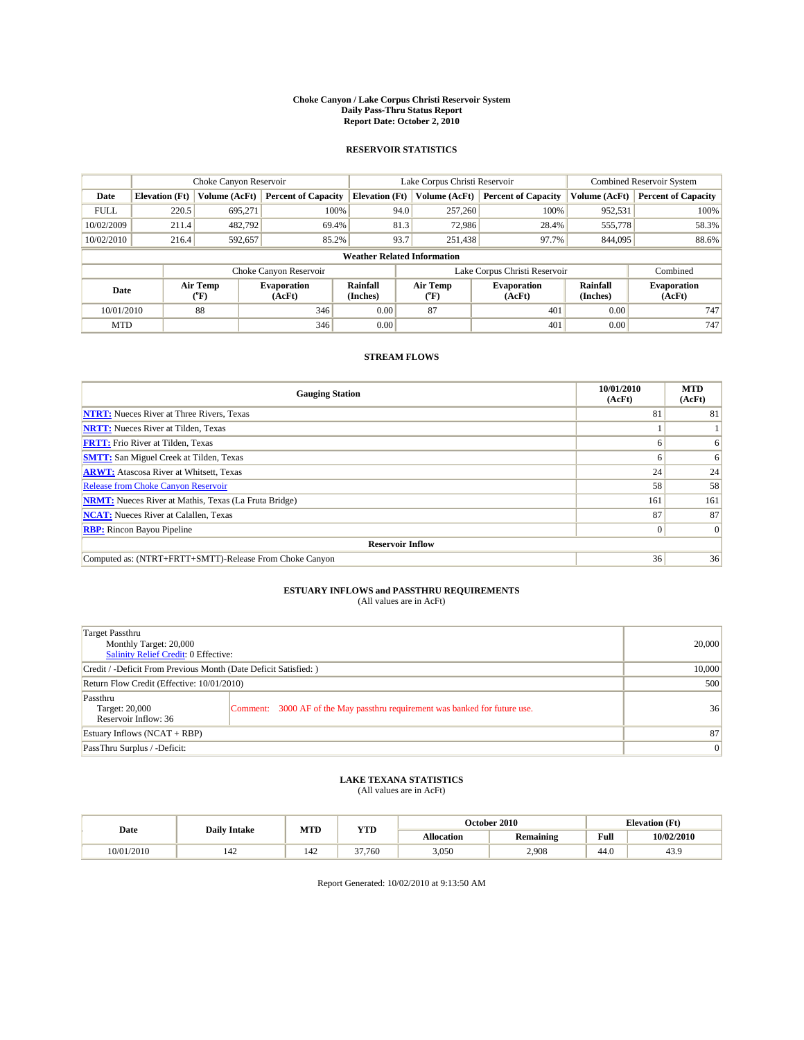#### **Choke Canyon / Lake Corpus Christi Reservoir System Daily Pass-Thru Status Report Report Date: October 2, 2010**

## **RESERVOIR STATISTICS**

|             | Choke Canyon Reservoir             |                  |                              |                       | Lake Corpus Christi Reservoir |                               |                      | <b>Combined Reservoir System</b> |  |  |
|-------------|------------------------------------|------------------|------------------------------|-----------------------|-------------------------------|-------------------------------|----------------------|----------------------------------|--|--|
| Date        | <b>Elevation</b> (Ft)              | Volume (AcFt)    | <b>Percent of Capacity</b>   | <b>Elevation</b> (Ft) | Volume (AcFt)                 | <b>Percent of Capacity</b>    | Volume (AcFt)        | <b>Percent of Capacity</b>       |  |  |
| <b>FULL</b> | 220.5                              | 695,271          | 100%                         | 94.0                  | 257,260                       | 100%                          | 952,531              | 100%                             |  |  |
| 10/02/2009  | 211.4                              | 482,792          | 69.4%                        | 81.3                  | 72,986                        | 28.4%                         | 555,778              | 58.3%                            |  |  |
| 10/02/2010  | 216.4                              | 592,657          | 85.2%                        | 93.7                  | 251,438                       | 97.7%                         | 844,095              | 88.6%                            |  |  |
|             | <b>Weather Related Information</b> |                  |                              |                       |                               |                               |                      |                                  |  |  |
|             |                                    |                  | Choke Canyon Reservoir       |                       |                               | Lake Corpus Christi Reservoir |                      | Combined                         |  |  |
| Date        |                                    | Air Temp<br>(°F) | <b>Evaporation</b><br>(AcFt) | Rainfall<br>(Inches)  | Air Temp<br>(°F)              | <b>Evaporation</b><br>(AcFt)  | Rainfall<br>(Inches) | <b>Evaporation</b><br>(AcFt)     |  |  |
| 10/01/2010  |                                    | 88               | 346                          | 0.00                  | 87                            | 401                           | 0.00                 | 747                              |  |  |
| <b>MTD</b>  |                                    |                  | 346                          | 0.00                  |                               | 401                           | 0.00                 | 747                              |  |  |

## **STREAM FLOWS**

| <b>Gauging Station</b>                                       | 10/01/2010<br>(AcFt) | <b>MTD</b><br>(AcFt) |
|--------------------------------------------------------------|----------------------|----------------------|
| <b>NTRT:</b> Nueces River at Three Rivers, Texas             | 81                   | 81                   |
| <b>NRTT:</b> Nueces River at Tilden, Texas                   |                      |                      |
| <b>FRTT:</b> Frio River at Tilden, Texas                     | h                    | 6                    |
| <b>SMTT:</b> San Miguel Creek at Tilden, Texas               |                      | 6                    |
| <b>ARWT:</b> Atascosa River at Whitsett, Texas               | 24                   | 24                   |
| Release from Choke Canyon Reservoir                          | 58                   | 58                   |
| <b>NRMT:</b> Nueces River at Mathis, Texas (La Fruta Bridge) | 161                  | 161                  |
| <b>NCAT:</b> Nueces River at Calallen, Texas                 | 87                   | 87                   |
| <b>RBP:</b> Rincon Bayou Pipeline                            | $\Omega$             | $\Omega$             |
| <b>Reservoir Inflow</b>                                      |                      |                      |
| Computed as: (NTRT+FRTT+SMTT)-Release From Choke Canyon      | 36                   | 36                   |

# **ESTUARY INFLOWS and PASSTHRU REQUIREMENTS**<br>(All values are in AcFt)

| Target Passthru<br>Monthly Target: 20,000<br>Salinity Relief Credit: 0 Effective: |                                                                             | 20,000          |
|-----------------------------------------------------------------------------------|-----------------------------------------------------------------------------|-----------------|
| Credit / -Deficit From Previous Month (Date Deficit Satisfied: )                  | 10,000                                                                      |                 |
| Return Flow Credit (Effective: 10/01/2010)                                        | 500                                                                         |                 |
| Passthru<br>Target: 20,000<br>Reservoir Inflow: 36                                | Comment: 3000 AF of the May passthru requirement was banked for future use. | 36              |
| Estuary Inflows $(NCAT + RBP)$                                                    |                                                                             | 87              |
| PassThru Surplus / -Deficit:                                                      |                                                                             | $\vert 0 \vert$ |

# **LAKE TEXANA STATISTICS** (All values are in AcFt)

|            | <b>Daily Intake</b> | MTD | <b>YTD</b> | October 2010<br><b>Elevation</b> (Ft) |                  |      |            |
|------------|---------------------|-----|------------|---------------------------------------|------------------|------|------------|
| Date       |                     |     |            | Allocation                            | <b>Remaining</b> | Full | 10/02/2010 |
| 10/01/2010 | 142                 | 142 | 37,760     | 3.050                                 | 2.908            | 44.0 | 43.9       |

Report Generated: 10/02/2010 at 9:13:50 AM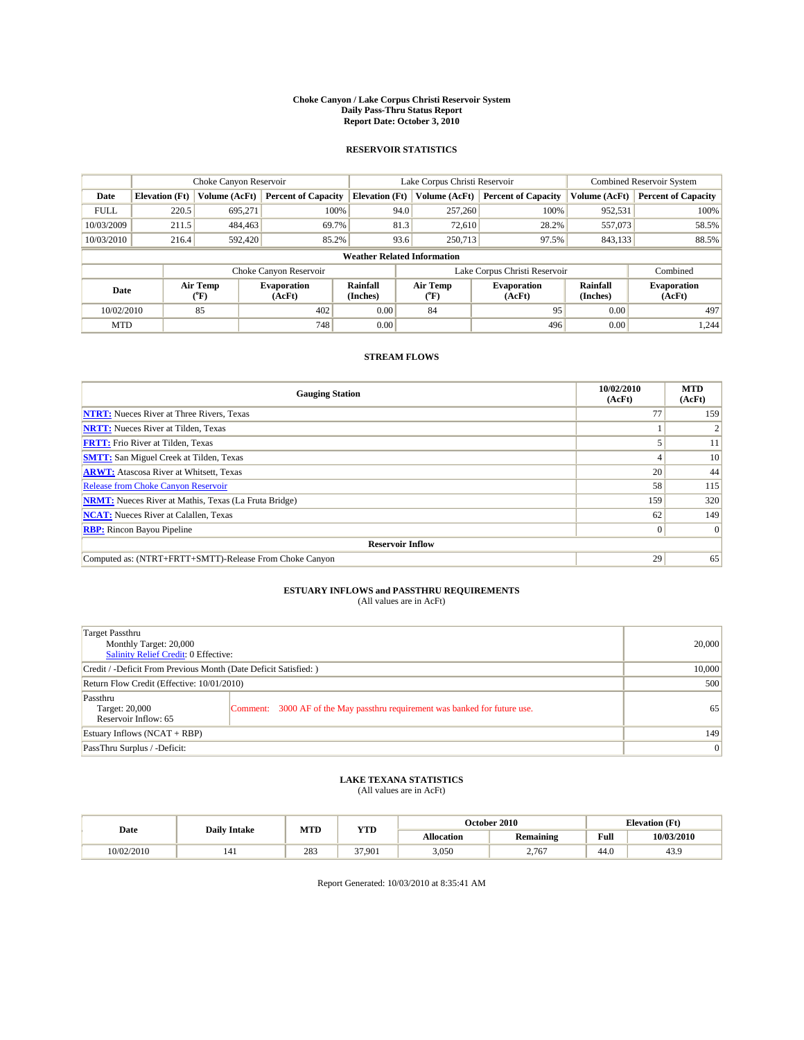#### **Choke Canyon / Lake Corpus Christi Reservoir System Daily Pass-Thru Status Report Report Date: October 3, 2010**

## **RESERVOIR STATISTICS**

|             | Choke Canyon Reservoir             |                  |                              |                       | Lake Corpus Christi Reservoir |                              |                      | <b>Combined Reservoir System</b> |  |  |
|-------------|------------------------------------|------------------|------------------------------|-----------------------|-------------------------------|------------------------------|----------------------|----------------------------------|--|--|
| Date        | <b>Elevation</b> (Ft)              | Volume (AcFt)    | <b>Percent of Capacity</b>   | <b>Elevation</b> (Ft) | Volume (AcFt)                 | <b>Percent of Capacity</b>   | Volume (AcFt)        | <b>Percent of Capacity</b>       |  |  |
| <b>FULL</b> | 220.5                              | 695,271          | 100%                         | 94.0                  | 257,260                       | 100%                         | 952,531              | 100%                             |  |  |
| 10/03/2009  | 211.5                              | 484,463          | 69.7%                        | 81.3                  | 72,610                        | 28.2%                        | 557,073              | 58.5%                            |  |  |
| 10/03/2010  | 216.4                              | 592,420          | 85.2%                        | 93.6                  | 250,713                       | 97.5%                        | 843,133              | 88.5%                            |  |  |
|             | <b>Weather Related Information</b> |                  |                              |                       |                               |                              |                      |                                  |  |  |
|             |                                    |                  | Choke Canyon Reservoir       |                       | Lake Corpus Christi Reservoir |                              |                      | Combined                         |  |  |
| Date        |                                    | Air Temp<br>(°F) | <b>Evaporation</b><br>(AcFt) | Rainfall<br>(Inches)  | Air Temp<br>(°F)              | <b>Evaporation</b><br>(AcFt) | Rainfall<br>(Inches) | <b>Evaporation</b><br>(AcFt)     |  |  |
| 10/02/2010  |                                    | 85               | 402                          | 0.00                  | 84                            | 95                           | 0.00                 | 497                              |  |  |
| <b>MTD</b>  |                                    |                  | 748                          | 0.00                  |                               | 496                          | 0.00                 | 1,244                            |  |  |

## **STREAM FLOWS**

| <b>Gauging Station</b>                                       | 10/02/2010<br>(AcFt) | <b>MTD</b><br>(AcFt) |
|--------------------------------------------------------------|----------------------|----------------------|
| <b>NTRT:</b> Nueces River at Three Rivers, Texas             | 77                   | 159                  |
| <b>NRTT:</b> Nueces River at Tilden, Texas                   |                      |                      |
| <b>FRTT:</b> Frio River at Tilden, Texas                     |                      | 11                   |
| <b>SMTT:</b> San Miguel Creek at Tilden, Texas               |                      | 10                   |
| <b>ARWT:</b> Atascosa River at Whitsett, Texas               | 20                   | 44                   |
| <b>Release from Choke Canyon Reservoir</b>                   | 58                   | 115                  |
| <b>NRMT:</b> Nueces River at Mathis, Texas (La Fruta Bridge) | 159                  | 320                  |
| <b>NCAT:</b> Nueces River at Calallen, Texas                 | 62                   | 149                  |
| <b>RBP:</b> Rincon Bayou Pipeline                            | $\vert 0 \vert$      | $\Omega$             |
| <b>Reservoir Inflow</b>                                      |                      |                      |
| Computed as: (NTRT+FRTT+SMTT)-Release From Choke Canyon      | 29                   | 65                   |

# **ESTUARY INFLOWS and PASSTHRU REQUIREMENTS**<br>(All values are in AcFt)

| Target Passthru<br>Monthly Target: 20,000<br>Salinity Relief Credit: 0 Effective: |                                                                             | 20,000 |
|-----------------------------------------------------------------------------------|-----------------------------------------------------------------------------|--------|
| Credit / -Deficit From Previous Month (Date Deficit Satisfied: )                  | 10,000                                                                      |        |
| Return Flow Credit (Effective: 10/01/2010)                                        | 500                                                                         |        |
| Passthru<br>Target: 20,000<br>Reservoir Inflow: 65                                | Comment: 3000 AF of the May passthru requirement was banked for future use. | 65     |
| Estuary Inflows (NCAT + RBP)                                                      | 149                                                                         |        |
| PassThru Surplus / -Deficit:                                                      | 0                                                                           |        |

# **LAKE TEXANA STATISTICS** (All values are in AcFt)

|            | <b>Daily Intake</b> | MTD | <b>YTD</b> | October 2010<br><b>Elevation</b> (Ft) |           |             |            |
|------------|---------------------|-----|------------|---------------------------------------|-----------|-------------|------------|
| Date       |                     |     |            | Allocation                            | Remaining | <b>Full</b> | 10/03/2010 |
| 10/02/2010 | 141                 | 283 | 37.901     | 3,050                                 | 2.767     | 44.0        | 43.9       |

Report Generated: 10/03/2010 at 8:35:41 AM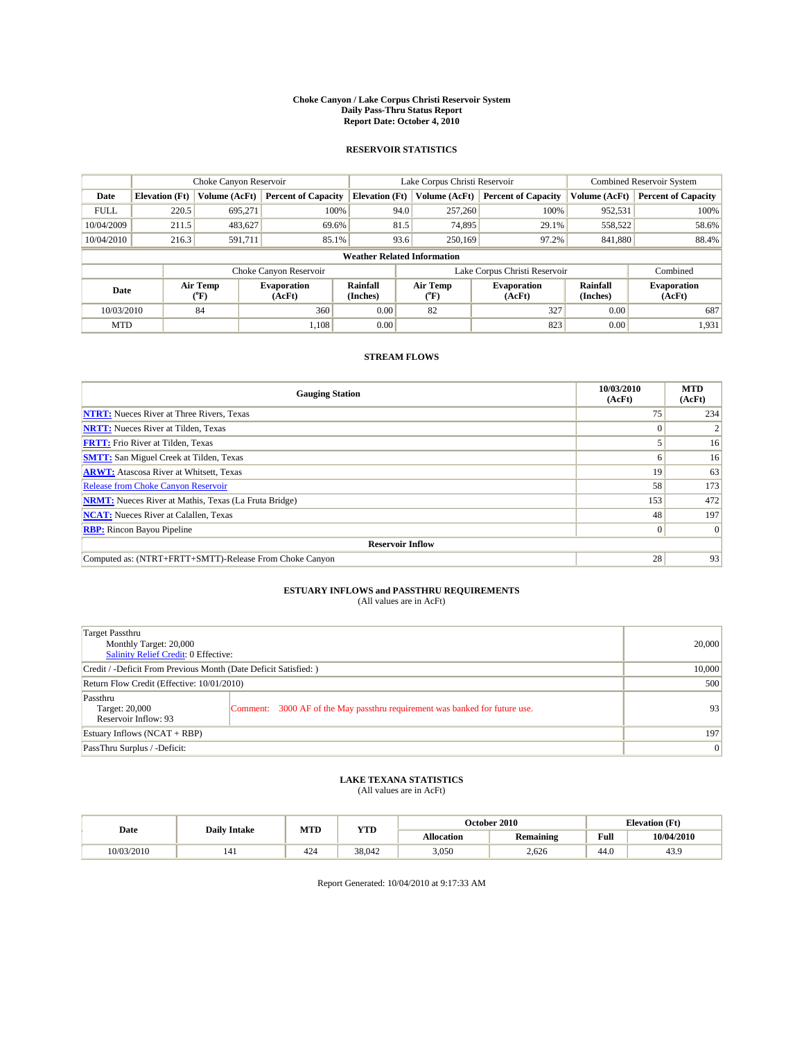#### **Choke Canyon / Lake Corpus Christi Reservoir System Daily Pass-Thru Status Report Report Date: October 4, 2010**

## **RESERVOIR STATISTICS**

|             | Choke Canyon Reservoir             |                                           |                              |                       | Lake Corpus Christi Reservoir | <b>Combined Reservoir System</b> |                      |                              |  |  |
|-------------|------------------------------------|-------------------------------------------|------------------------------|-----------------------|-------------------------------|----------------------------------|----------------------|------------------------------|--|--|
| Date        | <b>Elevation</b> (Ft)              | Volume (AcFt)                             | <b>Percent of Capacity</b>   | <b>Elevation</b> (Ft) | Volume (AcFt)                 | <b>Percent of Capacity</b>       | Volume (AcFt)        | <b>Percent of Capacity</b>   |  |  |
| <b>FULL</b> | 220.5                              | 695.271                                   | 100%                         | 94.0                  | 257,260                       | 100%                             | 952,531              | 100%                         |  |  |
| 10/04/2009  | 211.5                              | 483,627                                   | 69.6%                        | 81.5                  | 74,895                        | 29.1%                            | 558,522              | 58.6%                        |  |  |
| 10/04/2010  | 216.3                              | 591,711                                   | 85.1%                        | 93.6                  | 250,169                       | 97.2%                            | 841,880              | 88.4%                        |  |  |
|             | <b>Weather Related Information</b> |                                           |                              |                       |                               |                                  |                      |                              |  |  |
|             |                                    |                                           | Choke Canyon Reservoir       |                       | Lake Corpus Christi Reservoir |                                  |                      | Combined                     |  |  |
| Date        |                                    | Air Temp<br>$({}^{\mathrm{o}}\mathrm{F})$ | <b>Evaporation</b><br>(AcFt) | Rainfall<br>(Inches)  | Air Temp<br>(°F)              | <b>Evaporation</b><br>(AcFt)     | Rainfall<br>(Inches) | <b>Evaporation</b><br>(AcFt) |  |  |
| 10/03/2010  |                                    | 84                                        | 360                          | 0.00                  | 82                            | 327                              | 0.00                 | 687                          |  |  |
| <b>MTD</b>  |                                    |                                           | 1.108                        | 0.00                  |                               | 823                              | 0.00                 | 1,931                        |  |  |

## **STREAM FLOWS**

| <b>Gauging Station</b>                                       | 10/03/2010<br>(AcFt) | <b>MTD</b><br>(AcFt) |
|--------------------------------------------------------------|----------------------|----------------------|
| <b>NTRT:</b> Nueces River at Three Rivers, Texas             | 75                   | 234                  |
| <b>NRTT:</b> Nueces River at Tilden, Texas                   |                      |                      |
| <b>FRTT:</b> Frio River at Tilden, Texas                     |                      | 16                   |
| <b>SMTT:</b> San Miguel Creek at Tilden, Texas               | n                    | 16                   |
| <b>ARWT:</b> Atascosa River at Whitsett, Texas               | 19                   | 63                   |
| <b>Release from Choke Canyon Reservoir</b>                   | 58                   | 173                  |
| <b>NRMT:</b> Nueces River at Mathis, Texas (La Fruta Bridge) | 153                  | 472                  |
| <b>NCAT:</b> Nueces River at Calallen, Texas                 | 48                   | 197                  |
| <b>RBP:</b> Rincon Bayou Pipeline                            | $\overline{0}$       | $\Omega$             |
| <b>Reservoir Inflow</b>                                      |                      |                      |
| Computed as: (NTRT+FRTT+SMTT)-Release From Choke Canyon      | 28                   | 93                   |

# **ESTUARY INFLOWS and PASSTHRU REQUIREMENTS**<br>(All values are in AcFt)

| Target Passthru<br>Monthly Target: 20,000<br>Salinity Relief Credit: 0 Effective: | 20,000                                                                      |                 |
|-----------------------------------------------------------------------------------|-----------------------------------------------------------------------------|-----------------|
| Credit / -Deficit From Previous Month (Date Deficit Satisfied: )                  | 10,000                                                                      |                 |
| Return Flow Credit (Effective: 10/01/2010)                                        | 500                                                                         |                 |
| Passthru<br>Target: 20,000<br>Reservoir Inflow: 93                                | Comment: 3000 AF of the May passthru requirement was banked for future use. | 93 <sub>1</sub> |
| Estuary Inflows $(NCAT + RBP)$                                                    | 197                                                                         |                 |
| PassThru Surplus / -Deficit:                                                      | $\vert 0 \vert$                                                             |                 |

# **LAKE TEXANA STATISTICS** (All values are in AcFt)

|            | <b>Daily Intake</b> | MTD | YTD    |                   | October 2010     |                                             | <b>Elevation</b> (Ft) |
|------------|---------------------|-----|--------|-------------------|------------------|---------------------------------------------|-----------------------|
| Date       |                     |     |        | <b>Allocation</b> | <b>Remaining</b> | Full<br>the contract of the contract of the | 10/04/2010            |
| 10/03/2010 | 141                 | 424 | 38,042 | 3,050             | 2.626            | 44.0                                        | 43.9                  |

Report Generated: 10/04/2010 at 9:17:33 AM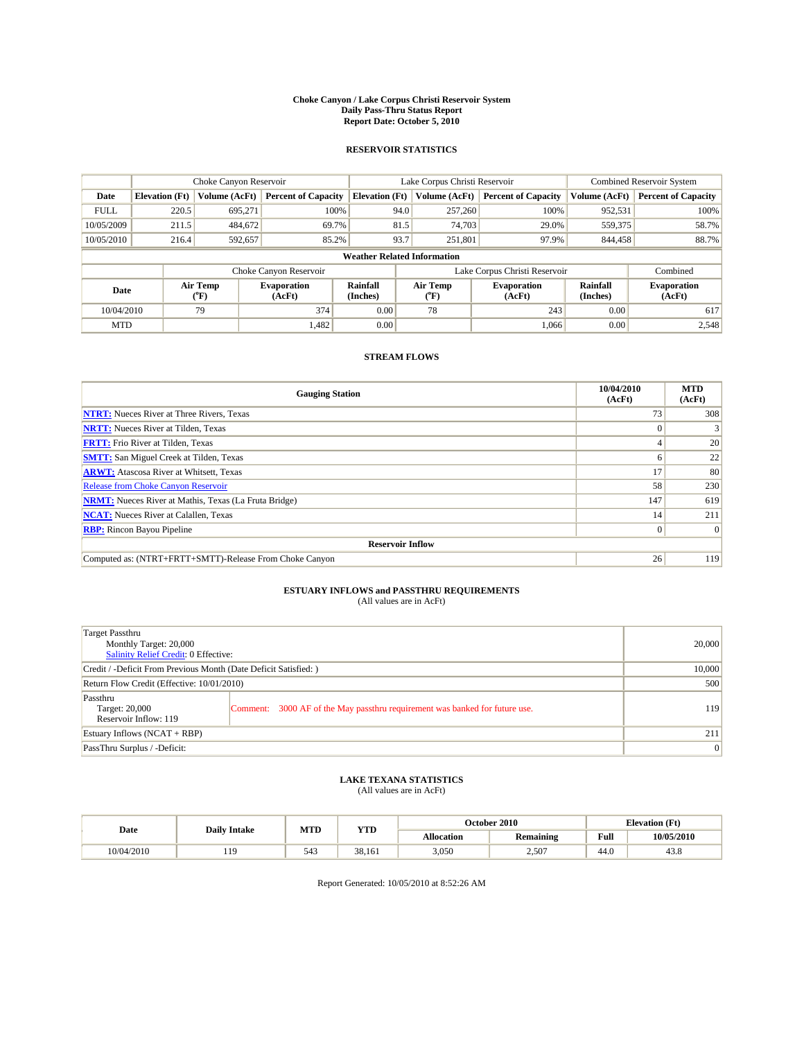#### **Choke Canyon / Lake Corpus Christi Reservoir System Daily Pass-Thru Status Report Report Date: October 5, 2010**

## **RESERVOIR STATISTICS**

|             |                                    | Choke Canyon Reservoir |                              |                             | Lake Corpus Christi Reservoir |                              |                      | <b>Combined Reservoir System</b> |  |  |
|-------------|------------------------------------|------------------------|------------------------------|-----------------------------|-------------------------------|------------------------------|----------------------|----------------------------------|--|--|
| Date        | <b>Elevation</b> (Ft)              | Volume (AcFt)          | <b>Percent of Capacity</b>   | <b>Elevation (Ft)</b>       | Volume (AcFt)                 | <b>Percent of Capacity</b>   | Volume (AcFt)        | <b>Percent of Capacity</b>       |  |  |
| <b>FULL</b> | 220.5                              | 695,271                | 100%                         | 94.0                        | 257,260                       | 100%                         | 952,531              | 100%                             |  |  |
| 10/05/2009  | 211.5                              | 484,672                | 69.7%                        | 81.5                        | 74,703                        | 29.0%                        | 559,375              | 58.7%                            |  |  |
| 10/05/2010  | 216.4                              | 592,657                | 85.2%                        | 93.7                        | 251,801                       | 97.9%                        | 844,458              | 88.7%                            |  |  |
|             | <b>Weather Related Information</b> |                        |                              |                             |                               |                              |                      |                                  |  |  |
|             |                                    |                        | Choke Canyon Reservoir       |                             | Lake Corpus Christi Reservoir |                              |                      | Combined                         |  |  |
| Date        |                                    | Air Temp<br>(°F)       | <b>Evaporation</b><br>(AcFt) | <b>Rainfall</b><br>(Inches) | Air Temp<br>(°F)              | <b>Evaporation</b><br>(AcFt) | Rainfall<br>(Inches) | <b>Evaporation</b><br>(AcFt)     |  |  |
| 10/04/2010  |                                    | 79                     | 374                          | 0.00                        | 78                            | 243                          | 0.00                 | 617                              |  |  |
| <b>MTD</b>  |                                    |                        | 1,482                        | 0.00                        |                               | 1,066                        | 0.00                 | 2.548                            |  |  |

## **STREAM FLOWS**

| <b>Gauging Station</b>                                       | 10/04/2010<br>(AcFt) | <b>MTD</b><br>(AcFt) |
|--------------------------------------------------------------|----------------------|----------------------|
| <b>NTRT:</b> Nueces River at Three Rivers, Texas             | 73                   | 308                  |
| <b>NRTT:</b> Nueces River at Tilden, Texas                   |                      |                      |
| <b>FRTT:</b> Frio River at Tilden, Texas                     |                      | 20                   |
| <b>SMTT:</b> San Miguel Creek at Tilden, Texas               | n                    | 22                   |
| <b>ARWT:</b> Atascosa River at Whitsett, Texas               | 17                   | 80                   |
| <b>Release from Choke Canyon Reservoir</b>                   | 58                   | 230                  |
| <b>NRMT:</b> Nueces River at Mathis, Texas (La Fruta Bridge) | 147                  | 619                  |
| <b>NCAT:</b> Nueces River at Calallen, Texas                 | 14                   | 211                  |
| <b>RBP:</b> Rincon Bayou Pipeline                            | $\overline{0}$       | $\Omega$             |
| <b>Reservoir Inflow</b>                                      |                      |                      |
| Computed as: (NTRT+FRTT+SMTT)-Release From Choke Canyon      | 26                   | 119                  |

# **ESTUARY INFLOWS and PASSTHRU REQUIREMENTS**<br>(All values are in AcFt)

| Target Passthru<br>Monthly Target: 20,000<br>Salinity Relief Credit: 0 Effective: | 20,000                                                                      |     |
|-----------------------------------------------------------------------------------|-----------------------------------------------------------------------------|-----|
| Credit / -Deficit From Previous Month (Date Deficit Satisfied: )                  | 10,000                                                                      |     |
| Return Flow Credit (Effective: 10/01/2010)                                        | 500                                                                         |     |
| Passthru<br>Target: 20,000<br>Reservoir Inflow: 119                               | Comment: 3000 AF of the May passthru requirement was banked for future use. | 119 |
| Estuary Inflows $(NCAT + RBP)$                                                    |                                                                             | 211 |
| PassThru Surplus / -Deficit:                                                      | $\vert 0 \vert$                                                             |     |

# **LAKE TEXANA STATISTICS** (All values are in AcFt)

|            | <b>Daily Intake</b> | MTD | <b>YTD</b> | October 2010 |                  | <b>Elevation</b> (Ft) |            |
|------------|---------------------|-----|------------|--------------|------------------|-----------------------|------------|
| Date       |                     |     |            | Allocation   | <b>Remaining</b> | <b>Full</b>           | 10/05/2010 |
| 10/04/2010 | 110                 | 543 | 38.161     | 3,050        | 2.507            | 44.0                  | 43.8       |

Report Generated: 10/05/2010 at 8:52:26 AM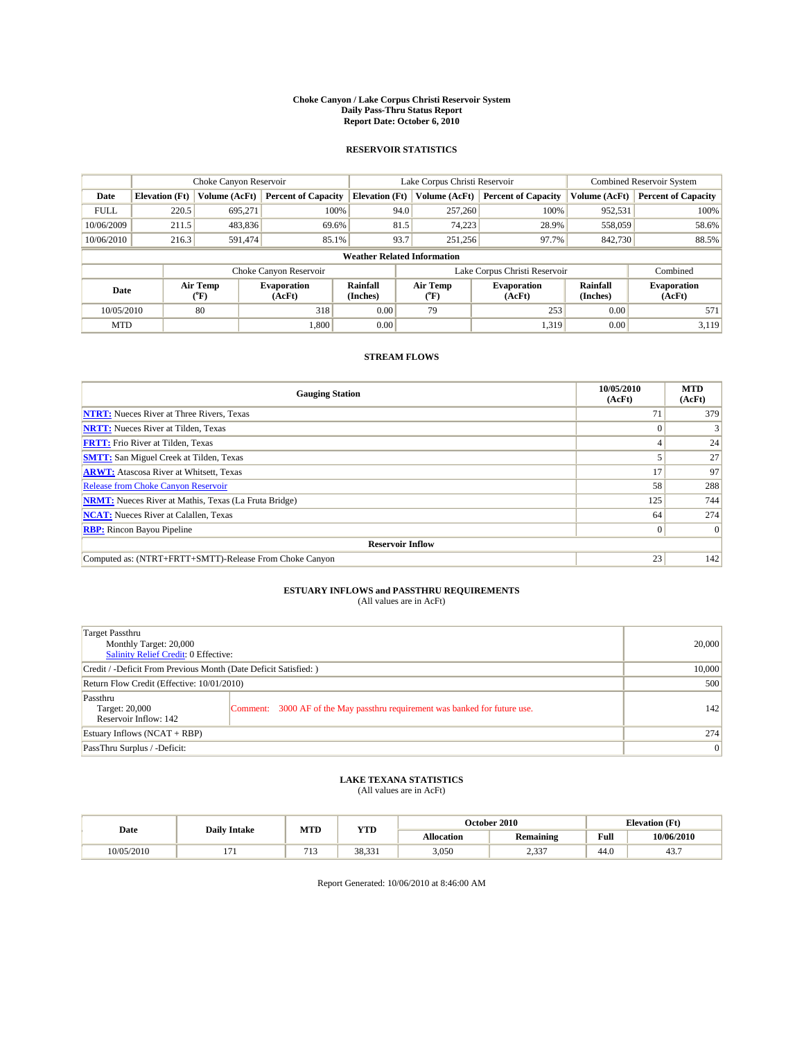#### **Choke Canyon / Lake Corpus Christi Reservoir System Daily Pass-Thru Status Report Report Date: October 6, 2010**

## **RESERVOIR STATISTICS**

|             | Choke Canyon Reservoir             |                                           |                              |                       | Lake Corpus Christi Reservoir | <b>Combined Reservoir System</b> |                      |                              |  |  |
|-------------|------------------------------------|-------------------------------------------|------------------------------|-----------------------|-------------------------------|----------------------------------|----------------------|------------------------------|--|--|
| Date        | <b>Elevation</b> (Ft)              | Volume (AcFt)                             | <b>Percent of Capacity</b>   | <b>Elevation</b> (Ft) | Volume (AcFt)                 | <b>Percent of Capacity</b>       | Volume (AcFt)        | <b>Percent of Capacity</b>   |  |  |
| <b>FULL</b> | 220.5                              | 695.271                                   | 100%                         | 94.0                  | 257,260                       | 100%                             | 952,531              | 100%                         |  |  |
| 10/06/2009  | 211.5                              | 483,836                                   | 69.6%                        | 81.5                  | 74,223                        | 28.9%                            | 558,059              | 58.6%                        |  |  |
| 10/06/2010  | 216.3                              | 591,474                                   | 85.1%                        | 93.7                  | 251,256                       | 97.7%                            | 842,730              | 88.5%                        |  |  |
|             | <b>Weather Related Information</b> |                                           |                              |                       |                               |                                  |                      |                              |  |  |
|             |                                    |                                           | Choke Canyon Reservoir       |                       | Lake Corpus Christi Reservoir |                                  |                      | Combined                     |  |  |
| Date        |                                    | Air Temp<br>$({}^{\mathrm{o}}\mathrm{F})$ | <b>Evaporation</b><br>(AcFt) | Rainfall<br>(Inches)  | Air Temp<br>(°F)              | <b>Evaporation</b><br>(AcFt)     | Rainfall<br>(Inches) | <b>Evaporation</b><br>(AcFt) |  |  |
| 10/05/2010  |                                    | 80                                        | 318                          | 0.00                  | 79                            | 253                              | 0.00                 | 571                          |  |  |
| <b>MTD</b>  |                                    |                                           | 1,800                        | 0.00                  |                               | 1.319                            | 0.00                 | 3.119                        |  |  |

## **STREAM FLOWS**

| <b>Gauging Station</b>                                       | 10/05/2010<br>(AcFt) | <b>MTD</b><br>(AcFt) |
|--------------------------------------------------------------|----------------------|----------------------|
| <b>NTRT:</b> Nueces River at Three Rivers, Texas             | 71                   | 379                  |
| <b>NRTT:</b> Nueces River at Tilden, Texas                   |                      |                      |
| <b>FRTT:</b> Frio River at Tilden, Texas                     |                      | 24                   |
| <b>SMTT:</b> San Miguel Creek at Tilden, Texas               |                      | 27                   |
| <b>ARWT:</b> Atascosa River at Whitsett, Texas               | 17                   | 97                   |
| Release from Choke Canyon Reservoir                          | 58                   | 288                  |
| <b>NRMT:</b> Nueces River at Mathis, Texas (La Fruta Bridge) | 125                  | 744                  |
| <b>NCAT:</b> Nueces River at Calallen, Texas                 | 64                   | 274                  |
| <b>RBP:</b> Rincon Bayou Pipeline                            | $\overline{0}$       | $\Omega$             |
| <b>Reservoir Inflow</b>                                      |                      |                      |
| Computed as: (NTRT+FRTT+SMTT)-Release From Choke Canyon      | 23                   | 142                  |

# **ESTUARY INFLOWS and PASSTHRU REQUIREMENTS**<br>(All values are in AcFt)

| Target Passthru<br>Monthly Target: 20,000<br>Salinity Relief Credit: 0 Effective: |                                                                             | 20,000 |
|-----------------------------------------------------------------------------------|-----------------------------------------------------------------------------|--------|
| Credit / -Deficit From Previous Month (Date Deficit Satisfied: )                  | 10,000                                                                      |        |
| Return Flow Credit (Effective: 10/01/2010)                                        | 500                                                                         |        |
| Passthru<br>Target: 20,000<br>Reservoir Inflow: 142                               | Comment: 3000 AF of the May passthru requirement was banked for future use. | 142    |
| Estuary Inflows (NCAT + RBP)                                                      | 274                                                                         |        |
| PassThru Surplus / -Deficit:                                                      | 0                                                                           |        |

# **LAKE TEXANA STATISTICS** (All values are in AcFt)

|            | <b>Daily Intake</b> | MTD | <b>YTD</b>        |            | October 2010  |                                             | <b>Elevation</b> (Ft) |
|------------|---------------------|-----|-------------------|------------|---------------|---------------------------------------------|-----------------------|
| Date       |                     |     |                   | Allocation | Remaining     | Full<br>the contract of the contract of the | 10/06/2010            |
| 10/05/2010 | <b>1</b> / <b>1</b> |     | 20.221<br>30.SS I | 3,050      | 0.227<br>رردے | 44.0                                        | 43.7                  |

Report Generated: 10/06/2010 at 8:46:00 AM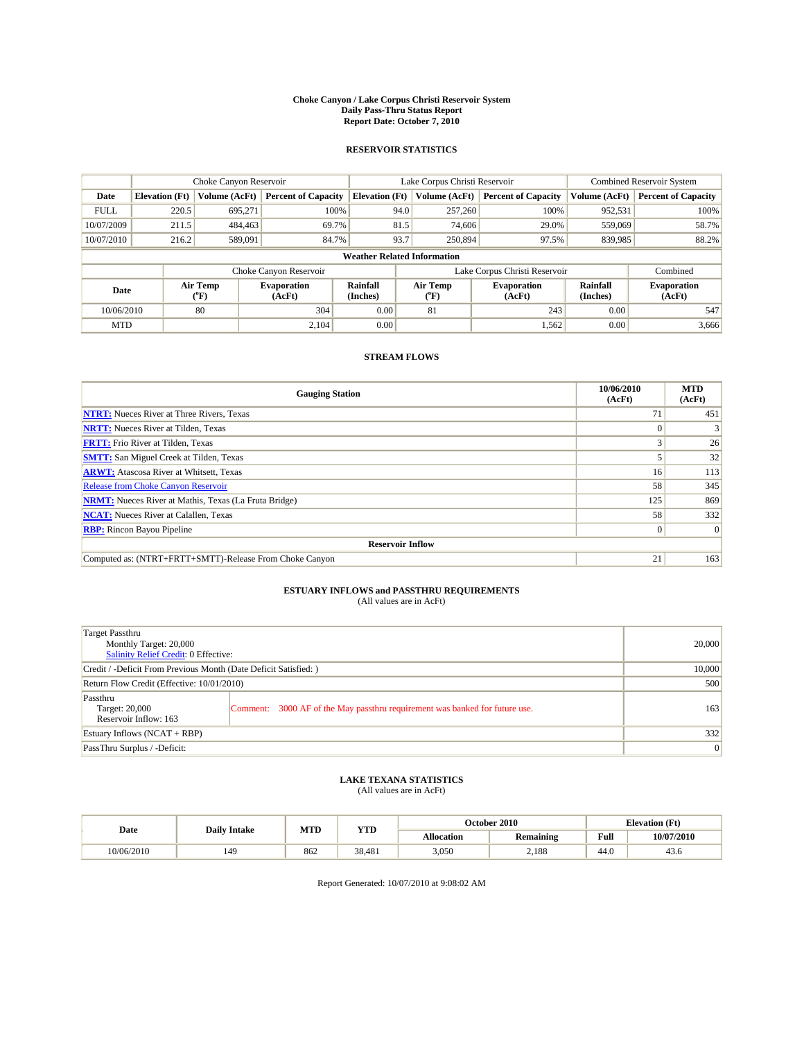#### **Choke Canyon / Lake Corpus Christi Reservoir System Daily Pass-Thru Status Report Report Date: October 7, 2010**

## **RESERVOIR STATISTICS**

|             | Choke Canyon Reservoir             |                  |                              |                             | Lake Corpus Christi Reservoir |                              |                      | <b>Combined Reservoir System</b> |  |
|-------------|------------------------------------|------------------|------------------------------|-----------------------------|-------------------------------|------------------------------|----------------------|----------------------------------|--|
| Date        | <b>Elevation</b> (Ft)              | Volume (AcFt)    | <b>Percent of Capacity</b>   | <b>Elevation</b> (Ft)       | Volume (AcFt)                 | <b>Percent of Capacity</b>   | Volume (AcFt)        | <b>Percent of Capacity</b>       |  |
| <b>FULL</b> | 220.5                              | 695,271          | 100%                         | 94.0                        | 257,260                       | 100%                         | 952,531              | 100%                             |  |
| 10/07/2009  | 211.5                              | 484,463          | 69.7%                        |                             | 81.5<br>74,606                | 29.0%                        | 559,069              | 58.7%                            |  |
| 10/07/2010  | 216.2                              | 589,091          | 84.7%                        | 93.7                        | 250,894                       | 97.5%                        | 839,985              | 88.2%                            |  |
|             | <b>Weather Related Information</b> |                  |                              |                             |                               |                              |                      |                                  |  |
|             |                                    |                  | Choke Canyon Reservoir       |                             | Lake Corpus Christi Reservoir |                              |                      | Combined                         |  |
| Date        |                                    | Air Temp<br>(°F) | <b>Evaporation</b><br>(AcFt) | <b>Rainfall</b><br>(Inches) | Air Temp<br>(°F)              | <b>Evaporation</b><br>(AcFt) | Rainfall<br>(Inches) | <b>Evaporation</b><br>(AcFt)     |  |
| 10/06/2010  |                                    | 80               | 304                          | 0.00                        | 81                            | 243                          | 0.00                 | 547                              |  |
| <b>MTD</b>  |                                    |                  | 2.104                        | 0.00                        |                               | 1,562                        | 0.00                 | 3,666                            |  |

## **STREAM FLOWS**

| <b>Gauging Station</b>                                       | 10/06/2010<br>(AcFt) | <b>MTD</b><br>(AcFt) |  |  |  |  |
|--------------------------------------------------------------|----------------------|----------------------|--|--|--|--|
| <b>NTRT:</b> Nueces River at Three Rivers, Texas             | 71                   | 451                  |  |  |  |  |
| <b>NRTT:</b> Nueces River at Tilden, Texas                   |                      |                      |  |  |  |  |
| <b>FRTT:</b> Frio River at Tilden, Texas                     | $\sim$               | 26                   |  |  |  |  |
| <b>SMTT:</b> San Miguel Creek at Tilden, Texas               |                      | 32                   |  |  |  |  |
| <b>ARWT:</b> Atascosa River at Whitsett, Texas               | 16 <sup>1</sup>      | 113                  |  |  |  |  |
| <b>Release from Choke Canyon Reservoir</b>                   | 58                   | 345                  |  |  |  |  |
| <b>NRMT:</b> Nueces River at Mathis, Texas (La Fruta Bridge) | 125                  | 869                  |  |  |  |  |
| <b>NCAT:</b> Nueces River at Calallen, Texas                 | 58                   | 332                  |  |  |  |  |
| <b>RBP:</b> Rincon Bayou Pipeline                            | $\overline{0}$       | $\Omega$             |  |  |  |  |
| <b>Reservoir Inflow</b>                                      |                      |                      |  |  |  |  |
| Computed as: (NTRT+FRTT+SMTT)-Release From Choke Canyon      | 21                   | 163                  |  |  |  |  |

# **ESTUARY INFLOWS and PASSTHRU REQUIREMENTS**<br>(All values are in AcFt)

| Target Passthru<br>Monthly Target: 20,000<br><b>Salinity Relief Credit: 0 Effective:</b> | 20,000                                                                      |     |
|------------------------------------------------------------------------------------------|-----------------------------------------------------------------------------|-----|
| Credit / -Deficit From Previous Month (Date Deficit Satisfied: )                         | 10,000                                                                      |     |
| Return Flow Credit (Effective: 10/01/2010)                                               | 500                                                                         |     |
| Passthru<br>Target: 20,000<br>Reservoir Inflow: 163                                      | Comment: 3000 AF of the May passthru requirement was banked for future use. | 163 |
| Estuary Inflows $(NCAT + RBP)$                                                           | 332                                                                         |     |
| PassThru Surplus / -Deficit:                                                             | $\vert 0 \vert$                                                             |     |

# **LAKE TEXANA STATISTICS** (All values are in AcFt)

|            | <b>Daily Intake</b> | MTD | YTD    |                   | October 2010     |                                             | <b>Elevation</b> (Ft) |
|------------|---------------------|-----|--------|-------------------|------------------|---------------------------------------------|-----------------------|
| Date       |                     |     |        | <b>Allocation</b> | <b>Remaining</b> | Full<br>the contract of the contract of the | 10/07/2010            |
| 10/06/2010 | 149                 | 862 | 38.481 | 3,050             | 2.188            | 44.0                                        | 43.6                  |

Report Generated: 10/07/2010 at 9:08:02 AM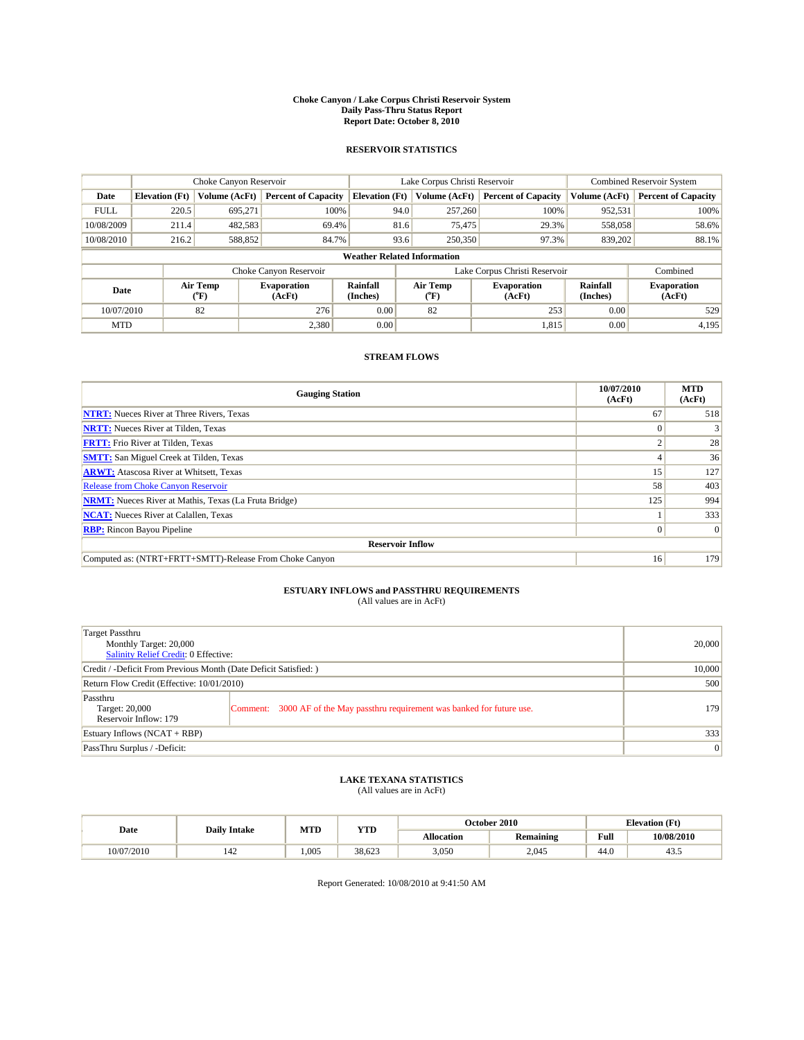#### **Choke Canyon / Lake Corpus Christi Reservoir System Daily Pass-Thru Status Report Report Date: October 8, 2010**

## **RESERVOIR STATISTICS**

|             | Choke Canyon Reservoir             |                  |                              |                             | Lake Corpus Christi Reservoir |                              |                      | <b>Combined Reservoir System</b> |  |
|-------------|------------------------------------|------------------|------------------------------|-----------------------------|-------------------------------|------------------------------|----------------------|----------------------------------|--|
| Date        | <b>Elevation</b> (Ft)              | Volume (AcFt)    | <b>Percent of Capacity</b>   | <b>Elevation</b> (Ft)       | Volume (AcFt)                 | <b>Percent of Capacity</b>   | Volume (AcFt)        | <b>Percent of Capacity</b>       |  |
| <b>FULL</b> | 220.5                              | 695,271          | 100%                         | 94.0                        | 257,260                       | 100%                         | 952,531              | 100%                             |  |
| 10/08/2009  | 211.4                              | 482,583          | 69.4%                        | 81.6                        | 75,475                        | 29.3%                        | 558,058              | 58.6%                            |  |
| 10/08/2010  | 216.2                              | 588,852          | 84.7%                        | 93.6                        | 250,350                       | 97.3%                        | 839,202              | 88.1%                            |  |
|             | <b>Weather Related Information</b> |                  |                              |                             |                               |                              |                      |                                  |  |
|             |                                    |                  | Choke Canyon Reservoir       |                             | Lake Corpus Christi Reservoir |                              |                      | Combined                         |  |
| Date        |                                    | Air Temp<br>(°F) | <b>Evaporation</b><br>(AcFt) | <b>Rainfall</b><br>(Inches) | Air Temp<br>(°F)              | <b>Evaporation</b><br>(AcFt) | Rainfall<br>(Inches) | <b>Evaporation</b><br>(AcFt)     |  |
| 10/07/2010  |                                    | 82               | 276                          | 0.00                        | 82                            | 253                          | 0.00                 | 529                              |  |
| <b>MTD</b>  |                                    |                  | 2,380                        | 0.00                        |                               | 1,815                        | 0.00                 | 4,195                            |  |

## **STREAM FLOWS**

| <b>Gauging Station</b>                                       | 10/07/2010<br>(AcFt) | <b>MTD</b><br>(AcFt) |
|--------------------------------------------------------------|----------------------|----------------------|
| <b>NTRT:</b> Nueces River at Three Rivers, Texas             | 67                   | 518                  |
| <b>NRTT:</b> Nueces River at Tilden, Texas                   |                      |                      |
| <b>FRTT:</b> Frio River at Tilden, Texas                     | $\sim$               | 28                   |
| <b>SMTT:</b> San Miguel Creek at Tilden, Texas               |                      | 36                   |
| <b>ARWT:</b> Atascosa River at Whitsett, Texas               | 15 <sup>1</sup>      | 127                  |
| Release from Choke Canyon Reservoir                          | 58                   | 403                  |
| <b>NRMT:</b> Nueces River at Mathis, Texas (La Fruta Bridge) | 125                  | 994                  |
| <b>NCAT:</b> Nueces River at Calallen, Texas                 |                      | 333                  |
| <b>RBP:</b> Rincon Bayou Pipeline                            | $\Omega$             | $\Omega$             |
| <b>Reservoir Inflow</b>                                      |                      |                      |
| Computed as: (NTRT+FRTT+SMTT)-Release From Choke Canyon      | 16                   | 179                  |

# **ESTUARY INFLOWS and PASSTHRU REQUIREMENTS**<br>(All values are in AcFt)

| Target Passthru<br>Monthly Target: 20,000<br>Salinity Relief Credit: 0 Effective: | 20,000                                                                      |     |
|-----------------------------------------------------------------------------------|-----------------------------------------------------------------------------|-----|
| Credit / -Deficit From Previous Month (Date Deficit Satisfied: )                  | 10,000                                                                      |     |
| Return Flow Credit (Effective: 10/01/2010)                                        | 500                                                                         |     |
| Passthru<br>Target: 20,000<br>Reservoir Inflow: 179                               | Comment: 3000 AF of the May passthru requirement was banked for future use. | 179 |
| Estuary Inflows $(NCAT + RBP)$                                                    | 333                                                                         |     |
| PassThru Surplus / -Deficit:                                                      | 0                                                                           |     |

# **LAKE TEXANA STATISTICS** (All values are in AcFt)

|            |                     | MTD   | <b>YTD</b> | October 2010<br><b>Elevation</b> (Ft) |                  |                                         |            |
|------------|---------------------|-------|------------|---------------------------------------|------------------|-----------------------------------------|------------|
| Date       | <b>Daily Intake</b> |       |            | Allocation                            | <b>Remaining</b> | Full<br>the contract of the contract of | 10/08/2010 |
| 10/07/2010 | 142                 | 1.005 | 38.623     | 3,050                                 | 2.045            | 44.0                                    | 45.5       |

Report Generated: 10/08/2010 at 9:41:50 AM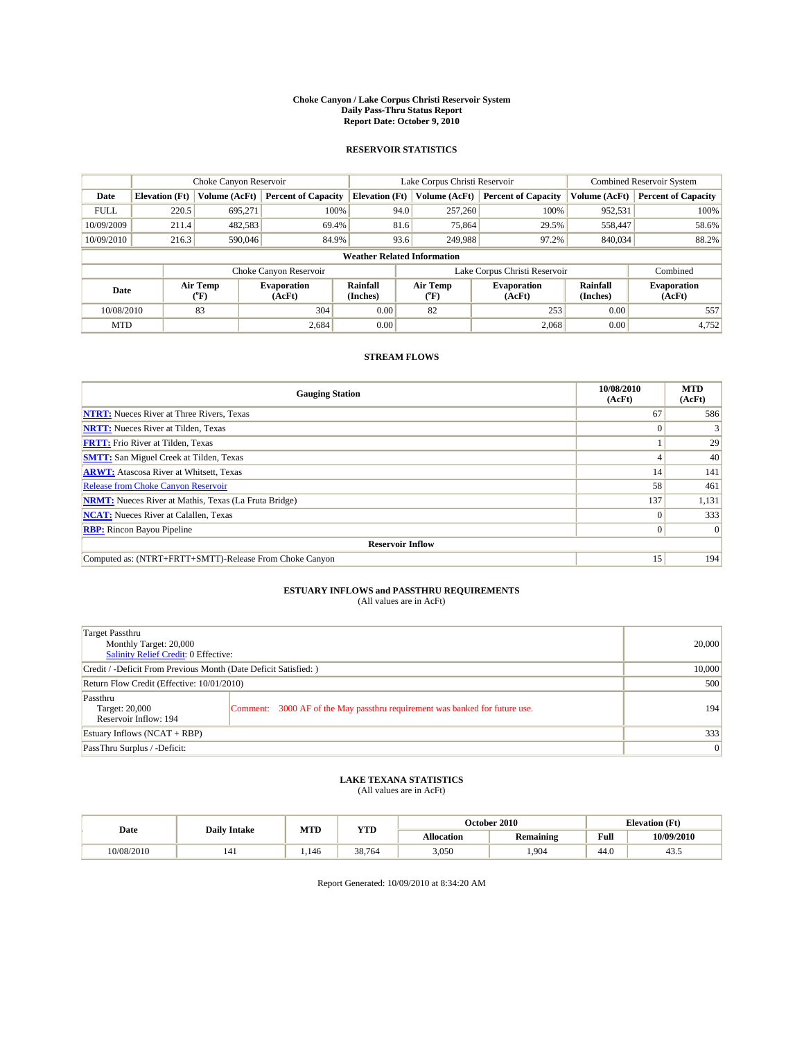#### **Choke Canyon / Lake Corpus Christi Reservoir System Daily Pass-Thru Status Report Report Date: October 9, 2010**

## **RESERVOIR STATISTICS**

|             | Choke Canyon Reservoir             |                  |                              |                             | Lake Corpus Christi Reservoir |                              |                      | <b>Combined Reservoir System</b> |  |
|-------------|------------------------------------|------------------|------------------------------|-----------------------------|-------------------------------|------------------------------|----------------------|----------------------------------|--|
| Date        | <b>Elevation</b> (Ft)              | Volume (AcFt)    | <b>Percent of Capacity</b>   | <b>Elevation</b> (Ft)       | Volume (AcFt)                 | <b>Percent of Capacity</b>   | Volume (AcFt)        | <b>Percent of Capacity</b>       |  |
| <b>FULL</b> | 220.5                              | 695,271          | 100%                         | 94.0                        | 257,260                       | 100%                         | 952,531              | 100%                             |  |
| 10/09/2009  | 211.4                              | 482,583          | 69.4%                        |                             | 81.6<br>75,864                | 29.5%                        | 558,447              | 58.6%                            |  |
| 10/09/2010  | 216.3                              | 590,046          | 84.9%                        | 93.6                        | 249,988                       | 97.2%                        | 840,034              | 88.2%                            |  |
|             | <b>Weather Related Information</b> |                  |                              |                             |                               |                              |                      |                                  |  |
|             |                                    |                  | Choke Canyon Reservoir       |                             | Lake Corpus Christi Reservoir |                              |                      | Combined                         |  |
| Date        |                                    | Air Temp<br>(°F) | <b>Evaporation</b><br>(AcFt) | <b>Rainfall</b><br>(Inches) | Air Temp<br>(°F)              | <b>Evaporation</b><br>(AcFt) | Rainfall<br>(Inches) | <b>Evaporation</b><br>(AcFt)     |  |
| 10/08/2010  |                                    | 83               | 304                          | 0.00                        | 82                            | 253                          | 0.00                 | 557                              |  |
| <b>MTD</b>  |                                    |                  | 2,684                        | 0.00                        |                               | 2,068                        | 0.00                 | 4,752                            |  |

## **STREAM FLOWS**

| <b>Gauging Station</b>                                       | 10/08/2010<br>(AcFt) | <b>MTD</b><br>(AcFt) |  |  |  |  |  |
|--------------------------------------------------------------|----------------------|----------------------|--|--|--|--|--|
| <b>NTRT:</b> Nueces River at Three Rivers, Texas             | 67                   | 586                  |  |  |  |  |  |
| <b>NRTT:</b> Nueces River at Tilden, Texas                   |                      |                      |  |  |  |  |  |
| <b>FRTT:</b> Frio River at Tilden, Texas                     |                      | 29                   |  |  |  |  |  |
| <b>SMTT:</b> San Miguel Creek at Tilden, Texas               |                      | 40                   |  |  |  |  |  |
| <b>ARWT:</b> Atascosa River at Whitsett, Texas               | 14                   | 141                  |  |  |  |  |  |
| Release from Choke Canyon Reservoir                          | 58                   | 461                  |  |  |  |  |  |
| <b>NRMT:</b> Nueces River at Mathis, Texas (La Fruta Bridge) | 137                  | 1,131                |  |  |  |  |  |
| <b>NCAT:</b> Nueces River at Calallen, Texas                 | $\theta$             | 333                  |  |  |  |  |  |
| <b>RBP:</b> Rincon Bayou Pipeline                            | $\Omega$             | $\Omega$             |  |  |  |  |  |
| <b>Reservoir Inflow</b>                                      |                      |                      |  |  |  |  |  |
| Computed as: (NTRT+FRTT+SMTT)-Release From Choke Canyon      | 15                   | 194                  |  |  |  |  |  |

# **ESTUARY INFLOWS and PASSTHRU REQUIREMENTS**<br>(All values are in AcFt)

| Target Passthru<br>Monthly Target: 20,000<br>Salinity Relief Credit: 0 Effective: | 20,000                                                                      |     |
|-----------------------------------------------------------------------------------|-----------------------------------------------------------------------------|-----|
| Credit / -Deficit From Previous Month (Date Deficit Satisfied: )                  | 10,000                                                                      |     |
| Return Flow Credit (Effective: 10/01/2010)                                        | 500                                                                         |     |
| Passthru<br>Target: 20,000<br>Reservoir Inflow: 194                               | Comment: 3000 AF of the May passthru requirement was banked for future use. | 194 |
| Estuary Inflows (NCAT + RBP)                                                      | 333                                                                         |     |
| PassThru Surplus / -Deficit:                                                      | 0                                                                           |     |

# **LAKE TEXANA STATISTICS** (All values are in AcFt)

|            | <b>Daily Intake</b> | MTD  | <b>YTD</b> | October 2010<br><b>Elevation</b> (Ft) |                  |                                         |            |
|------------|---------------------|------|------------|---------------------------------------|------------------|-----------------------------------------|------------|
| Date       |                     |      |            | Allocation                            | <b>Remaining</b> | Full<br>the contract of the contract of | 10/09/2010 |
| 10/08/2010 | 141                 | .146 | 38.764     | 3,050                                 | .904             | $\sim$<br>44.0                          | 45.5       |

Report Generated: 10/09/2010 at 8:34:20 AM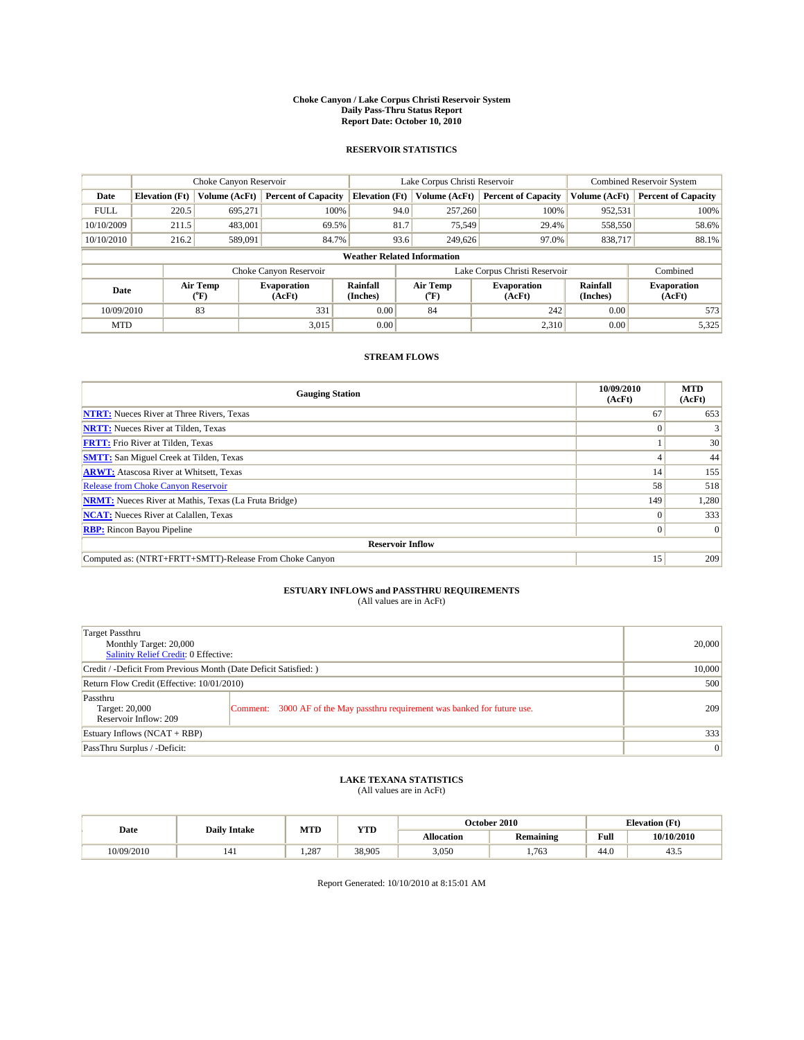#### **Choke Canyon / Lake Corpus Christi Reservoir System Daily Pass-Thru Status Report Report Date: October 10, 2010**

## **RESERVOIR STATISTICS**

|             | Choke Canyon Reservoir             |                                           |                              |                       | Lake Corpus Christi Reservoir | <b>Combined Reservoir System</b> |                      |                              |  |  |
|-------------|------------------------------------|-------------------------------------------|------------------------------|-----------------------|-------------------------------|----------------------------------|----------------------|------------------------------|--|--|
| Date        | <b>Elevation</b> (Ft)              | Volume (AcFt)                             | <b>Percent of Capacity</b>   | <b>Elevation</b> (Ft) | Volume (AcFt)                 | <b>Percent of Capacity</b>       | Volume (AcFt)        | <b>Percent of Capacity</b>   |  |  |
| <b>FULL</b> | 220.5                              | 695.271                                   | 100%                         | 94.0                  | 257,260                       | 100%                             | 952,531              | 100%                         |  |  |
| 10/10/2009  | 211.5                              | 483,001                                   | 69.5%                        | 81.7                  | 75,549                        | 29.4%                            | 558,550              | 58.6%                        |  |  |
| 10/10/2010  | 216.2                              | 589,091                                   | 84.7%                        | 93.6                  | 249,626                       | 97.0%                            | 838,717              | 88.1%                        |  |  |
|             | <b>Weather Related Information</b> |                                           |                              |                       |                               |                                  |                      |                              |  |  |
|             |                                    |                                           | Choke Canyon Reservoir       |                       |                               | Lake Corpus Christi Reservoir    |                      | Combined                     |  |  |
| Date        |                                    | Air Temp<br>$({}^{\mathrm{o}}\mathrm{F})$ | <b>Evaporation</b><br>(AcFt) | Rainfall<br>(Inches)  | Air Temp<br>(°F)              | <b>Evaporation</b><br>(AcFt)     | Rainfall<br>(Inches) | <b>Evaporation</b><br>(AcFt) |  |  |
| 10/09/2010  |                                    | 83                                        | 331                          | 0.00                  | 84                            | 242                              | 0.00                 | 573                          |  |  |
| <b>MTD</b>  |                                    |                                           | 3.015                        | 0.00                  |                               | 2.310                            | 0.00                 | 5,325                        |  |  |

## **STREAM FLOWS**

| <b>Gauging Station</b>                                       | 10/09/2010<br>(AcFt) | <b>MTD</b><br>(AcFt) |  |  |  |  |  |
|--------------------------------------------------------------|----------------------|----------------------|--|--|--|--|--|
| <b>NTRT:</b> Nueces River at Three Rivers, Texas             | 67                   | 653                  |  |  |  |  |  |
| <b>NRTT:</b> Nueces River at Tilden, Texas                   |                      |                      |  |  |  |  |  |
| <b>FRTT:</b> Frio River at Tilden, Texas                     |                      | 30                   |  |  |  |  |  |
| <b>SMTT:</b> San Miguel Creek at Tilden, Texas               |                      | 44                   |  |  |  |  |  |
| <b>ARWT:</b> Atascosa River at Whitsett, Texas               | 14                   | 155                  |  |  |  |  |  |
| <b>Release from Choke Canyon Reservoir</b>                   | 58                   | 518                  |  |  |  |  |  |
| <b>NRMT:</b> Nueces River at Mathis, Texas (La Fruta Bridge) | 149                  | 1,280                |  |  |  |  |  |
| <b>NCAT:</b> Nueces River at Calallen, Texas                 | $\theta$             | 333                  |  |  |  |  |  |
| <b>RBP:</b> Rincon Bayou Pipeline                            | $\Omega$             | $\Omega$             |  |  |  |  |  |
| <b>Reservoir Inflow</b>                                      |                      |                      |  |  |  |  |  |
| Computed as: (NTRT+FRTT+SMTT)-Release From Choke Canyon      | 15 <sup>1</sup>      | 209                  |  |  |  |  |  |

# **ESTUARY INFLOWS and PASSTHRU REQUIREMENTS**<br>(All values are in AcFt)

| Target Passthru<br>Monthly Target: 20,000<br>Salinity Relief Credit: 0 Effective: | 20,000                                                                      |     |
|-----------------------------------------------------------------------------------|-----------------------------------------------------------------------------|-----|
| Credit / -Deficit From Previous Month (Date Deficit Satisfied: )                  | 10,000                                                                      |     |
| Return Flow Credit (Effective: 10/01/2010)                                        | 500                                                                         |     |
| Passthru<br>Target: 20,000<br>Reservoir Inflow: 209                               | Comment: 3000 AF of the May passthru requirement was banked for future use. | 209 |
| Estuary Inflows $(NCAT + RBP)$                                                    | 333                                                                         |     |
| PassThru Surplus / -Deficit:                                                      | $\vert 0 \vert$                                                             |     |

# **LAKE TEXANA STATISTICS** (All values are in AcFt)

|            |                     | MTD  | <b>YTD</b> |            | October 2010     | <b>Elevation</b> (Ft)                   |            |
|------------|---------------------|------|------------|------------|------------------|-----------------------------------------|------------|
| Date       | <b>Daily Intake</b> |      |            | Allocation | <b>Remaining</b> | Full<br>the contract of the contract of | 10/10/2010 |
| 10/09/2010 | 141                 | .287 | 38.905     | 3.050      | .763             | $\sim$<br>44.U                          | 45.5       |

Report Generated: 10/10/2010 at 8:15:01 AM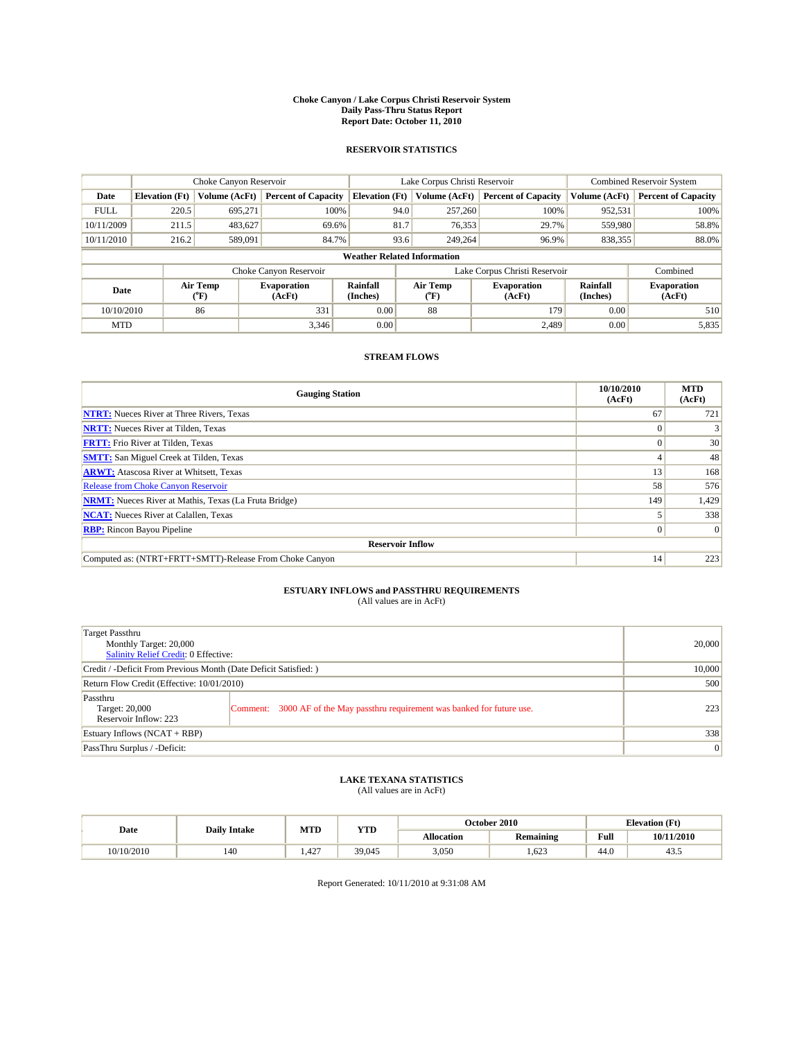#### **Choke Canyon / Lake Corpus Christi Reservoir System Daily Pass-Thru Status Report Report Date: October 11, 2010**

## **RESERVOIR STATISTICS**

|             | Choke Canyon Reservoir             |                                           |                              |                       | Lake Corpus Christi Reservoir | <b>Combined Reservoir System</b> |                      |                              |  |  |
|-------------|------------------------------------|-------------------------------------------|------------------------------|-----------------------|-------------------------------|----------------------------------|----------------------|------------------------------|--|--|
| Date        | <b>Elevation</b> (Ft)              | Volume (AcFt)                             | <b>Percent of Capacity</b>   | <b>Elevation</b> (Ft) | Volume (AcFt)                 | <b>Percent of Capacity</b>       | Volume (AcFt)        | <b>Percent of Capacity</b>   |  |  |
| <b>FULL</b> | 220.5                              | 695.271                                   | 100%                         |                       | 94.0<br>257,260               | 100%                             | 952,531              | 100%                         |  |  |
| 10/11/2009  | 211.5                              | 483,627                                   | 69.6%                        | 81.7                  | 76,353                        | 29.7%                            | 559,980              | 58.8%                        |  |  |
| 10/11/2010  | 216.2                              | 589,091                                   | 84.7%                        |                       | 93.6<br>249,264               | 96.9%                            | 838,355              | 88.0%                        |  |  |
|             | <b>Weather Related Information</b> |                                           |                              |                       |                               |                                  |                      |                              |  |  |
|             |                                    |                                           | Choke Canyon Reservoir       |                       | Lake Corpus Christi Reservoir |                                  |                      | Combined                     |  |  |
| Date        |                                    | Air Temp<br>$({}^{\mathrm{o}}\mathrm{F})$ | <b>Evaporation</b><br>(AcFt) | Rainfall<br>(Inches)  | Air Temp<br>(°F)              | <b>Evaporation</b><br>(AcFt)     | Rainfall<br>(Inches) | <b>Evaporation</b><br>(AcFt) |  |  |
| 10/10/2010  |                                    | 86                                        | 331                          | 0.00                  | 88                            | 179                              | 0.00                 | 510                          |  |  |
| <b>MTD</b>  |                                    |                                           | 3.346                        | 0.00                  |                               | 2.489                            | 0.00                 | 5,835                        |  |  |

## **STREAM FLOWS**

| <b>Gauging Station</b>                                       | 10/10/2010<br>(AcFt) | <b>MTD</b><br>(AcFt) |  |  |  |  |  |
|--------------------------------------------------------------|----------------------|----------------------|--|--|--|--|--|
| <b>NTRT:</b> Nueces River at Three Rivers, Texas             | 67                   | 721                  |  |  |  |  |  |
| <b>NRTT:</b> Nueces River at Tilden, Texas                   |                      |                      |  |  |  |  |  |
| <b>FRTT:</b> Frio River at Tilden, Texas                     |                      | 30                   |  |  |  |  |  |
| <b>SMTT:</b> San Miguel Creek at Tilden, Texas               |                      | 48                   |  |  |  |  |  |
| <b>ARWT:</b> Atascosa River at Whitsett, Texas               | 13                   | 168                  |  |  |  |  |  |
| <b>Release from Choke Canyon Reservoir</b>                   | 58                   | 576                  |  |  |  |  |  |
| <b>NRMT:</b> Nueces River at Mathis, Texas (La Fruta Bridge) | 149                  | 1,429                |  |  |  |  |  |
| <b>NCAT:</b> Nueces River at Calallen, Texas                 |                      | 338                  |  |  |  |  |  |
| <b>RBP:</b> Rincon Bayou Pipeline                            | $\Omega$             | $\Omega$             |  |  |  |  |  |
| <b>Reservoir Inflow</b>                                      |                      |                      |  |  |  |  |  |
| Computed as: (NTRT+FRTT+SMTT)-Release From Choke Canyon      | 14                   | 223                  |  |  |  |  |  |

# **ESTUARY INFLOWS and PASSTHRU REQUIREMENTS**<br>(All values are in AcFt)

| Target Passthru<br>Monthly Target: 20,000<br>Salinity Relief Credit: 0 Effective: | 20,000                                                                      |     |
|-----------------------------------------------------------------------------------|-----------------------------------------------------------------------------|-----|
| Credit / -Deficit From Previous Month (Date Deficit Satisfied: )                  | 10,000                                                                      |     |
| Return Flow Credit (Effective: 10/01/2010)                                        | 500                                                                         |     |
| Passthru<br>Target: 20,000<br>Reservoir Inflow: 223                               | Comment: 3000 AF of the May passthru requirement was banked for future use. | 223 |
| Estuary Inflows $(NCAT + RBP)$                                                    | 338                                                                         |     |
| PassThru Surplus / -Deficit:                                                      | 0                                                                           |     |

# **LAKE TEXANA STATISTICS** (All values are in AcFt)

|            |                     | MTD   | <b>YTD</b> | October 2010<br><b>Elevation</b> (Ft) |                  |                                         |            |
|------------|---------------------|-------|------------|---------------------------------------|------------------|-----------------------------------------|------------|
| Date       | <b>Daily Intake</b> |       |            | Allocation                            | <b>Remaining</b> | Full<br>the contract of the contract of | 10/11/2010 |
| 10/10/2010 | 140                 | 1.427 | 39,045     | 3,050                                 | .623             | 44.0                                    | 43.5       |

Report Generated: 10/11/2010 at 9:31:08 AM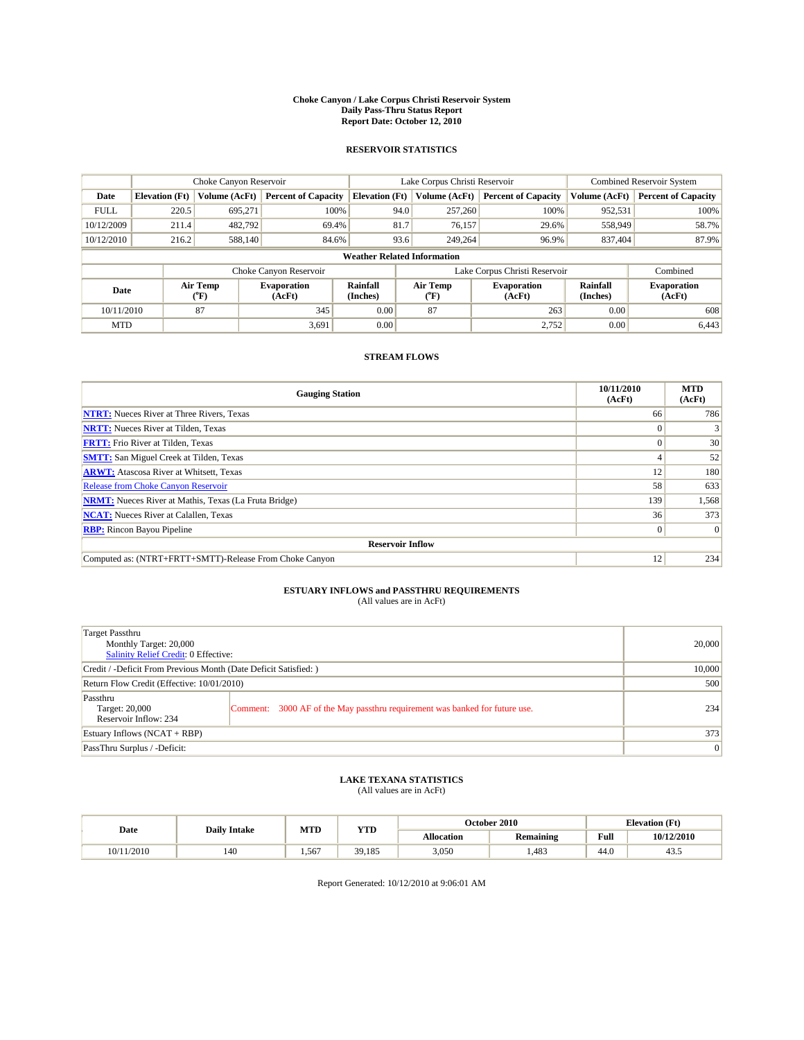#### **Choke Canyon / Lake Corpus Christi Reservoir System Daily Pass-Thru Status Report Report Date: October 12, 2010**

## **RESERVOIR STATISTICS**

|             | Choke Canyon Reservoir             |                  |                              |                       | Lake Corpus Christi Reservoir |                               |                      | <b>Combined Reservoir System</b> |  |  |
|-------------|------------------------------------|------------------|------------------------------|-----------------------|-------------------------------|-------------------------------|----------------------|----------------------------------|--|--|
| Date        | <b>Elevation</b> (Ft)              | Volume (AcFt)    | <b>Percent of Capacity</b>   | <b>Elevation</b> (Ft) | Volume (AcFt)                 | <b>Percent of Capacity</b>    | Volume (AcFt)        | <b>Percent of Capacity</b>       |  |  |
| <b>FULL</b> | 220.5                              | 695,271          | 100%                         | 94.0                  | 257,260                       | 100%                          | 952,531              | 100%                             |  |  |
| 10/12/2009  | 211.4                              | 482,792          | 69.4%                        | 81.7                  | 76,157                        | 29.6%                         | 558,949              | 58.7%                            |  |  |
| 10/12/2010  | 216.2                              | 588,140          | 84.6%                        | 93.6                  | 249,264                       | 96.9%                         | 837,404              | 87.9%                            |  |  |
|             | <b>Weather Related Information</b> |                  |                              |                       |                               |                               |                      |                                  |  |  |
|             |                                    |                  | Choke Canyon Reservoir       |                       |                               | Lake Corpus Christi Reservoir |                      | Combined                         |  |  |
| Date        |                                    | Air Temp<br>(°F) | <b>Evaporation</b><br>(AcFt) | Rainfall<br>(Inches)  | Air Temp<br>("F)              | <b>Evaporation</b><br>(AcFt)  | Rainfall<br>(Inches) | <b>Evaporation</b><br>(AcFt)     |  |  |
| 10/11/2010  |                                    | 87               | 345                          | 0.00                  | 87                            | 263                           | 0.00                 | 608                              |  |  |
| <b>MTD</b>  |                                    |                  | 3.691                        | 0.00                  |                               | 2,752                         | 0.00                 | 6,443                            |  |  |

## **STREAM FLOWS**

| <b>Gauging Station</b>                                       | 10/11/2010<br>(AcFt) | <b>MTD</b><br>(AcFt) |  |  |  |  |
|--------------------------------------------------------------|----------------------|----------------------|--|--|--|--|
| <b>NTRT:</b> Nueces River at Three Rivers, Texas             | 66                   | 786                  |  |  |  |  |
| <b>NRTT:</b> Nueces River at Tilden, Texas                   |                      |                      |  |  |  |  |
| <b>FRTT:</b> Frio River at Tilden, Texas                     |                      | 30                   |  |  |  |  |
| <b>SMTT:</b> San Miguel Creek at Tilden, Texas               |                      | 52                   |  |  |  |  |
| <b>ARWT:</b> Atascosa River at Whitsett, Texas               | 12                   | 180                  |  |  |  |  |
| <b>Release from Choke Canyon Reservoir</b>                   | 58                   | 633                  |  |  |  |  |
| <b>NRMT:</b> Nueces River at Mathis, Texas (La Fruta Bridge) | 139                  | 1,568                |  |  |  |  |
| <b>NCAT:</b> Nueces River at Calallen, Texas                 | 36                   | 373                  |  |  |  |  |
| <b>RBP:</b> Rincon Bayou Pipeline                            | $\theta$             | $\Omega$             |  |  |  |  |
| <b>Reservoir Inflow</b>                                      |                      |                      |  |  |  |  |
| Computed as: (NTRT+FRTT+SMTT)-Release From Choke Canyon      | 12                   | 234                  |  |  |  |  |

# **ESTUARY INFLOWS and PASSTHRU REQUIREMENTS**<br>(All values are in AcFt)

| Target Passthru<br>Monthly Target: 20,000<br><b>Salinity Relief Credit: 0 Effective:</b> |                                                                             | 20,000 |
|------------------------------------------------------------------------------------------|-----------------------------------------------------------------------------|--------|
| Credit / -Deficit From Previous Month (Date Deficit Satisfied: )                         | 10,000                                                                      |        |
| Return Flow Credit (Effective: 10/01/2010)                                               | 500                                                                         |        |
| Passthru<br>Target: 20,000<br>Reservoir Inflow: 234                                      | Comment: 3000 AF of the May passthru requirement was banked for future use. | 234    |
| Estuary Inflows $(NCAT + RBP)$                                                           | 373                                                                         |        |
| PassThru Surplus / -Deficit:                                                             | $\vert 0 \vert$                                                             |        |

## **LAKE TEXANA STATISTICS** (All values are in AcFt)

|        |                     | MTD   | <b>YTD</b> |            | October 2010     |                                         | <b>Elevation</b> (Ft) |
|--------|---------------------|-------|------------|------------|------------------|-----------------------------------------|-----------------------|
| Date   | <b>Daily Intake</b> |       |            | Allocation | <b>Remaining</b> | Full<br>the contract of the contract of | 10/12/2010            |
| 1/2010 | 140                 | 1.567 | 39,185     | 3,050      | ,483             | 44.0                                    | 43.5                  |

Report Generated: 10/12/2010 at 9:06:01 AM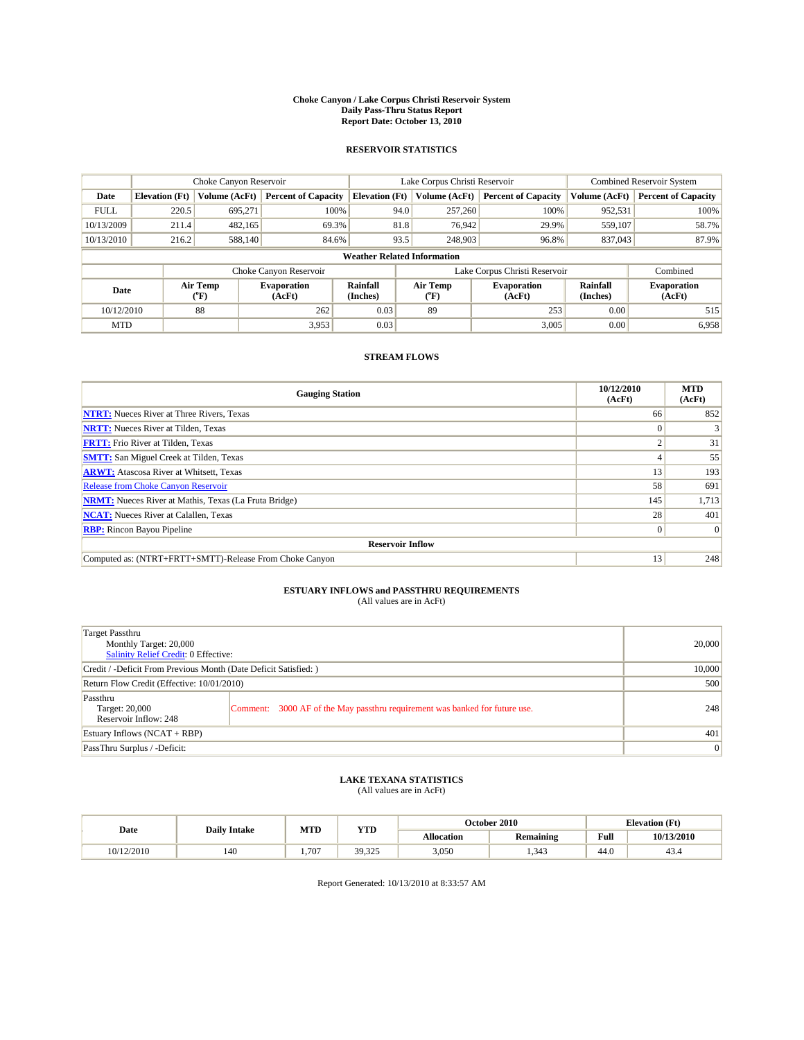#### **Choke Canyon / Lake Corpus Christi Reservoir System Daily Pass-Thru Status Report Report Date: October 13, 2010**

## **RESERVOIR STATISTICS**

|             |                       | Choke Canyon Reservoir |                              |                                    | Lake Corpus Christi Reservoir                                            |                               |               | <b>Combined Reservoir System</b> |  |
|-------------|-----------------------|------------------------|------------------------------|------------------------------------|--------------------------------------------------------------------------|-------------------------------|---------------|----------------------------------|--|
| Date        | <b>Elevation</b> (Ft) | Volume (AcFt)          | <b>Percent of Capacity</b>   | <b>Elevation</b> (Ft)              | Volume (AcFt)                                                            | <b>Percent of Capacity</b>    | Volume (AcFt) | <b>Percent of Capacity</b>       |  |
| <b>FULL</b> | 220.5                 | 695,271                | 100%                         | 94.0                               | 257,260                                                                  | 100%                          | 952,531       | 100%                             |  |
| 10/13/2009  | 211.4                 | 482,165                | 69.3%                        |                                    | 81.8<br>76,942                                                           | 29.9%                         | 559,107       | 58.7%                            |  |
| 10/13/2010  | 216.2                 | 588,140                | 84.6%                        | 93.5                               | 248,903                                                                  | 96.8%                         | 837,043       | 87.9%                            |  |
|             |                       |                        |                              | <b>Weather Related Information</b> |                                                                          |                               |               |                                  |  |
|             |                       |                        | Choke Canyon Reservoir       |                                    |                                                                          | Lake Corpus Christi Reservoir |               | Combined                         |  |
| Date        |                       | Air Temp<br>(°F)       | <b>Evaporation</b><br>(AcFt) | <b>Rainfall</b><br>(Inches)        | Rainfall<br>Air Temp<br><b>Evaporation</b><br>(Inches)<br>(AcFt)<br>(°F) |                               |               | <b>Evaporation</b><br>(AcFt)     |  |
| 10/12/2010  |                       | 88                     | 262                          | 0.03                               | 89                                                                       | 253                           | 0.00          | 515                              |  |
| <b>MTD</b>  |                       |                        | 3,953                        | 0.03                               |                                                                          | 3,005                         | 0.00          | 6,958                            |  |

## **STREAM FLOWS**

| <b>Gauging Station</b>                                       | 10/12/2010<br>(AcFt) | <b>MTD</b><br>(AcFt) |  |  |  |  |
|--------------------------------------------------------------|----------------------|----------------------|--|--|--|--|
| <b>NTRT:</b> Nueces River at Three Rivers, Texas             | 66                   | 852                  |  |  |  |  |
| <b>NRTT:</b> Nueces River at Tilden, Texas                   | $\Omega$             |                      |  |  |  |  |
| <b>FRTT:</b> Frio River at Tilden, Texas                     | $\sim$               | 31                   |  |  |  |  |
| <b>SMTT:</b> San Miguel Creek at Tilden, Texas               |                      | 55                   |  |  |  |  |
| <b>ARWT:</b> Atascosa River at Whitsett, Texas               | 13                   | 193                  |  |  |  |  |
| <b>Release from Choke Canyon Reservoir</b>                   | 58                   | 691                  |  |  |  |  |
| <b>NRMT:</b> Nueces River at Mathis, Texas (La Fruta Bridge) | 145                  | 1,713                |  |  |  |  |
| <b>NCAT:</b> Nueces River at Calallen, Texas                 | 28                   | 401                  |  |  |  |  |
| <b>RBP:</b> Rincon Bayou Pipeline                            | $\overline{0}$       | $\Omega$             |  |  |  |  |
| <b>Reservoir Inflow</b>                                      |                      |                      |  |  |  |  |
| Computed as: (NTRT+FRTT+SMTT)-Release From Choke Canyon      | 13                   | 248                  |  |  |  |  |

# **ESTUARY INFLOWS and PASSTHRU REQUIREMENTS**<br>(All values are in AcFt)

| Target Passthru<br>Monthly Target: 20,000<br>Salinity Relief Credit: 0 Effective: | 20,000                                                                      |                 |
|-----------------------------------------------------------------------------------|-----------------------------------------------------------------------------|-----------------|
| Credit / -Deficit From Previous Month (Date Deficit Satisfied: )                  | 10,000                                                                      |                 |
| Return Flow Credit (Effective: 10/01/2010)                                        |                                                                             | 500             |
| Passthru<br>Target: 20,000<br>Reservoir Inflow: 248                               | Comment: 3000 AF of the May passthru requirement was banked for future use. | 248             |
| Estuary Inflows $(NCAT + RBP)$                                                    |                                                                             | 401             |
| PassThru Surplus / -Deficit:                                                      |                                                                             | $\vert 0 \vert$ |

# **LAKE TEXANA STATISTICS** (All values are in AcFt)

|            | <b>Daily Intake</b> | MTD   | <b>YTD</b> | October 2010 |           |      | <b>Elevation</b> (Ft) |
|------------|---------------------|-------|------------|--------------|-----------|------|-----------------------|
| Date       |                     |       |            | Allocation   | Remaining | Full | 10/13/2010            |
| 10/12/2010 | 140                 | 1.707 | 39,325     | 3,050        | 1.343     | 44.0 | 43.4                  |

Report Generated: 10/13/2010 at 8:33:57 AM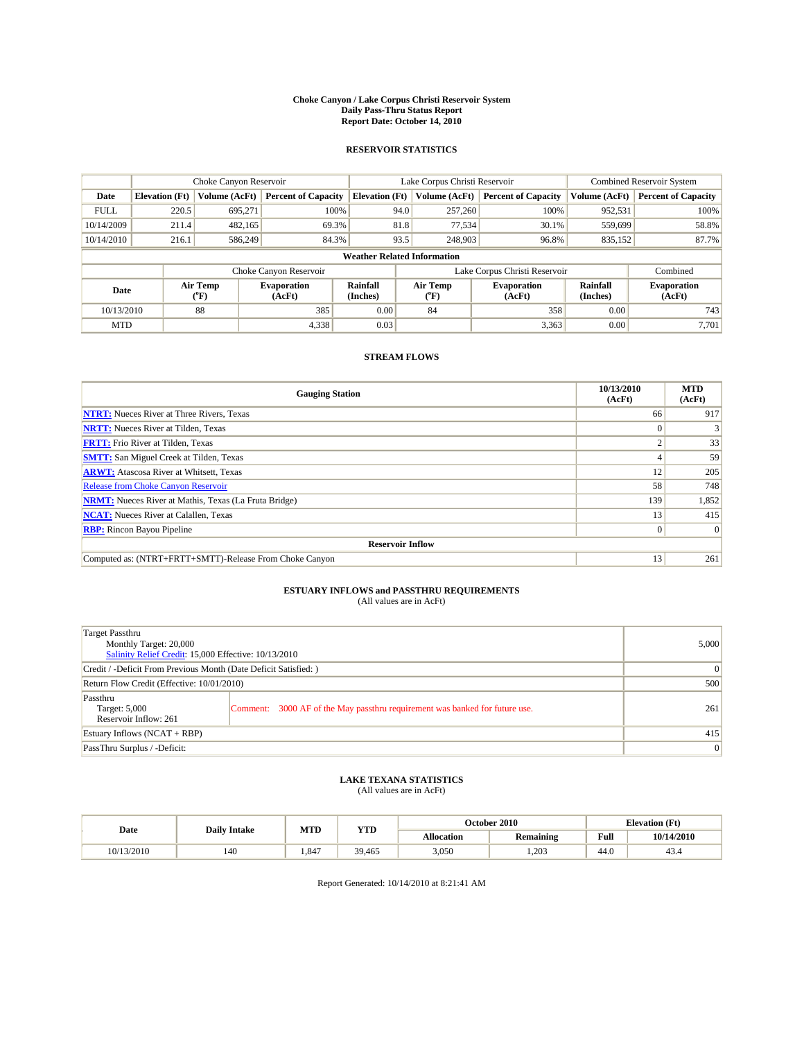#### **Choke Canyon / Lake Corpus Christi Reservoir System Daily Pass-Thru Status Report Report Date: October 14, 2010**

## **RESERVOIR STATISTICS**

|             |                                    | Choke Canyon Reservoir |                              |                             | Lake Corpus Christi Reservoir                    |                               |                      | <b>Combined Reservoir System</b> |  |  |
|-------------|------------------------------------|------------------------|------------------------------|-----------------------------|--------------------------------------------------|-------------------------------|----------------------|----------------------------------|--|--|
| Date        | <b>Elevation</b> (Ft)              | Volume (AcFt)          | <b>Percent of Capacity</b>   | <b>Elevation</b> (Ft)       | Volume (AcFt)                                    | <b>Percent of Capacity</b>    | Volume (AcFt)        | <b>Percent of Capacity</b>       |  |  |
| <b>FULL</b> | 220.5                              | 695,271                | 100%                         | 94.0                        | 257,260                                          | 100%                          | 952,531              | 100%                             |  |  |
| 10/14/2009  | 211.4                              | 482,165                | 69.3%                        | 81.8                        | 77,534                                           | 30.1%                         | 559,699              | 58.8%                            |  |  |
| 10/14/2010  | 216.1                              | 586,249                | 84.3%                        | 93.5                        | 248,903                                          | 96.8%                         | 835,152              | 87.7%                            |  |  |
|             | <b>Weather Related Information</b> |                        |                              |                             |                                                  |                               |                      |                                  |  |  |
|             |                                    |                        | Choke Canyon Reservoir       |                             |                                                  | Lake Corpus Christi Reservoir |                      | Combined                         |  |  |
| Date        |                                    | Air Temp<br>(°F)       | <b>Evaporation</b><br>(AcFt) | <b>Rainfall</b><br>(Inches) | Air Temp<br><b>Evaporation</b><br>(AcFt)<br>(°F) |                               | Rainfall<br>(Inches) | <b>Evaporation</b><br>(AcFt)     |  |  |
| 10/13/2010  |                                    | 88                     | 385                          | 0.00                        | 84                                               | 358                           | 0.00                 | 743                              |  |  |
| <b>MTD</b>  |                                    |                        | 4,338                        | 0.03                        |                                                  | 3,363                         | 0.00                 | 7.701                            |  |  |

## **STREAM FLOWS**

| <b>Gauging Station</b>                                       | 10/13/2010<br>(AcFt) | <b>MTD</b><br>(AcFt) |  |  |  |  |
|--------------------------------------------------------------|----------------------|----------------------|--|--|--|--|
| <b>NTRT:</b> Nueces River at Three Rivers, Texas             | 66                   | 917                  |  |  |  |  |
| <b>NRTT:</b> Nueces River at Tilden, Texas                   | $\Omega$             |                      |  |  |  |  |
| <b>FRTT:</b> Frio River at Tilden, Texas                     | $\sim$               | 33                   |  |  |  |  |
| <b>SMTT:</b> San Miguel Creek at Tilden, Texas               |                      | 59                   |  |  |  |  |
| <b>ARWT:</b> Atascosa River at Whitsett, Texas               | 12                   | 205                  |  |  |  |  |
| <b>Release from Choke Canyon Reservoir</b>                   | 58                   | 748                  |  |  |  |  |
| <b>NRMT:</b> Nueces River at Mathis, Texas (La Fruta Bridge) | 139                  | 1,852                |  |  |  |  |
| <b>NCAT:</b> Nueces River at Calallen, Texas                 | 13                   | 415                  |  |  |  |  |
| <b>RBP:</b> Rincon Bayou Pipeline                            | $\overline{0}$       | $\Omega$             |  |  |  |  |
| <b>Reservoir Inflow</b>                                      |                      |                      |  |  |  |  |
| Computed as: (NTRT+FRTT+SMTT)-Release From Choke Canyon      | 13                   | 261                  |  |  |  |  |

# **ESTUARY INFLOWS and PASSTHRU REQUIREMENTS**<br>(All values are in AcFt)

| Target Passthru<br>Monthly Target: 20,000<br>Salinity Relief Credit: 15,000 Effective: 10/13/2010 | 5,000                                                                       |                 |
|---------------------------------------------------------------------------------------------------|-----------------------------------------------------------------------------|-----------------|
| Credit / -Deficit From Previous Month (Date Deficit Satisfied: )                                  |                                                                             | 0               |
| Return Flow Credit (Effective: 10/01/2010)                                                        |                                                                             | 500             |
| Passthru<br>Target: 5,000<br>Reservoir Inflow: 261                                                | Comment: 3000 AF of the May passthru requirement was banked for future use. | 261             |
| Estuary Inflows $(NCAT + RBP)$                                                                    | 415                                                                         |                 |
| PassThru Surplus / -Deficit:                                                                      |                                                                             | $\vert 0 \vert$ |

# **LAKE TEXANA STATISTICS** (All values are in AcFt)

|            | <b>Daily Intake</b> |      | MTD<br><b>YTD</b> |            | October 2010     | <b>Elevation</b> (Ft)                   |            |
|------------|---------------------|------|-------------------|------------|------------------|-----------------------------------------|------------|
| Date       |                     |      |                   | Allocation | <b>Remaining</b> | Full<br>the contract of the contract of | 10/14/2010 |
| 10/13/2010 | 140                 | .847 | 39,465            | 3,050      | .203             | 44.0                                    | 43.4       |

Report Generated: 10/14/2010 at 8:21:41 AM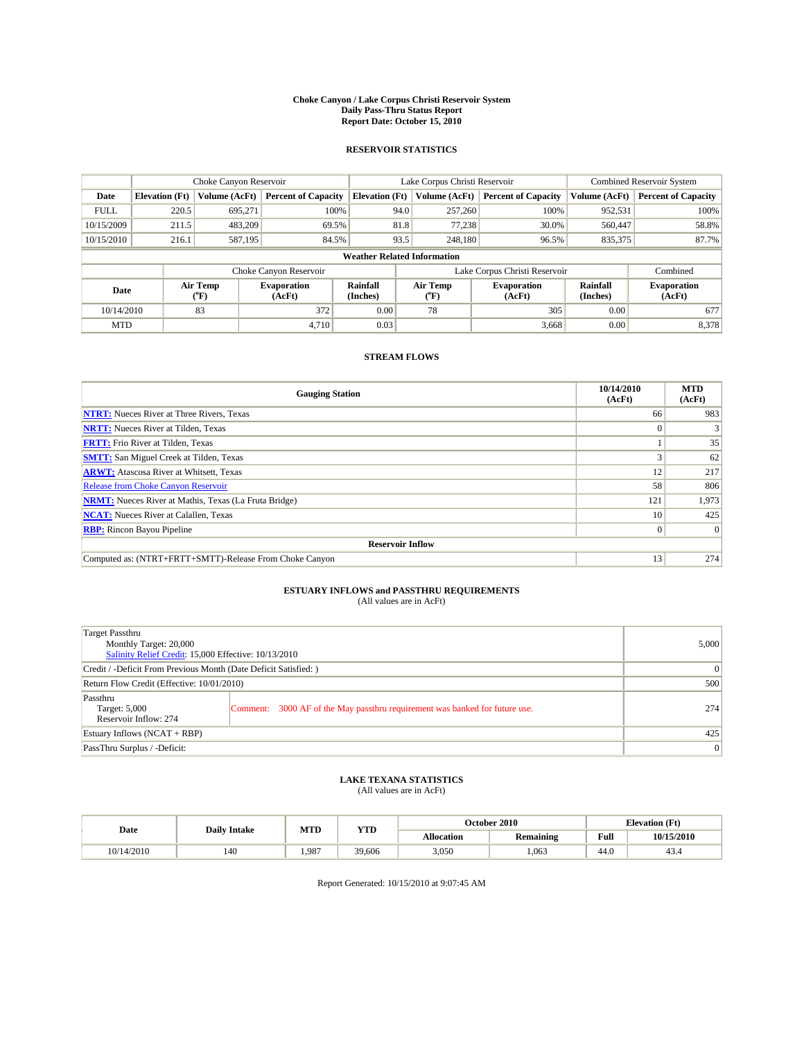#### **Choke Canyon / Lake Corpus Christi Reservoir System Daily Pass-Thru Status Report Report Date: October 15, 2010**

## **RESERVOIR STATISTICS**

|             |                       | Choke Canyon Reservoir |                              |                                    | Lake Corpus Christi Reservoir                                            |                               |               | <b>Combined Reservoir System</b> |  |
|-------------|-----------------------|------------------------|------------------------------|------------------------------------|--------------------------------------------------------------------------|-------------------------------|---------------|----------------------------------|--|
| Date        | <b>Elevation</b> (Ft) | Volume (AcFt)          | <b>Percent of Capacity</b>   | <b>Elevation</b> (Ft)              | Volume (AcFt)                                                            | <b>Percent of Capacity</b>    | Volume (AcFt) | <b>Percent of Capacity</b>       |  |
| <b>FULL</b> | 220.5                 | 695,271                | 100%                         | 94.0                               | 257,260                                                                  | 100%                          | 952,531       | 100%                             |  |
| 10/15/2009  | 211.5                 | 483.209                | 69.5%                        | 81.8                               | 77,238                                                                   | 30.0%                         | 560,447       | 58.8%                            |  |
| 10/15/2010  | 216.1                 | 587,195                | 84.5%                        | 93.5                               | 248,180                                                                  | 96.5%                         | 835,375       | 87.7%                            |  |
|             |                       |                        |                              | <b>Weather Related Information</b> |                                                                          |                               |               |                                  |  |
|             |                       |                        | Choke Canyon Reservoir       |                                    |                                                                          | Lake Corpus Christi Reservoir |               | Combined                         |  |
| Date        |                       | Air Temp<br>(°F)       | <b>Evaporation</b><br>(AcFt) | Rainfall<br>(Inches)               | Air Temp<br>Rainfall<br><b>Evaporation</b><br>(Inches)<br>(AcFt)<br>("F) |                               |               | <b>Evaporation</b><br>(AcFt)     |  |
| 10/14/2010  |                       | 83                     | 372                          | 0.00                               | 78                                                                       | 305                           | 0.00          | 677                              |  |
| <b>MTD</b>  |                       |                        | 4.710                        | 0.03                               |                                                                          | 3,668                         | 0.00          | 8,378                            |  |

## **STREAM FLOWS**

| <b>Gauging Station</b>                                       | 10/14/2010<br>(AcFt) | <b>MTD</b><br>(AcFt) |  |  |  |  |
|--------------------------------------------------------------|----------------------|----------------------|--|--|--|--|
| <b>NTRT:</b> Nueces River at Three Rivers, Texas             | 66                   | 983                  |  |  |  |  |
| <b>NRTT:</b> Nueces River at Tilden, Texas                   | $\Omega$             |                      |  |  |  |  |
| <b>FRTT:</b> Frio River at Tilden, Texas                     |                      | 35                   |  |  |  |  |
| <b>SMTT:</b> San Miguel Creek at Tilden, Texas               |                      | 62                   |  |  |  |  |
| <b>ARWT:</b> Atascosa River at Whitsett, Texas               | 12                   | 217                  |  |  |  |  |
| Release from Choke Canyon Reservoir                          | 58                   | 806                  |  |  |  |  |
| <b>NRMT:</b> Nueces River at Mathis, Texas (La Fruta Bridge) | 121                  | 1,973                |  |  |  |  |
| <b>NCAT:</b> Nueces River at Calallen, Texas                 | 10 <sup>1</sup>      | 425                  |  |  |  |  |
| <b>RBP:</b> Rincon Bayou Pipeline                            | $\overline{0}$       | $\Omega$             |  |  |  |  |
| <b>Reservoir Inflow</b>                                      |                      |                      |  |  |  |  |
| Computed as: (NTRT+FRTT+SMTT)-Release From Choke Canyon      | 13                   | 274                  |  |  |  |  |

## **ESTUARY INFLOWS and PASSTHRU REQUIREMENTS**

|  | (All values are in AcFt) |
|--|--------------------------|
|--|--------------------------|

| Target Passthru<br>Monthly Target: 20,000<br>Salinity Relief Credit: 15,000 Effective: 10/13/2010 | 5,000                                                                       |                 |
|---------------------------------------------------------------------------------------------------|-----------------------------------------------------------------------------|-----------------|
| Credit / -Deficit From Previous Month (Date Deficit Satisfied: )                                  | 0                                                                           |                 |
| Return Flow Credit (Effective: 10/01/2010)                                                        |                                                                             | 500             |
| Passthru<br>Target: 5,000<br>Reservoir Inflow: 274                                                | Comment: 3000 AF of the May passthru requirement was banked for future use. | 274             |
| Estuary Inflows (NCAT + RBP)                                                                      | 425                                                                         |                 |
| PassThru Surplus / -Deficit:                                                                      |                                                                             | $\vert 0 \vert$ |

## **LAKE TEXANA STATISTICS** (All values are in AcFt)

|            |                     | MTD   | <b>YTD</b> | October 2010<br><b>Elevation</b> (Ft) |                  |                                         |            |
|------------|---------------------|-------|------------|---------------------------------------|------------------|-----------------------------------------|------------|
| Date       | <b>Daily Intake</b> |       |            | Allocation                            | <b>Remaining</b> | Full<br>the contract of the contract of | 10/15/2010 |
| 10/14/2010 | 140                 | 1.987 | 39,606     | 3,050                                 | .063             | 44.0                                    | 45.4       |

Report Generated: 10/15/2010 at 9:07:45 AM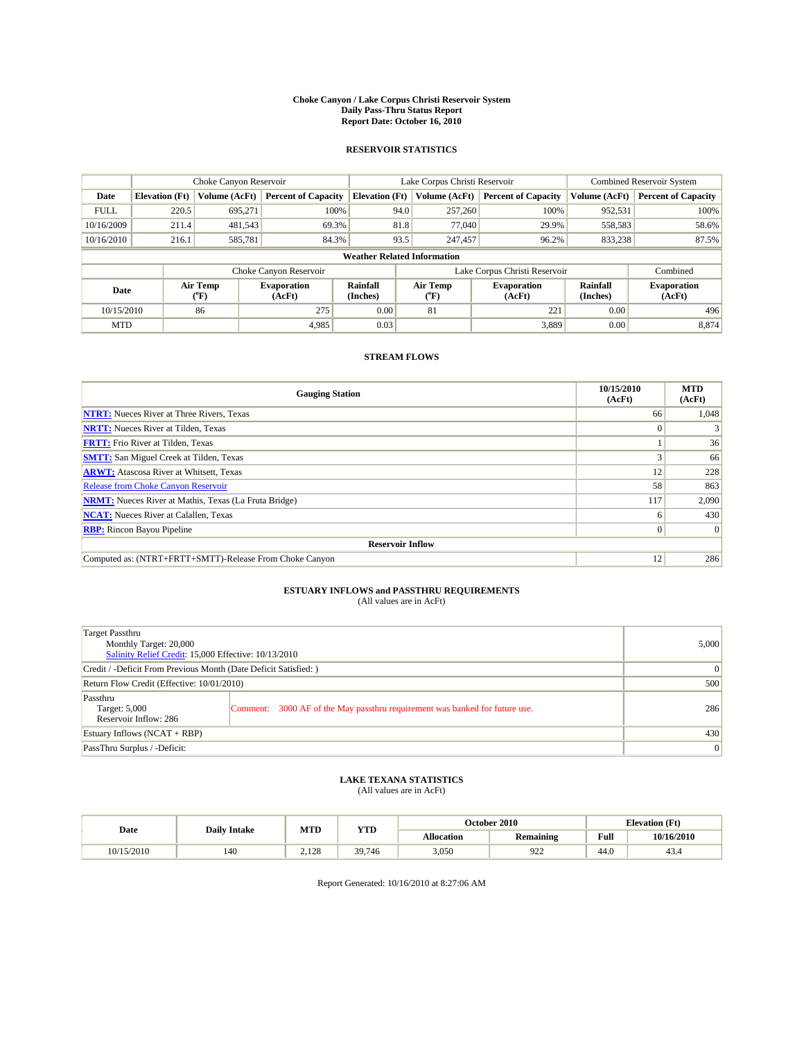#### **Choke Canyon / Lake Corpus Christi Reservoir System Daily Pass-Thru Status Report Report Date: October 16, 2010**

## **RESERVOIR STATISTICS**

|             | Choke Canyon Reservoir                                                                                                        |               |                            |                                    | Lake Corpus Christi Reservoir |                              |                            |               | <b>Combined Reservoir System</b> |  |
|-------------|-------------------------------------------------------------------------------------------------------------------------------|---------------|----------------------------|------------------------------------|-------------------------------|------------------------------|----------------------------|---------------|----------------------------------|--|
| Date        | <b>Elevation</b> (Ft)                                                                                                         | Volume (AcFt) | <b>Percent of Capacity</b> | <b>Elevation</b> (Ft)              |                               | Volume (AcFt)                | <b>Percent of Capacity</b> | Volume (AcFt) | <b>Percent of Capacity</b>       |  |
| <b>FULL</b> | 220.5                                                                                                                         | 695,271       | 100%                       |                                    | 94.0                          | 257,260                      | 100%                       | 952,531       | 100%                             |  |
| 10/16/2009  | 211.4                                                                                                                         | 481,543       | 69.3%                      |                                    | 81.8                          | 77,040                       | 29.9%                      | 558,583       | 58.6%                            |  |
| 10/16/2010  | 216.1                                                                                                                         | 585,781       | 84.3%                      |                                    | 93.5                          | 247,457                      | 96.2%                      | 833,238       | 87.5%                            |  |
|             |                                                                                                                               |               |                            | <b>Weather Related Information</b> |                               |                              |                            |               |                                  |  |
|             |                                                                                                                               |               | Choke Canyon Reservoir     |                                    | Lake Corpus Christi Reservoir |                              |                            | Combined      |                                  |  |
|             | Air Temp<br>Rainfall<br>Air Temp<br><b>Evaporation</b><br>Date<br>(Inches)<br>(AcFt)<br>$({}^{\mathrm{o}}\mathrm{F})$<br>(°F) |               |                            | <b>Evaporation</b><br>(AcFt)       | Rainfall<br>(Inches)          | <b>Evaporation</b><br>(AcFt) |                            |               |                                  |  |
| 10/15/2010  |                                                                                                                               | 86            | 275                        | 0.00                               | 81                            |                              | 221                        | 0.00          | 496                              |  |
| <b>MTD</b>  |                                                                                                                               |               | 4.985                      | 0.03                               |                               |                              | 3,889                      | 0.00          | 8,874                            |  |

## **STREAM FLOWS**

| <b>Gauging Station</b>                                       | 10/15/2010<br>(AcFt) | <b>MTD</b><br>(AcFt) |  |  |  |  |
|--------------------------------------------------------------|----------------------|----------------------|--|--|--|--|
| <b>NTRT:</b> Nueces River at Three Rivers, Texas             | 66                   | 1,048                |  |  |  |  |
| <b>NRTT:</b> Nueces River at Tilden, Texas                   |                      |                      |  |  |  |  |
| <b>FRTT:</b> Frio River at Tilden, Texas                     |                      | 36                   |  |  |  |  |
| <b>SMTT:</b> San Miguel Creek at Tilden, Texas               |                      | 66                   |  |  |  |  |
| <b>ARWT:</b> Atascosa River at Whitsett, Texas               | 12                   | 228                  |  |  |  |  |
| <b>Release from Choke Canyon Reservoir</b>                   | 58                   | 863                  |  |  |  |  |
| <b>NRMT:</b> Nueces River at Mathis, Texas (La Fruta Bridge) | 117                  | 2,090                |  |  |  |  |
| <b>NCAT:</b> Nueces River at Calallen, Texas                 | n                    | 430                  |  |  |  |  |
| <b>RBP:</b> Rincon Bayou Pipeline                            | 0                    | $\Omega$             |  |  |  |  |
| <b>Reservoir Inflow</b>                                      |                      |                      |  |  |  |  |
| Computed as: (NTRT+FRTT+SMTT)-Release From Choke Canyon      | 12                   | 286                  |  |  |  |  |

## **ESTUARY INFLOWS and PASSTHRU REQUIREMENTS**

|  | (All values are in AcFt) |
|--|--------------------------|
|--|--------------------------|

| Target Passthru<br>Monthly Target: 20,000<br>Salinity Relief Credit: 15,000 Effective: 10/13/2010 | 5,000                                                                       |                 |
|---------------------------------------------------------------------------------------------------|-----------------------------------------------------------------------------|-----------------|
| Credit / -Deficit From Previous Month (Date Deficit Satisfied: )                                  | 0                                                                           |                 |
| Return Flow Credit (Effective: 10/01/2010)                                                        | 500                                                                         |                 |
| Passthru<br>Target: 5,000<br>Reservoir Inflow: 286                                                | Comment: 3000 AF of the May passthru requirement was banked for future use. | 286             |
| Estuary Inflows (NCAT + RBP)                                                                      | 430                                                                         |                 |
| PassThru Surplus / -Deficit:                                                                      |                                                                             | $\vert 0 \vert$ |

## **LAKE TEXANA STATISTICS** (All values are in AcFt)

|            |                     | MTD   | <b>YTD</b> | October 2010<br><b>Elevation</b> (Ft) |           |      |            |
|------------|---------------------|-------|------------|---------------------------------------|-----------|------|------------|
| Date       | <b>Daily Intake</b> |       |            | Allocation                            | Remaining | Full | 10/16/2010 |
| 10/15/2010 | 140                 | 2.128 | 39,746     | 3,050                                 | 922       | 44.0 | 43.4       |

Report Generated: 10/16/2010 at 8:27:06 AM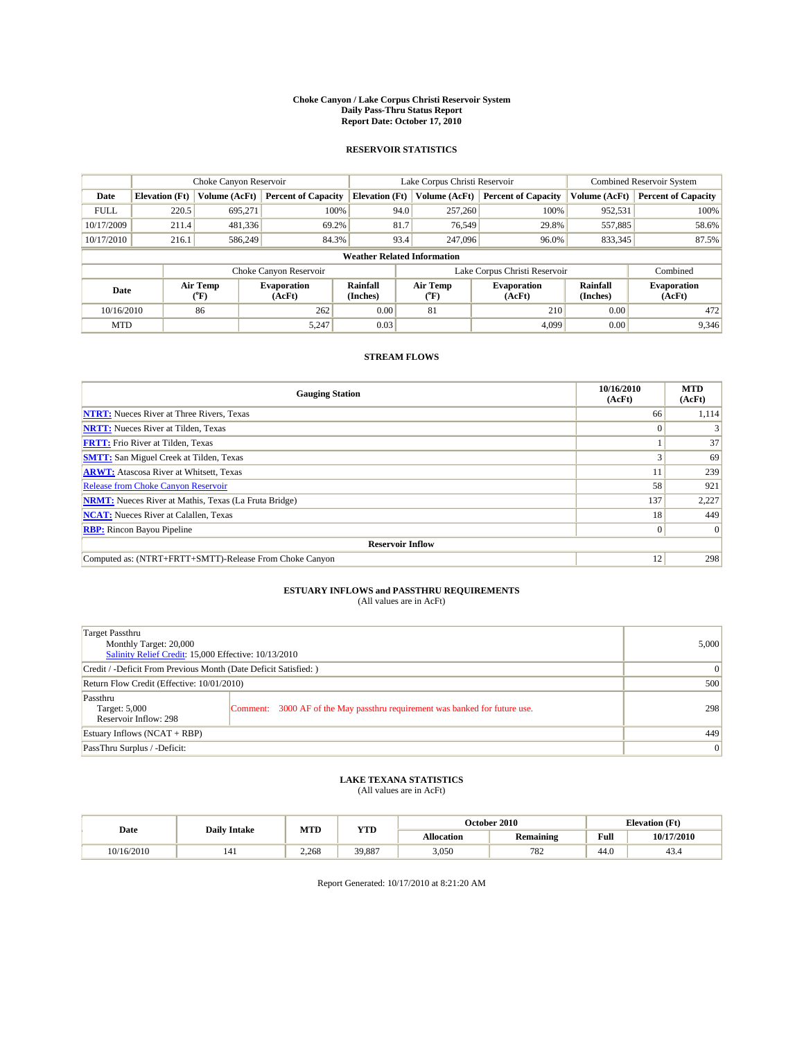#### **Choke Canyon / Lake Corpus Christi Reservoir System Daily Pass-Thru Status Report Report Date: October 17, 2010**

## **RESERVOIR STATISTICS**

|             | Choke Canyon Reservoir                                                                                                                                           |               |                            |                                    | Lake Corpus Christi Reservoir | <b>Combined Reservoir System</b> |               |                            |
|-------------|------------------------------------------------------------------------------------------------------------------------------------------------------------------|---------------|----------------------------|------------------------------------|-------------------------------|----------------------------------|---------------|----------------------------|
| Date        | <b>Elevation</b> (Ft)                                                                                                                                            | Volume (AcFt) | <b>Percent of Capacity</b> | <b>Elevation</b> (Ft)              | Volume (AcFt)                 | <b>Percent of Capacity</b>       | Volume (AcFt) | <b>Percent of Capacity</b> |
| <b>FULL</b> | 220.5                                                                                                                                                            | 695,271       | 100%                       | 94.0                               | 257,260                       | 100%                             | 952,531       | 100%                       |
| 10/17/2009  | 211.4                                                                                                                                                            | 481,336       | 69.2%                      | 81.7                               | 76,549                        | 29.8%                            | 557,885       | 58.6%                      |
| 10/17/2010  | 216.1                                                                                                                                                            | 586,249       | 84.3%                      | 93.4                               | 247,096                       | 96.0%                            | 833,345       | 87.5%                      |
|             |                                                                                                                                                                  |               |                            | <b>Weather Related Information</b> |                               |                                  |               |                            |
|             |                                                                                                                                                                  |               | Choke Canyon Reservoir     |                                    | Lake Corpus Christi Reservoir |                                  |               | Combined                   |
|             | Air Temp<br>Air Temp<br>Rainfall<br><b>Evaporation</b><br><b>Evaporation</b><br>Date<br>(Inches)<br>(AcFt)<br>(AcFt)<br>$({}^o\mathrm{F})$<br>$({}^o\mathrm{F})$ |               |                            | Rainfall<br>(Inches)               | <b>Evaporation</b><br>(AcFt)  |                                  |               |                            |
| 10/16/2010  |                                                                                                                                                                  | 86            | 262                        | 0.00                               | 81                            | 210                              | 0.00          | 472                        |
| <b>MTD</b>  |                                                                                                                                                                  |               | 5,247                      | 0.03                               |                               | 4.099                            | 0.00          | 9,346                      |

## **STREAM FLOWS**

| <b>Gauging Station</b>                                       | 10/16/2010<br>(AcFt) | <b>MTD</b><br>(AcFt) |
|--------------------------------------------------------------|----------------------|----------------------|
| <b>NTRT:</b> Nueces River at Three Rivers, Texas             | 66                   | 1,114                |
| <b>NRTT:</b> Nueces River at Tilden, Texas                   | $\Omega$             |                      |
| <b>FRTT:</b> Frio River at Tilden, Texas                     |                      | 37                   |
| <b>SMTT:</b> San Miguel Creek at Tilden, Texas               |                      | 69                   |
| <b>ARWT:</b> Atascosa River at Whitsett, Texas               |                      | 239                  |
| <b>Release from Choke Canyon Reservoir</b>                   | 58                   | 921                  |
| <b>NRMT:</b> Nueces River at Mathis, Texas (La Fruta Bridge) | 137                  | 2,227                |
| <b>NCAT:</b> Nueces River at Calallen, Texas                 | 18                   | 449                  |
| <b>RBP:</b> Rincon Bayou Pipeline                            | $\overline{0}$       | $\Omega$             |
| <b>Reservoir Inflow</b>                                      |                      |                      |
| Computed as: (NTRT+FRTT+SMTT)-Release From Choke Canyon      | 12                   | 298                  |

## **ESTUARY INFLOWS and PASSTHRU REQUIREMENTS**

|  | (All values are in AcFt) |
|--|--------------------------|
|--|--------------------------|

| Target Passthru<br>Monthly Target: 20,000<br>Salinity Relief Credit: 15,000 Effective: 10/13/2010 | 5,000                                                                       |     |  |  |  |  |
|---------------------------------------------------------------------------------------------------|-----------------------------------------------------------------------------|-----|--|--|--|--|
| Credit / -Deficit From Previous Month (Date Deficit Satisfied: )                                  | $\vert 0 \vert$                                                             |     |  |  |  |  |
| Return Flow Credit (Effective: 10/01/2010)                                                        |                                                                             |     |  |  |  |  |
| Passthru<br>Target: 5,000<br>Reservoir Inflow: 298                                                | Comment: 3000 AF of the May passthru requirement was banked for future use. | 298 |  |  |  |  |
| Estuary Inflows (NCAT + RBP)                                                                      | 449                                                                         |     |  |  |  |  |
| PassThru Surplus / -Deficit:                                                                      |                                                                             |     |  |  |  |  |

# **LAKE TEXANA STATISTICS** (All values are in AcFt)

|            |                     | MTD   | <b>YTD</b> | October 2010<br><b>Elevation</b> (Ft) |           |                                             |            |
|------------|---------------------|-------|------------|---------------------------------------|-----------|---------------------------------------------|------------|
| Date       | <b>Daily Intake</b> |       |            | Allocation                            | Remaining | Full<br>the contract of the contract of the | 10/17/2010 |
| 10/16/2010 | 141                 | 2.268 | 39,887     | 3,050                                 | 782       | 44.0                                        | 43.4       |

Report Generated: 10/17/2010 at 8:21:20 AM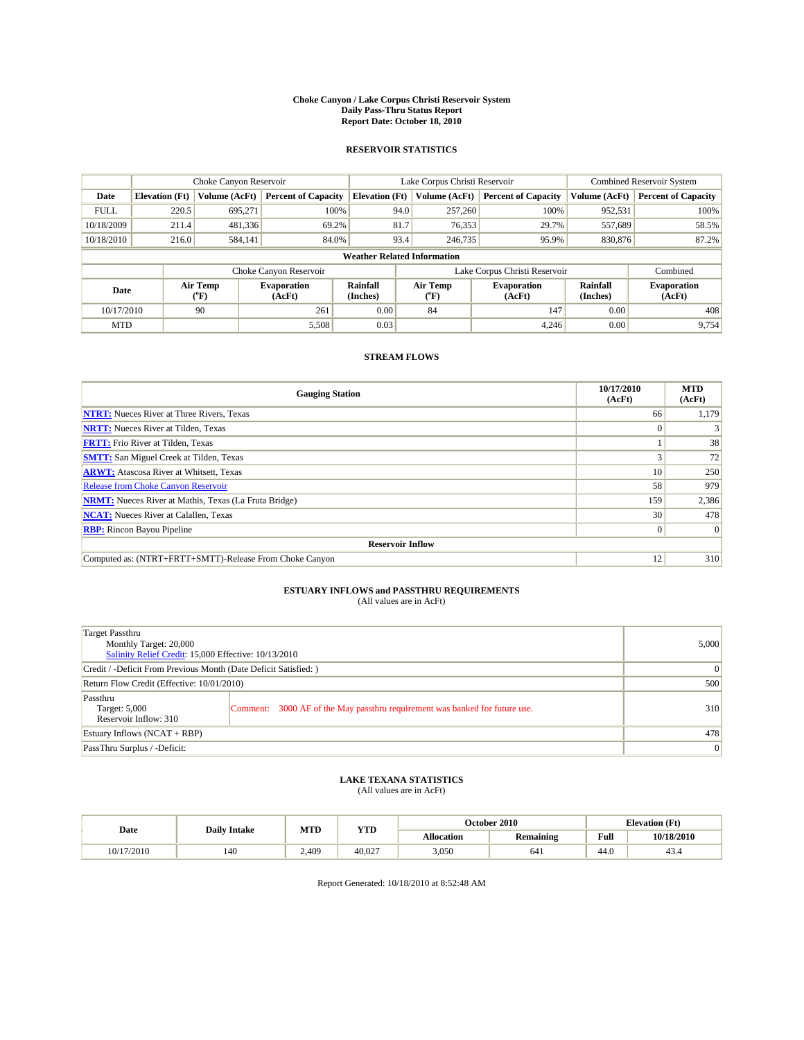#### **Choke Canyon / Lake Corpus Christi Reservoir System Daily Pass-Thru Status Report Report Date: October 18, 2010**

## **RESERVOIR STATISTICS**

|             | Choke Canyon Reservoir |                  |                              |                                    | Lake Corpus Christi Reservoir                    | <b>Combined Reservoir System</b> |                      |                              |
|-------------|------------------------|------------------|------------------------------|------------------------------------|--------------------------------------------------|----------------------------------|----------------------|------------------------------|
| Date        | <b>Elevation</b> (Ft)  | Volume (AcFt)    | <b>Percent of Capacity</b>   | <b>Elevation</b> (Ft)              | Volume (AcFt)                                    | <b>Percent of Capacity</b>       | Volume (AcFt)        | <b>Percent of Capacity</b>   |
| <b>FULL</b> | 220.5                  | 695,271          | 100%                         | 94.0                               | 257,260                                          | 100%                             | 952,531              | 100%                         |
| 10/18/2009  | 211.4                  | 481,336          | 69.2%                        | 81.7                               | 76,353                                           | 29.7%                            | 557,689              | 58.5%                        |
| 10/18/2010  | 216.0                  | 584,141          | 84.0%                        | 93.4                               | 246,735                                          | 95.9%                            | 830,876              | 87.2%                        |
|             |                        |                  |                              | <b>Weather Related Information</b> |                                                  |                                  |                      |                              |
|             |                        |                  | Choke Canyon Reservoir       |                                    | Lake Corpus Christi Reservoir                    |                                  |                      | Combined                     |
| Date        |                        | Air Temp<br>(°F) | <b>Evaporation</b><br>(AcFt) | Rainfall<br>(Inches)               | Air Temp<br><b>Evaporation</b><br>(AcFt)<br>("F) |                                  | Rainfall<br>(Inches) | <b>Evaporation</b><br>(AcFt) |
| 10/17/2010  |                        | 90               | 261                          | 0.00                               | 84                                               | 147                              | 0.00                 | 408                          |
| <b>MTD</b>  |                        |                  | 5,508                        | 0.03                               |                                                  | 4.246                            | 0.00                 | 9,754                        |

## **STREAM FLOWS**

| <b>Gauging Station</b>                                       | 10/17/2010<br>(AcFt) | <b>MTD</b><br>(AcFt) |
|--------------------------------------------------------------|----------------------|----------------------|
| <b>NTRT:</b> Nueces River at Three Rivers, Texas             | 66                   | 1,179                |
| <b>NRTT:</b> Nueces River at Tilden, Texas                   |                      |                      |
| <b>FRTT:</b> Frio River at Tilden, Texas                     |                      | 38                   |
| <b>SMTT:</b> San Miguel Creek at Tilden, Texas               |                      | 72                   |
| <b>ARWT:</b> Atascosa River at Whitsett, Texas               | 10                   | 250                  |
| <b>Release from Choke Canyon Reservoir</b>                   | 58                   | 979                  |
| <b>NRMT:</b> Nueces River at Mathis, Texas (La Fruta Bridge) | 159                  | 2,386                |
| <b>NCAT:</b> Nueces River at Calallen, Texas                 | 30                   | 478                  |
| <b>RBP:</b> Rincon Bayou Pipeline                            | $\theta$             | $\Omega$             |
| <b>Reservoir Inflow</b>                                      |                      |                      |
| Computed as: (NTRT+FRTT+SMTT)-Release From Choke Canyon      | 12                   | 310                  |

## **ESTUARY INFLOWS and PASSTHRU REQUIREMENTS**

|  | (All values are in AcFt) |
|--|--------------------------|
|--|--------------------------|

| Target Passthru<br>Monthly Target: 20,000<br>Salinity Relief Credit: 15,000 Effective: 10/13/2010 | 5,000                                                                       |                 |
|---------------------------------------------------------------------------------------------------|-----------------------------------------------------------------------------|-----------------|
| Credit / -Deficit From Previous Month (Date Deficit Satisfied: )                                  | $\vert 0 \vert$                                                             |                 |
| Return Flow Credit (Effective: 10/01/2010)                                                        | 500                                                                         |                 |
| Passthru<br>Target: 5,000<br>Reservoir Inflow: 310                                                | Comment: 3000 AF of the May passthru requirement was banked for future use. | 310             |
| Estuary Inflows (NCAT + RBP)                                                                      | 478                                                                         |                 |
| PassThru Surplus / -Deficit:                                                                      |                                                                             | $\vert 0 \vert$ |

# **LAKE TEXANA STATISTICS** (All values are in AcFt)

|            | <b>Daily Intake</b> | MTD<br><b>YTD</b> |        | October 2010 |           |                                             | <b>Elevation</b> (Ft) |
|------------|---------------------|-------------------|--------|--------------|-----------|---------------------------------------------|-----------------------|
| Date       |                     |                   |        | Allocation   | Remaining | Full<br>the contract of the contract of the | 10/18/2010            |
| 10/17/2010 | 140                 | 2.409             | 40.027 | 3,050        | 641       | 44.0                                        | 43.4                  |

Report Generated: 10/18/2010 at 8:52:48 AM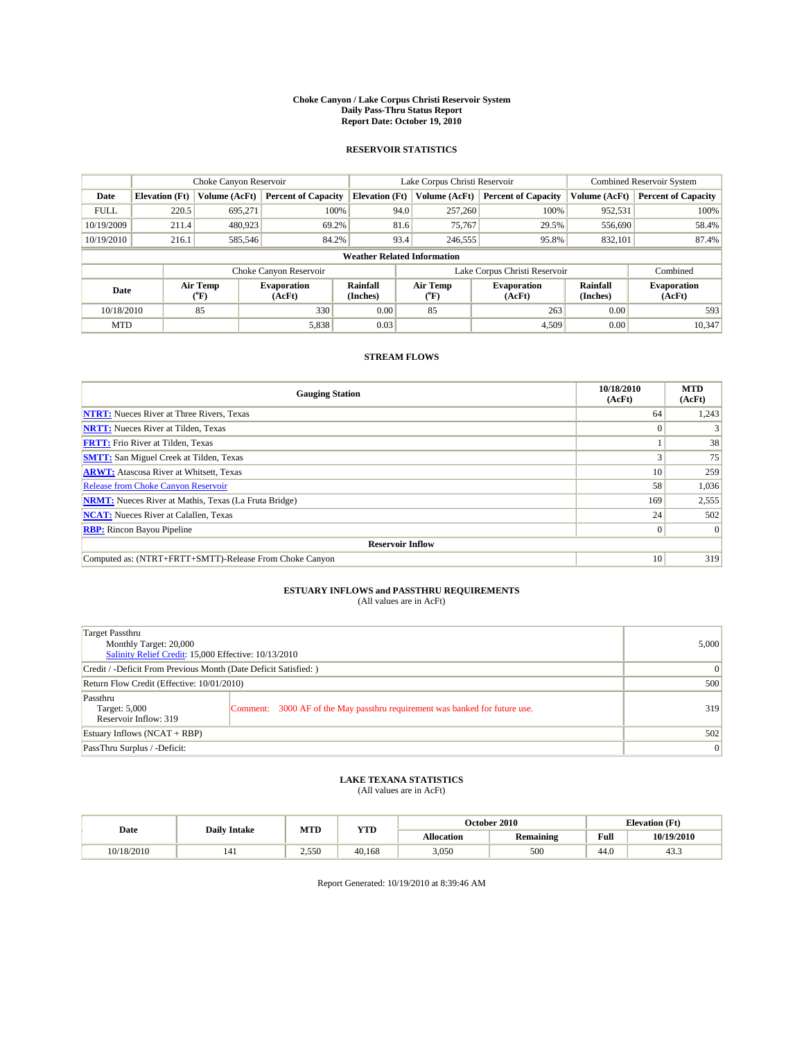#### **Choke Canyon / Lake Corpus Christi Reservoir System Daily Pass-Thru Status Report Report Date: October 19, 2010**

## **RESERVOIR STATISTICS**

|             | Choke Canyon Reservoir |                  |                              |                                    | Lake Corpus Christi Reservoir |                                                      |               | Combined Reservoir System    |  |
|-------------|------------------------|------------------|------------------------------|------------------------------------|-------------------------------|------------------------------------------------------|---------------|------------------------------|--|
| Date        | <b>Elevation</b> (Ft)  | Volume (AcFt)    | <b>Percent of Capacity</b>   | <b>Elevation</b> (Ft)              | Volume (AcFt)                 | <b>Percent of Capacity</b>                           | Volume (AcFt) | <b>Percent of Capacity</b>   |  |
| <b>FULL</b> | 220.5                  | 695,271          | 100%                         | 94.0                               | 257,260                       | 100%                                                 | 952,531       | 100%                         |  |
| 10/19/2009  | 211.4                  | 480,923          | 69.2%                        | 81.6                               | 75,767                        | 29.5%                                                | 556,690       | 58.4%                        |  |
| 10/19/2010  | 216.1                  | 585,546          | 84.2%                        | 93.4                               | 246,555                       | 95.8%                                                | 832,101       | 87.4%                        |  |
|             |                        |                  |                              | <b>Weather Related Information</b> |                               |                                                      |               |                              |  |
|             |                        |                  | Choke Canyon Reservoir       |                                    |                               | Lake Corpus Christi Reservoir                        |               | Combined                     |  |
| Date        |                        | Air Temp<br>(°F) | <b>Evaporation</b><br>(AcFt) | <b>Rainfall</b><br>(Inches)        | Air Temp<br>(°F)              | Rainfall<br><b>Evaporation</b><br>(Inches)<br>(AcFt) |               | <b>Evaporation</b><br>(AcFt) |  |
| 10/18/2010  |                        | 85               | 330                          | 0.00                               | 85                            | 263                                                  | 0.00          | 593                          |  |
| <b>MTD</b>  |                        |                  | 5,838                        | 0.03                               |                               | 4.509                                                | 0.00          | 10.347                       |  |

## **STREAM FLOWS**

| <b>Gauging Station</b>                                       | 10/18/2010<br>(AcFt) | <b>MTD</b><br>(AcFt) |
|--------------------------------------------------------------|----------------------|----------------------|
| <b>NTRT:</b> Nueces River at Three Rivers, Texas             | 64                   | 1,243                |
| <b>NRTT:</b> Nueces River at Tilden, Texas                   | $\Omega$             |                      |
| <b>FRTT:</b> Frio River at Tilden, Texas                     |                      | 38                   |
| <b>SMTT:</b> San Miguel Creek at Tilden, Texas               |                      | 75                   |
| <b>ARWT:</b> Atascosa River at Whitsett, Texas               | 10 <sup>1</sup>      | 259                  |
| <b>Release from Choke Canyon Reservoir</b>                   | 58                   | 1,036                |
| <b>NRMT:</b> Nueces River at Mathis, Texas (La Fruta Bridge) | 169                  | 2,555                |
| <b>NCAT:</b> Nueces River at Calallen, Texas                 | 24                   | 502                  |
| <b>RBP:</b> Rincon Bayou Pipeline                            | $\overline{0}$       | $\Omega$             |
| <b>Reservoir Inflow</b>                                      |                      |                      |
| Computed as: (NTRT+FRTT+SMTT)-Release From Choke Canyon      | 10                   | 319                  |

## **ESTUARY INFLOWS and PASSTHRU REQUIREMENTS**

|  | (All values are in AcFt) |
|--|--------------------------|
|--|--------------------------|

| Target Passthru<br>Monthly Target: 20,000<br>Salinity Relief Credit: 15,000 Effective: 10/13/2010 | 5,000                                                                       |                 |
|---------------------------------------------------------------------------------------------------|-----------------------------------------------------------------------------|-----------------|
| Credit / -Deficit From Previous Month (Date Deficit Satisfied: )                                  |                                                                             | $\vert 0 \vert$ |
| Return Flow Credit (Effective: 10/01/2010)                                                        | 500                                                                         |                 |
| Passthru<br>Target: 5,000<br>Reservoir Inflow: 319                                                | Comment: 3000 AF of the May passthru requirement was banked for future use. | 319             |
| Estuary Inflows (NCAT + RBP)                                                                      |                                                                             | 502             |
| PassThru Surplus / -Deficit:                                                                      |                                                                             | $\vert 0 \vert$ |

# **LAKE TEXANA STATISTICS** (All values are in AcFt)

|            | <b>Daily Intake</b> | MTD<br><b>YTD</b> |        | October 2010 |           |                                             | <b>Elevation</b> (Ft) |
|------------|---------------------|-------------------|--------|--------------|-----------|---------------------------------------------|-----------------------|
| Date       |                     |                   |        | Allocation   | Remaining | Full<br>the contract of the contract of the | 10/19/2010            |
| 10/18/2010 | 141                 | 2.550             | 40.168 | 3,050        | 500       | 44.0                                        | 43.3                  |

Report Generated: 10/19/2010 at 8:39:46 AM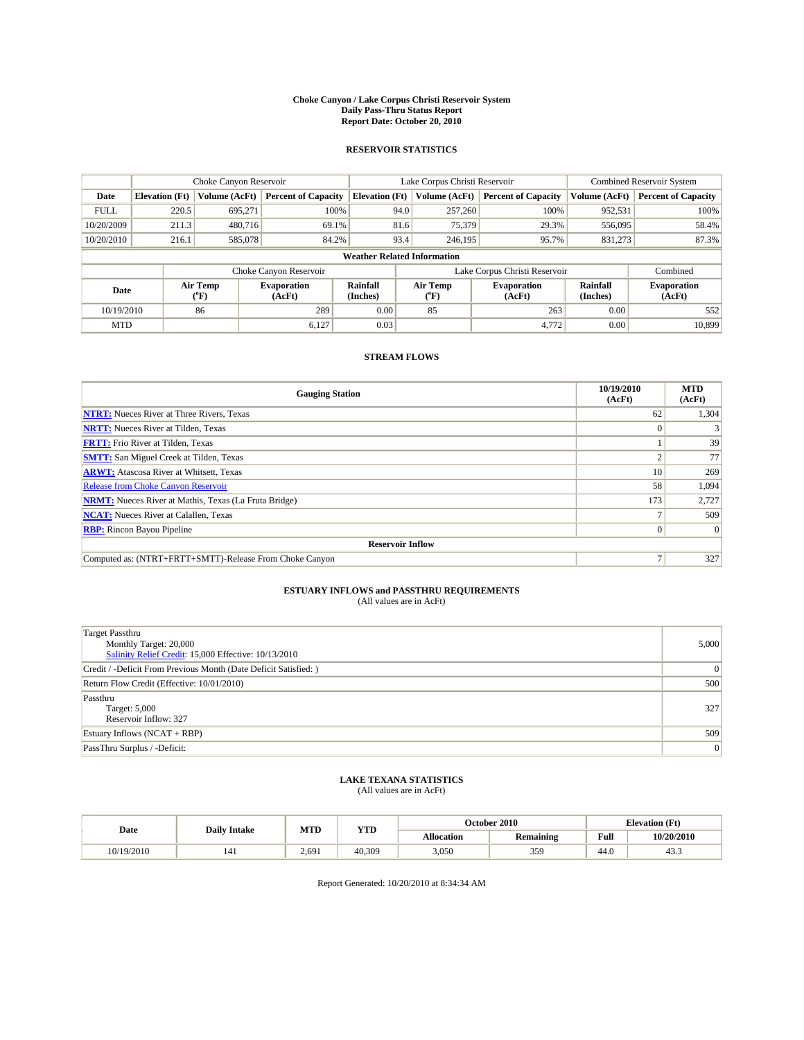#### **Choke Canyon / Lake Corpus Christi Reservoir System Daily Pass-Thru Status Report Report Date: October 20, 2010**

### **RESERVOIR STATISTICS**

|             | Choke Canyon Reservoir |                  |                              |                                    | Lake Corpus Christi Reservoir |                                                      |               | <b>Combined Reservoir System</b> |  |
|-------------|------------------------|------------------|------------------------------|------------------------------------|-------------------------------|------------------------------------------------------|---------------|----------------------------------|--|
| Date        | <b>Elevation</b> (Ft)  | Volume (AcFt)    | <b>Percent of Capacity</b>   | <b>Elevation</b> (Ft)              | Volume (AcFt)                 | <b>Percent of Capacity</b>                           | Volume (AcFt) | <b>Percent of Capacity</b>       |  |
| <b>FULL</b> | 220.5                  | 695.271          | 100%                         | 94.0                               | 257,260                       | 100%                                                 | 952,531       | 100%                             |  |
| 10/20/2009  | 211.3                  | 480,716          | 69.1%                        | 81.6                               | 75,379                        | 29.3%                                                | 556,095       | 58.4%                            |  |
| 10/20/2010  | 216.1                  | 585,078          | 84.2%                        | 93.4                               | 246,195                       | 95.7%                                                | 831,273       | 87.3%                            |  |
|             |                        |                  |                              | <b>Weather Related Information</b> |                               |                                                      |               |                                  |  |
|             |                        |                  | Choke Canyon Reservoir       |                                    |                               | Lake Corpus Christi Reservoir                        |               | Combined                         |  |
| Date        |                        | Air Temp<br>(°F) | <b>Evaporation</b><br>(AcFt) | Rainfall<br>(Inches)               | Air Temp<br>("F)              | Rainfall<br><b>Evaporation</b><br>(AcFt)<br>(Inches) |               | <b>Evaporation</b><br>(AcFt)     |  |
| 10/19/2010  |                        | 86               | 289                          | 0.00                               | 85                            | 263                                                  | 0.00          | 552                              |  |
| <b>MTD</b>  |                        |                  | 6.127                        | 0.03                               |                               | 4.772                                                | 0.00          | 10.899                           |  |

## **STREAM FLOWS**

| <b>Gauging Station</b>                                       | 10/19/2010<br>(AcFt) | <b>MTD</b><br>(AcFt) |
|--------------------------------------------------------------|----------------------|----------------------|
| <b>NTRT:</b> Nueces River at Three Rivers, Texas             | 62                   | 1,304                |
| <b>NRTT:</b> Nueces River at Tilden, Texas                   |                      |                      |
| <b>FRTT:</b> Frio River at Tilden, Texas                     |                      | 39                   |
| <b>SMTT:</b> San Miguel Creek at Tilden, Texas               |                      | 77                   |
| <b>ARWT:</b> Atascosa River at Whitsett, Texas               | 10                   | 269                  |
| <b>Release from Choke Canyon Reservoir</b>                   | 58                   | 1,094                |
| <b>NRMT:</b> Nueces River at Mathis, Texas (La Fruta Bridge) | 173                  | 2,727                |
| <b>NCAT:</b> Nueces River at Calallen, Texas                 |                      | 509                  |
| <b>RBP:</b> Rincon Bayou Pipeline                            | 0                    | $\Omega$             |
| <b>Reservoir Inflow</b>                                      |                      |                      |
| Computed as: (NTRT+FRTT+SMTT)-Release From Choke Canyon      |                      | 327                  |

# **ESTUARY INFLOWS and PASSTHRU REQUIREMENTS**<br>(All values are in AcFt)

| <b>Target Passthru</b><br>Monthly Target: 20,000<br>Salinity Relief Credit: 15,000 Effective: 10/13/2010 | 5,000 |
|----------------------------------------------------------------------------------------------------------|-------|
| Credit / -Deficit From Previous Month (Date Deficit Satisfied: )                                         | 0     |
| Return Flow Credit (Effective: 10/01/2010)                                                               | 500   |
| Passthru<br>Target: 5,000<br>Reservoir Inflow: 327                                                       | 327   |
| Estuary Inflows $(NCAT + RBP)$                                                                           | 509   |
| PassThru Surplus / -Deficit:                                                                             | 0     |

## **LAKE TEXANA STATISTICS** (All values are in AcFt)

| Date       | <b>Daily Intake</b> | MTD   | <b>YTD</b> |                   | <b>October 2010</b> | <b>Elevation</b> (Ft)                       |            |
|------------|---------------------|-------|------------|-------------------|---------------------|---------------------------------------------|------------|
|            |                     |       |            | <b>Allocation</b> | <b>Remaining</b>    | Full<br>the contract of the contract of the | 10/20/2010 |
| 10/19/2010 | 141                 | 2.691 | 40.309     | 3,050             | 359                 | 44.0                                        | 45.5       |

Report Generated: 10/20/2010 at 8:34:34 AM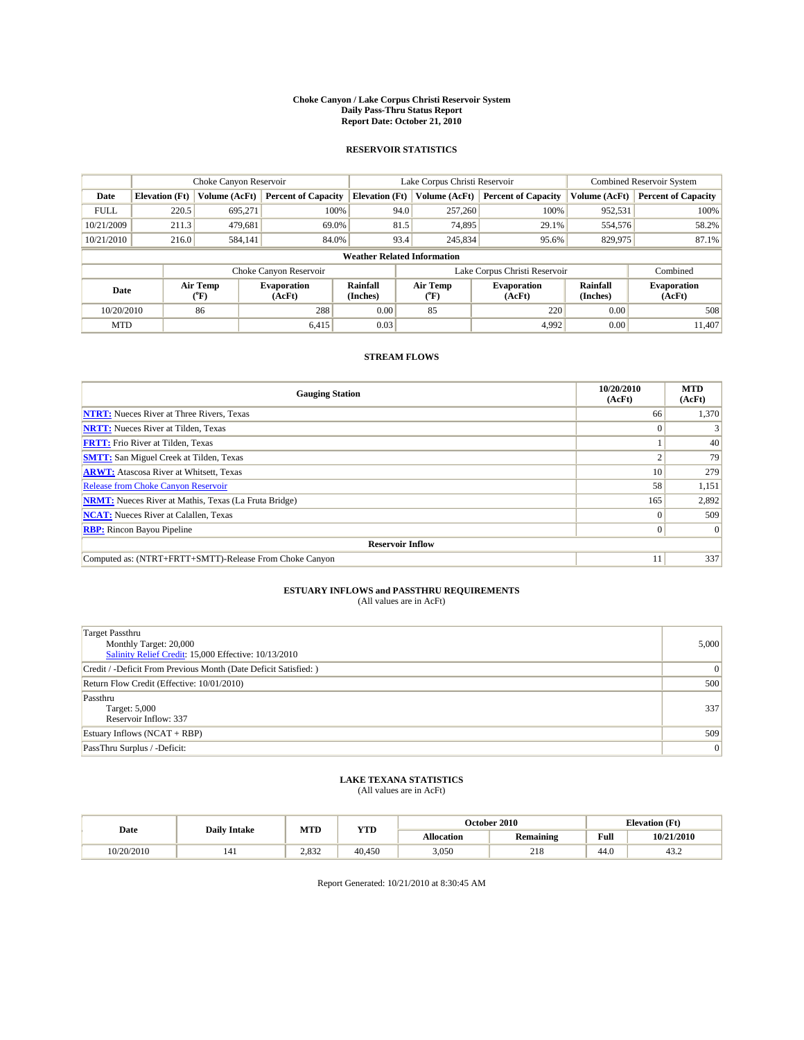#### **Choke Canyon / Lake Corpus Christi Reservoir System Daily Pass-Thru Status Report Report Date: October 21, 2010**

## **RESERVOIR STATISTICS**

|             | Choke Canyon Reservoir             |                  |                              |                       | Lake Corpus Christi Reservoir | <b>Combined Reservoir System</b> |                      |                              |
|-------------|------------------------------------|------------------|------------------------------|-----------------------|-------------------------------|----------------------------------|----------------------|------------------------------|
| Date        | <b>Elevation</b> (Ft)              | Volume (AcFt)    | <b>Percent of Capacity</b>   | <b>Elevation</b> (Ft) | Volume (AcFt)                 | <b>Percent of Capacity</b>       | Volume (AcFt)        | <b>Percent of Capacity</b>   |
| <b>FULL</b> | 220.5                              | 695,271          | 100%                         | 94.0                  | 257,260                       | 100%                             | 952,531              | 100%                         |
| 10/21/2009  | 211.3                              | 479,681          | 69.0%                        | 81.5                  | 74,895                        | 29.1%                            | 554,576              | 58.2%                        |
| 10/21/2010  | 216.0                              | 584,141          | 84.0%                        | 93.4                  | 245,834                       | 95.6%                            | 829,975              | 87.1%                        |
|             | <b>Weather Related Information</b> |                  |                              |                       |                               |                                  |                      |                              |
|             |                                    |                  | Choke Canyon Reservoir       |                       | Lake Corpus Christi Reservoir |                                  |                      | Combined                     |
| Date        |                                    | Air Temp<br>(°F) | <b>Evaporation</b><br>(AcFt) | Rainfall<br>(Inches)  | Air Temp<br>("F)              | <b>Evaporation</b><br>(AcFt)     | Rainfall<br>(Inches) | <b>Evaporation</b><br>(AcFt) |
| 10/20/2010  |                                    | 86               | 288                          | 0.00                  | 85                            | 220                              | 0.00                 | 508                          |
| <b>MTD</b>  |                                    |                  | 6.415                        | 0.03                  |                               | 4.992                            | 0.00                 | 11.407                       |

## **STREAM FLOWS**

| <b>Gauging Station</b>                                       | 10/20/2010<br>(AcFt) | <b>MTD</b><br>(AcFt) |
|--------------------------------------------------------------|----------------------|----------------------|
| <b>NTRT:</b> Nueces River at Three Rivers, Texas             | 66                   | 1,370                |
| <b>NRTT:</b> Nueces River at Tilden, Texas                   | $\Omega$             |                      |
| <b>FRTT:</b> Frio River at Tilden, Texas                     |                      | 40                   |
| <b>SMTT:</b> San Miguel Creek at Tilden, Texas               |                      | 79                   |
| <b>ARWT:</b> Atascosa River at Whitsett, Texas               | 10 <sup>1</sup>      | 279                  |
| <b>Release from Choke Canyon Reservoir</b>                   | 58                   | 1,151                |
| <b>NRMT:</b> Nueces River at Mathis, Texas (La Fruta Bridge) | 165                  | 2,892                |
| <b>NCAT:</b> Nueces River at Calallen, Texas                 | $\theta$             | 509                  |
| <b>RBP:</b> Rincon Bayou Pipeline                            | $\overline{0}$       | $\Omega$             |
| <b>Reservoir Inflow</b>                                      |                      |                      |
| Computed as: (NTRT+FRTT+SMTT)-Release From Choke Canyon      | 11                   | 337                  |

# **ESTUARY INFLOWS and PASSTHRU REQUIREMENTS**<br>(All values are in AcFt)

| <b>Target Passthru</b><br>Monthly Target: 20,000<br>Salinity Relief Credit: 15,000 Effective: 10/13/2010 | 5,000 |
|----------------------------------------------------------------------------------------------------------|-------|
| Credit / -Deficit From Previous Month (Date Deficit Satisfied: )                                         | 0     |
| Return Flow Credit (Effective: 10/01/2010)                                                               | 500   |
| Passthru<br>Target: 5,000<br>Reservoir Inflow: 337                                                       | 337   |
| Estuary Inflows (NCAT + RBP)                                                                             | 509   |
| PassThru Surplus / -Deficit:                                                                             | 0     |

## **LAKE TEXANA STATISTICS** (All values are in AcFt)

| Date       | <b>Daily Intake</b> | MTD   | <b>YTD</b> |                   | October 2010 | <b>Elevation</b> (Ft) |            |
|------------|---------------------|-------|------------|-------------------|--------------|-----------------------|------------|
|            |                     |       |            | <b>Allocation</b> | Remaining    | Full                  | 10/21/2010 |
| 10/20/2010 | 141                 | 2.832 | 40.450     | 3,050             | 218          | 44.0                  | 43.2       |

Report Generated: 10/21/2010 at 8:30:45 AM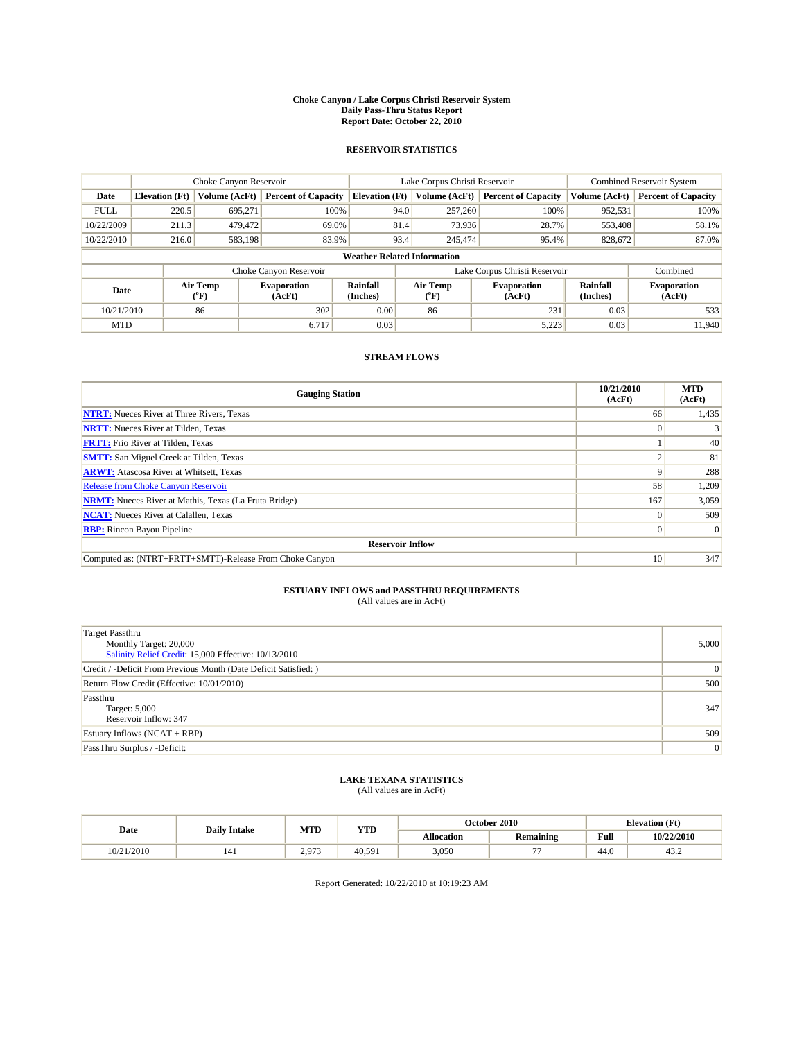#### **Choke Canyon / Lake Corpus Christi Reservoir System Daily Pass-Thru Status Report Report Date: October 22, 2010**

### **RESERVOIR STATISTICS**

|             | Choke Canyon Reservoir             |                  |                              |                       | Lake Corpus Christi Reservoir | <b>Combined Reservoir System</b> |                      |                              |
|-------------|------------------------------------|------------------|------------------------------|-----------------------|-------------------------------|----------------------------------|----------------------|------------------------------|
| Date        | <b>Elevation</b> (Ft)              | Volume (AcFt)    | <b>Percent of Capacity</b>   | <b>Elevation</b> (Ft) | Volume (AcFt)                 | <b>Percent of Capacity</b>       | Volume (AcFt)        | <b>Percent of Capacity</b>   |
| <b>FULL</b> | 220.5                              | 695,271          | 100%                         | 94.0                  | 257,260                       | 100%                             | 952,531              | 100%                         |
| 10/22/2009  | 211.3                              | 479,472          | 69.0%                        | 81.4                  | 73,936                        | 28.7%                            | 553,408              | 58.1%                        |
| 10/22/2010  | 216.0                              | 583,198          | 83.9%                        | 93.4                  | 245,474                       | 95.4%                            | 828,672              | 87.0%                        |
|             | <b>Weather Related Information</b> |                  |                              |                       |                               |                                  |                      |                              |
|             |                                    |                  | Choke Canyon Reservoir       |                       | Lake Corpus Christi Reservoir |                                  |                      | Combined                     |
| Date        |                                    | Air Temp<br>(°F) | <b>Evaporation</b><br>(AcFt) | Rainfall<br>(Inches)  | Air Temp<br>("F)              | <b>Evaporation</b><br>(AcFt)     | Rainfall<br>(Inches) | <b>Evaporation</b><br>(AcFt) |
| 10/21/2010  |                                    | 86               | 302                          | 0.00                  | 86                            | 231                              | 0.03                 | 533                          |
| <b>MTD</b>  |                                    |                  | 6.717                        | 0.03                  |                               | 5,223                            | 0.03                 | 11.940                       |

## **STREAM FLOWS**

| <b>Gauging Station</b>                                       | 10/21/2010<br>(AcFt) | <b>MTD</b><br>(AcFt) |
|--------------------------------------------------------------|----------------------|----------------------|
| <b>NTRT:</b> Nueces River at Three Rivers, Texas             | 66                   | 1,435                |
| <b>NRTT:</b> Nueces River at Tilden, Texas                   |                      |                      |
| <b>FRTT:</b> Frio River at Tilden, Texas                     |                      | 40                   |
| <b>SMTT:</b> San Miguel Creek at Tilden, Texas               |                      | 81                   |
| <b>ARWT:</b> Atascosa River at Whitsett, Texas               |                      | 288                  |
| Release from Choke Canyon Reservoir                          | 58                   | 1,209                |
| <b>NRMT:</b> Nueces River at Mathis, Texas (La Fruta Bridge) | 167                  | 3,059                |
| <b>NCAT:</b> Nueces River at Calallen, Texas                 |                      | 509                  |
| <b>RBP:</b> Rincon Bayou Pipeline                            | $\Omega$             | $\Omega$             |
| <b>Reservoir Inflow</b>                                      |                      |                      |
| Computed as: (NTRT+FRTT+SMTT)-Release From Choke Canyon      | 10                   | 347                  |

# **ESTUARY INFLOWS and PASSTHRU REQUIREMENTS**<br>(All values are in AcFt)

| <b>Target Passthru</b><br>Monthly Target: 20,000<br>Salinity Relief Credit: 15,000 Effective: 10/13/2010 | 5,000 |
|----------------------------------------------------------------------------------------------------------|-------|
| Credit / -Deficit From Previous Month (Date Deficit Satisfied: )                                         | 0     |
| Return Flow Credit (Effective: 10/01/2010)                                                               | 500   |
| Passthru<br>Target: 5,000<br>Reservoir Inflow: 347                                                       | 347   |
| Estuary Inflows $(NCAT + RBP)$                                                                           | 509   |
| PassThru Surplus / -Deficit:                                                                             | 0     |

## **LAKE TEXANA STATISTICS** (All values are in AcFt)

| Date       | <b>Daily Intake</b> | MTD   | <b>YTD</b> |                   | <b>October 2010</b> | <b>Elevation</b> (Ft)                       |            |
|------------|---------------------|-------|------------|-------------------|---------------------|---------------------------------------------|------------|
|            |                     |       |            | <b>Allocation</b> | <b>Remaining</b>    | Full<br>the contract of the contract of the | 10/22/2010 |
| 10/21/2010 | 141                 | 2.973 | 40.591     | 3,050             | $- -$               | 44.0                                        | 43.2       |

Report Generated: 10/22/2010 at 10:19:23 AM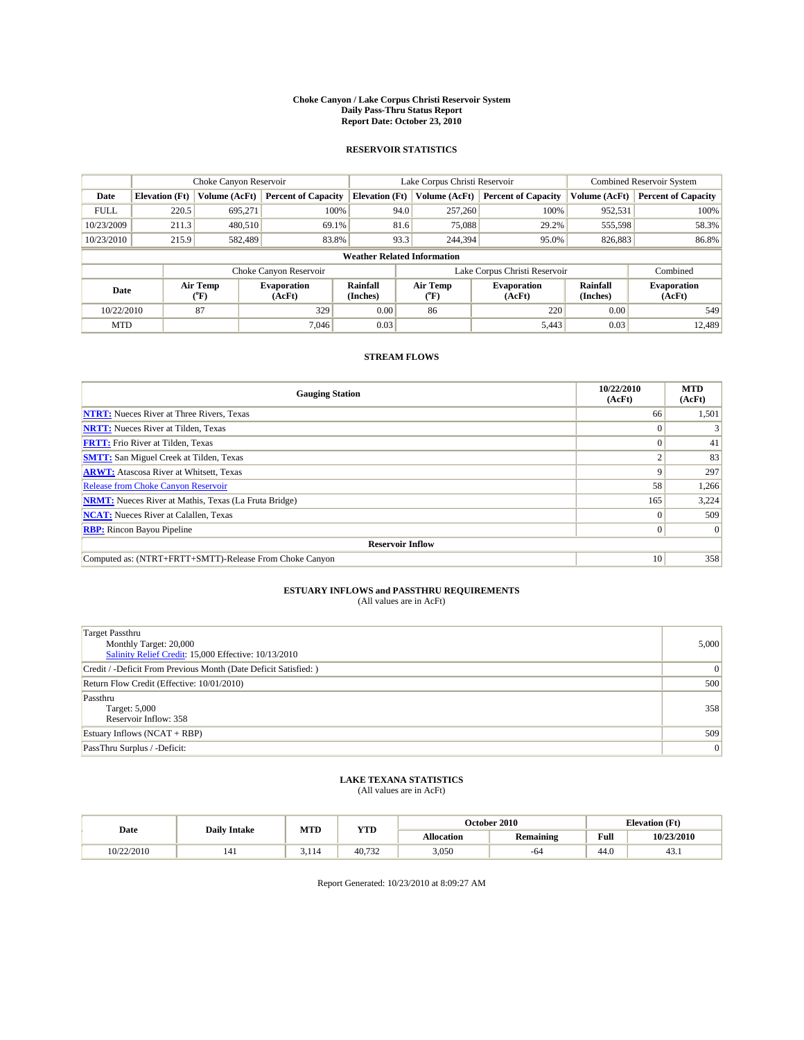#### **Choke Canyon / Lake Corpus Christi Reservoir System Daily Pass-Thru Status Report Report Date: October 23, 2010**

## **RESERVOIR STATISTICS**

|             | Choke Canyon Reservoir             |                  |                              |                       | Lake Corpus Christi Reservoir | <b>Combined Reservoir System</b> |                      |                              |
|-------------|------------------------------------|------------------|------------------------------|-----------------------|-------------------------------|----------------------------------|----------------------|------------------------------|
| Date        | <b>Elevation</b> (Ft)              | Volume (AcFt)    | <b>Percent of Capacity</b>   | <b>Elevation</b> (Ft) | Volume (AcFt)                 | <b>Percent of Capacity</b>       | Volume (AcFt)        | <b>Percent of Capacity</b>   |
| <b>FULL</b> | 220.5                              | 695,271          | 100%                         | 94.0                  | 257,260                       | 100%                             | 952,531              | 100%                         |
| 10/23/2009  | 211.3                              | 480.510          | 69.1%                        | 81.6                  | 75,088                        | 29.2%                            | 555,598              | 58.3%                        |
| 10/23/2010  | 215.9                              | 582.489          | 83.8%                        | 93.3                  | 244,394                       | 95.0%                            | 826,883              | 86.8%                        |
|             | <b>Weather Related Information</b> |                  |                              |                       |                               |                                  |                      |                              |
|             |                                    |                  | Choke Canyon Reservoir       |                       | Lake Corpus Christi Reservoir |                                  |                      | Combined                     |
| Date        |                                    | Air Temp<br>(°F) | <b>Evaporation</b><br>(AcFt) | Rainfall<br>(Inches)  | Air Temp<br>("F)              | <b>Evaporation</b><br>(AcFt)     | Rainfall<br>(Inches) | <b>Evaporation</b><br>(AcFt) |
| 10/22/2010  |                                    | 87               | 329                          | 0.00                  | 86                            | 220                              | 0.00                 | 549                          |
| <b>MTD</b>  |                                    |                  | 7.046                        | 0.03                  |                               | 5,443                            | 0.03                 | 12.489                       |

## **STREAM FLOWS**

| <b>Gauging Station</b>                                       | 10/22/2010<br>(AcFt) | <b>MTD</b><br>(AcFt) |
|--------------------------------------------------------------|----------------------|----------------------|
| <b>NTRT:</b> Nueces River at Three Rivers, Texas             | 66                   | 1,501                |
| <b>NRTT:</b> Nueces River at Tilden, Texas                   | $\Omega$             |                      |
| <b>FRTT:</b> Frio River at Tilden, Texas                     |                      | 41                   |
| <b>SMTT:</b> San Miguel Creek at Tilden, Texas               |                      | 83                   |
| <b>ARWT:</b> Atascosa River at Whitsett, Texas               | 9                    | 297                  |
| <b>Release from Choke Canyon Reservoir</b>                   | 58                   | 1,266                |
| <b>NRMT:</b> Nueces River at Mathis, Texas (La Fruta Bridge) | 165                  | 3,224                |
| <b>NCAT:</b> Nueces River at Calallen, Texas                 | $\theta$             | 509                  |
| <b>RBP:</b> Rincon Bayou Pipeline                            | $\overline{0}$       | $\Omega$             |
| <b>Reservoir Inflow</b>                                      |                      |                      |
| Computed as: (NTRT+FRTT+SMTT)-Release From Choke Canyon      | 10                   | 358                  |

# **ESTUARY INFLOWS and PASSTHRU REQUIREMENTS**

| (All values are in AcFt) |  |
|--------------------------|--|
|--------------------------|--|

| <b>Target Passthru</b><br>Monthly Target: 20,000<br>Salinity Relief Credit: 15,000 Effective: 10/13/2010 | 5,000 |
|----------------------------------------------------------------------------------------------------------|-------|
| Credit / -Deficit From Previous Month (Date Deficit Satisfied: )                                         | 0     |
| Return Flow Credit (Effective: 10/01/2010)                                                               | 500   |
| Passthru<br>Target: 5,000<br>Reservoir Inflow: 358                                                       | 358   |
| Estuary Inflows $(NCAT + RBP)$                                                                           | 509   |
| PassThru Surplus / -Deficit:                                                                             | 0     |

# **LAKE TEXANA STATISTICS** (All values are in AcFt)

|            | <b>Daily Intake</b> | MTD   | <b>YTD</b>   |                   | October 2010     | <b>Elevation</b> (Ft)                       |            |
|------------|---------------------|-------|--------------|-------------------|------------------|---------------------------------------------|------------|
| Date       |                     |       |              | <b>Allocation</b> | <b>Remaining</b> | Full<br>the contract of the contract of the | 10/23/2010 |
| 10/22/2010 | 141                 | 3.114 | 40.7<br>.732 | 3,050             | -64              | 44.0                                        | 45.1       |

Report Generated: 10/23/2010 at 8:09:27 AM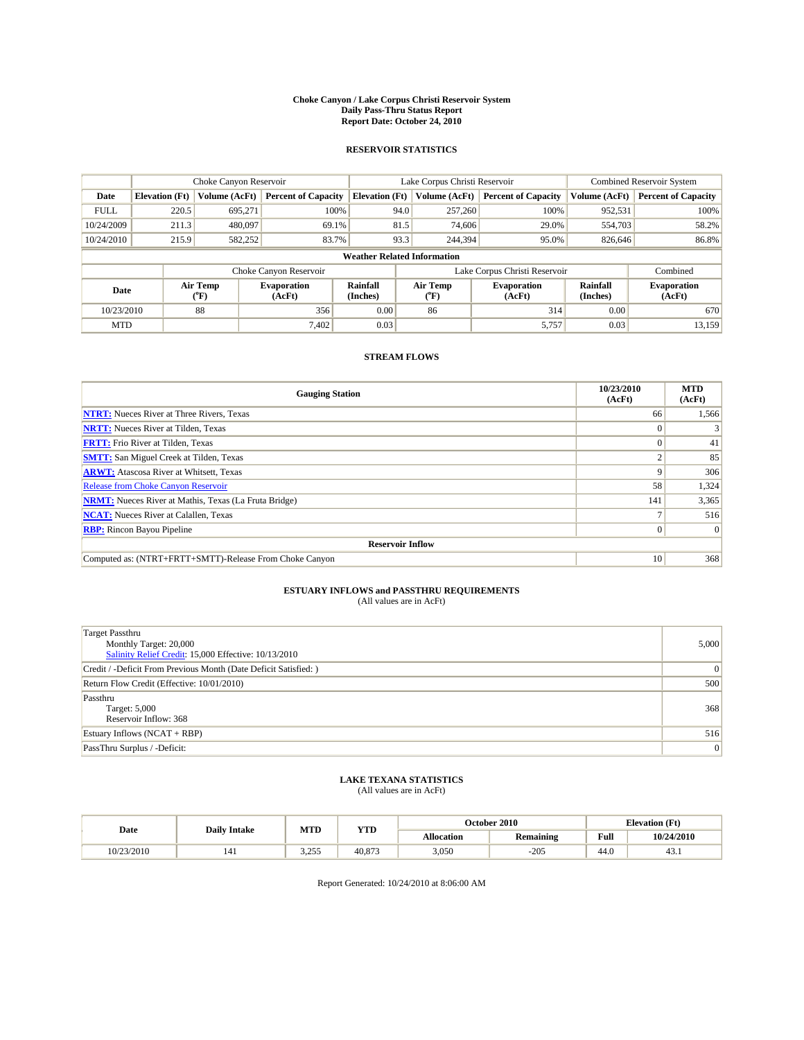#### **Choke Canyon / Lake Corpus Christi Reservoir System Daily Pass-Thru Status Report Report Date: October 24, 2010**

## **RESERVOIR STATISTICS**

|             |                       | Choke Canyon Reservoir |                              |                                    | Lake Corpus Christi Reservoir |                              | <b>Combined Reservoir System</b> |                              |  |
|-------------|-----------------------|------------------------|------------------------------|------------------------------------|-------------------------------|------------------------------|----------------------------------|------------------------------|--|
| Date        | <b>Elevation</b> (Ft) | Volume (AcFt)          | <b>Percent of Capacity</b>   | <b>Elevation</b> (Ft)              | Volume (AcFt)                 | <b>Percent of Capacity</b>   | Volume (AcFt)                    | <b>Percent of Capacity</b>   |  |
| <b>FULL</b> | 220.5                 | 695,271                | 100%                         | 94.0                               | 257,260                       | 100%                         | 952,531                          | 100%                         |  |
| 10/24/2009  | 211.3                 | 480,097                | 69.1%                        | 81.5                               | 74,606                        | 29.0%                        | 554,703                          | 58.2%                        |  |
| 10/24/2010  | 215.9                 | 582,252                | 83.7%                        | 93.3                               | 244,394                       | 95.0%                        | 826,646                          | 86.8%                        |  |
|             |                       |                        |                              | <b>Weather Related Information</b> |                               |                              |                                  |                              |  |
|             |                       |                        | Choke Canyon Reservoir       |                                    | Lake Corpus Christi Reservoir |                              | Combined                         |                              |  |
| Date        |                       | Air Temp<br>(°F)       | <b>Evaporation</b><br>(AcFt) | Rainfall<br>(Inches)               | Air Temp<br>("F)              | <b>Evaporation</b><br>(AcFt) | Rainfall<br>(Inches)             | <b>Evaporation</b><br>(AcFt) |  |
| 10/23/2010  |                       | 88                     | 356                          | 0.00                               | 86                            | 314                          | 0.00                             | 670                          |  |
| <b>MTD</b>  |                       |                        | 7,402                        | 0.03                               |                               | 5,757                        | 0.03                             | 13,159                       |  |

## **STREAM FLOWS**

| <b>Gauging Station</b>                                       | 10/23/2010<br>(AcFt) | <b>MTD</b><br>(AcFt) |  |  |  |  |  |  |
|--------------------------------------------------------------|----------------------|----------------------|--|--|--|--|--|--|
| <b>NTRT:</b> Nueces River at Three Rivers, Texas             | 66                   | 1,566                |  |  |  |  |  |  |
| <b>NRTT:</b> Nueces River at Tilden, Texas                   |                      |                      |  |  |  |  |  |  |
| <b>FRTT:</b> Frio River at Tilden, Texas                     |                      | 41                   |  |  |  |  |  |  |
| <b>SMTT:</b> San Miguel Creek at Tilden, Texas               |                      | 85                   |  |  |  |  |  |  |
| <b>ARWT:</b> Atascosa River at Whitsett, Texas               |                      | 306                  |  |  |  |  |  |  |
| <b>Release from Choke Canyon Reservoir</b>                   | 58                   | 1,324                |  |  |  |  |  |  |
| <b>NRMT:</b> Nueces River at Mathis, Texas (La Fruta Bridge) | 141                  | 3,365                |  |  |  |  |  |  |
| <b>NCAT:</b> Nueces River at Calallen, Texas                 |                      | 516                  |  |  |  |  |  |  |
| <b>RBP:</b> Rincon Bayou Pipeline                            | $\Omega$             | $\Omega$             |  |  |  |  |  |  |
| <b>Reservoir Inflow</b>                                      |                      |                      |  |  |  |  |  |  |
| Computed as: (NTRT+FRTT+SMTT)-Release From Choke Canyon      | 10                   | 368                  |  |  |  |  |  |  |

# **ESTUARY INFLOWS and PASSTHRU REQUIREMENTS**<br>(All values are in AcFt)

| <b>Target Passthru</b><br>Monthly Target: 20,000<br>Salinity Relief Credit: 15,000 Effective: 10/13/2010 | 5,000 |
|----------------------------------------------------------------------------------------------------------|-------|
| Credit / -Deficit From Previous Month (Date Deficit Satisfied: )                                         | 0     |
| Return Flow Credit (Effective: 10/01/2010)                                                               | 500   |
| Passthru<br>Target: 5,000<br>Reservoir Inflow: 368                                                       | 368   |
| Estuary Inflows $(NCAT + RBP)$                                                                           | 516   |
| PassThru Surplus / -Deficit:                                                                             | 0     |

## **LAKE TEXANA STATISTICS** (All values are in AcFt)

|           | <b>Daily Intake</b> | MTD            | <b>YTD</b> |                   | October 2010     | <b>Elevation</b> (Ft)                       |            |
|-----------|---------------------|----------------|------------|-------------------|------------------|---------------------------------------------|------------|
| Date      |                     |                |            | <b>Allocation</b> | <b>Remaining</b> | Full<br>the contract of the contract of the | 10/24/2010 |
| 0/23/2010 | 141                 | 2755<br>ن کے د | 40,873     | 3,050             | $-205$           | 44.0                                        | 43.1       |

Report Generated: 10/24/2010 at 8:06:00 AM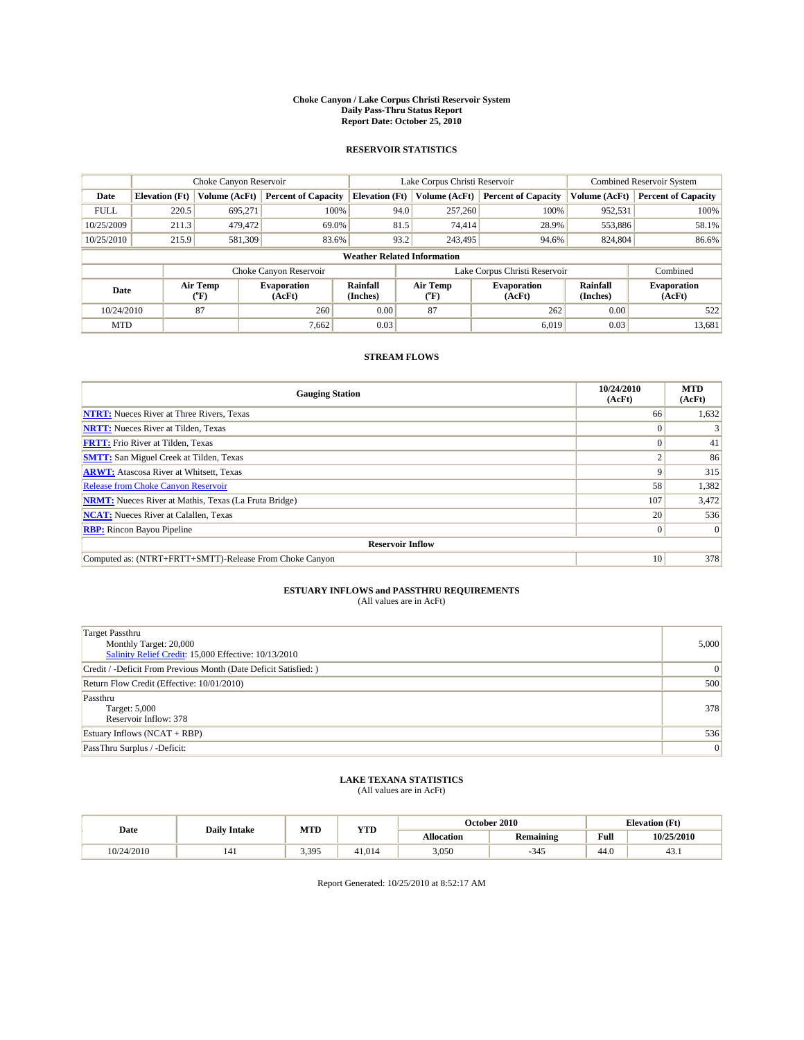#### **Choke Canyon / Lake Corpus Christi Reservoir System Daily Pass-Thru Status Report Report Date: October 25, 2010**

## **RESERVOIR STATISTICS**

|             |                       | Choke Canyon Reservoir |                              |                                    | Lake Corpus Christi Reservoir | Combined Reservoir System    |                      |                              |
|-------------|-----------------------|------------------------|------------------------------|------------------------------------|-------------------------------|------------------------------|----------------------|------------------------------|
| Date        | <b>Elevation</b> (Ft) | Volume (AcFt)          | <b>Percent of Capacity</b>   | <b>Elevation</b> (Ft)              | Volume (AcFt)                 | <b>Percent of Capacity</b>   | Volume (AcFt)        | <b>Percent of Capacity</b>   |
| <b>FULL</b> | 220.5                 | 695,271                | 100%                         | 94.0                               | 257,260                       | 100%                         | 952,531              | 100%                         |
| 10/25/2009  | 211.3                 | 479,472                | 69.0%                        | 81.5                               | 74,414                        | 28.9%                        | 553,886              | 58.1%                        |
| 10/25/2010  | 215.9                 | 581,309                | 83.6%                        | 93.2                               | 243,495                       | 94.6%                        | 824,804              | 86.6%                        |
|             |                       |                        |                              | <b>Weather Related Information</b> |                               |                              |                      |                              |
|             |                       |                        | Choke Canyon Reservoir       |                                    | Lake Corpus Christi Reservoir |                              |                      | Combined                     |
| Date        |                       | Air Temp<br>(°F)       | <b>Evaporation</b><br>(AcFt) | <b>Rainfall</b><br>(Inches)        | Air Temp<br>(°F)              | <b>Evaporation</b><br>(AcFt) | Rainfall<br>(Inches) | <b>Evaporation</b><br>(AcFt) |
| 10/24/2010  |                       | 87                     | 260                          | 0.00                               | 87                            | 262                          | 0.00                 | 522                          |
| <b>MTD</b>  |                       |                        | 7,662                        | 0.03                               |                               | 6.019                        | 0.03                 | 13,681                       |

## **STREAM FLOWS**

| <b>Gauging Station</b>                                       | 10/24/2010<br>(AcFt) | <b>MTD</b><br>(AcFt) |  |  |  |  |  |
|--------------------------------------------------------------|----------------------|----------------------|--|--|--|--|--|
| <b>NTRT:</b> Nueces River at Three Rivers, Texas             | 66                   | 1,632                |  |  |  |  |  |
| <b>NRTT:</b> Nueces River at Tilden, Texas                   |                      |                      |  |  |  |  |  |
| <b>FRTT:</b> Frio River at Tilden, Texas                     |                      | 41                   |  |  |  |  |  |
| <b>SMTT:</b> San Miguel Creek at Tilden, Texas               |                      | 86                   |  |  |  |  |  |
| <b>ARWT:</b> Atascosa River at Whitsett, Texas               | 9                    | 315                  |  |  |  |  |  |
| <b>Release from Choke Canyon Reservoir</b>                   | 58                   | 1,382                |  |  |  |  |  |
| <b>NRMT:</b> Nueces River at Mathis, Texas (La Fruta Bridge) | 107                  | 3,472                |  |  |  |  |  |
| <b>NCAT:</b> Nueces River at Calallen, Texas                 | 20                   | 536                  |  |  |  |  |  |
| <b>RBP:</b> Rincon Bayou Pipeline                            | $\overline{0}$       | $\Omega$             |  |  |  |  |  |
| <b>Reservoir Inflow</b>                                      |                      |                      |  |  |  |  |  |
| Computed as: (NTRT+FRTT+SMTT)-Release From Choke Canyon      | 10                   | 378                  |  |  |  |  |  |

# **ESTUARY INFLOWS and PASSTHRU REQUIREMENTS**<br>(All values are in AcFt)

| <b>Target Passthru</b><br>Monthly Target: 20,000<br>Salinity Relief Credit: 15,000 Effective: 10/13/2010 | 5,000 |
|----------------------------------------------------------------------------------------------------------|-------|
| Credit / -Deficit From Previous Month (Date Deficit Satisfied: )                                         | 0     |
| Return Flow Credit (Effective: 10/01/2010)                                                               | 500   |
| Passthru<br>Target: 5,000<br>Reservoir Inflow: 378                                                       | 378   |
| Estuary Inflows $(NCAT + RBP)$                                                                           | 536   |
| PassThru Surplus / -Deficit:                                                                             | 0     |

# **LAKE TEXANA STATISTICS** (All values are in AcFt)

|            | <b>Daily Intake</b> | MTD   | <b>YTD</b> |                   | <b>October 2010</b> | <b>Elevation</b> (Ft)                       |            |
|------------|---------------------|-------|------------|-------------------|---------------------|---------------------------------------------|------------|
| Date       |                     |       |            | <b>Allocation</b> | <b>Remaining</b>    | Full<br>the contract of the contract of the | 10/25/2010 |
| 10/24/2010 | 141                 | 3.395 | 41.014     | 3,050             | $-345$              | 44.0                                        | 45.1       |

Report Generated: 10/25/2010 at 8:52:17 AM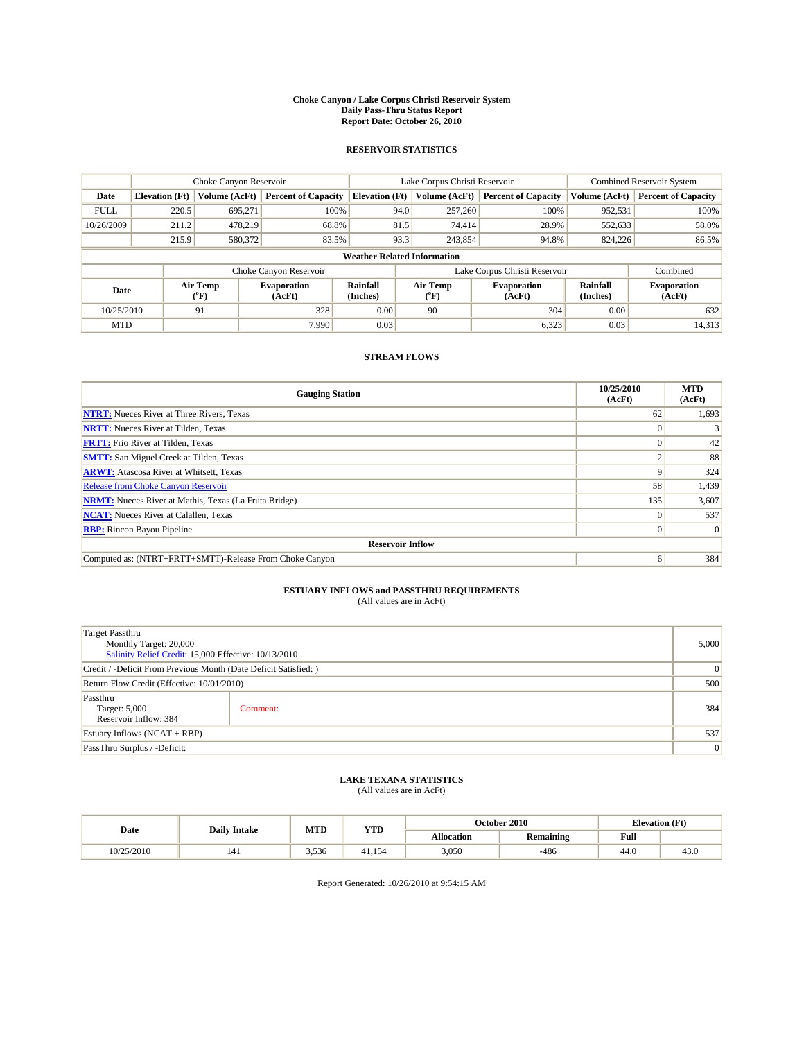#### **Choke Canyon / Lake Corpus Christi Reservoir System Daily Pass-Thru Status Report Report Date: October 26, 2010**

## **RESERVOIR STATISTICS**

|             |                       | Choke Canyon Reservoir |                              | Lake Corpus Christi Reservoir |                                    |  |                              | Combined Reservoir System |                              |  |
|-------------|-----------------------|------------------------|------------------------------|-------------------------------|------------------------------------|--|------------------------------|---------------------------|------------------------------|--|
| Date        | <b>Elevation</b> (Ft) | Volume (AcFt)          | <b>Percent of Capacity</b>   | <b>Elevation</b> (Ft)         | Volume (AcFt)                      |  | <b>Percent of Capacity</b>   | Volume (AcFt)             | <b>Percent of Capacity</b>   |  |
| <b>FULL</b> | 220.5                 | 695,271                | 100%                         |                               | 94.0<br>257,260                    |  | 100%                         | 952,531                   | 100%                         |  |
| 10/26/2009  | 211.2                 | 478,219                | 68.8%                        |                               | 81.5<br>74,414                     |  | 28.9%                        | 552,633                   | 58.0%                        |  |
|             | 215.9                 | 580,372                | 83.5%                        |                               | 93.3<br>243,854                    |  | 94.8%                        | 824,226                   | 86.5%                        |  |
|             |                       |                        |                              |                               | <b>Weather Related Information</b> |  |                              |                           |                              |  |
|             |                       |                        | Choke Canyon Reservoir       |                               | Lake Corpus Christi Reservoir      |  |                              |                           | Combined                     |  |
| Date        |                       | Air Temp<br>(°F)       | <b>Evaporation</b><br>(AcFt) | <b>Rainfall</b><br>(Inches)   | Air Temp<br>$(^{\circ}F)$          |  | <b>Evaporation</b><br>(AcFt) | Rainfall<br>(Inches)      | <b>Evaporation</b><br>(AcFt) |  |
| 10/25/2010  |                       | 91                     | 328                          | 0.00                          | 90                                 |  | 304                          | 0.00                      | 632                          |  |
| <b>MTD</b>  |                       |                        | 7.990                        | 0.03                          |                                    |  | 6,323                        | 0.03                      | 14,313                       |  |

## **STREAM FLOWS**

| <b>Gauging Station</b>                                       | 10/25/2010<br>(AcFt) | <b>MTD</b><br>(AcFt) |  |  |  |  |  |
|--------------------------------------------------------------|----------------------|----------------------|--|--|--|--|--|
| <b>NTRT:</b> Nueces River at Three Rivers, Texas             | 62                   | 1,693                |  |  |  |  |  |
| <b>NRTT:</b> Nueces River at Tilden, Texas                   |                      |                      |  |  |  |  |  |
| <b>FRTT:</b> Frio River at Tilden, Texas                     |                      | 42                   |  |  |  |  |  |
| <b>SMTT:</b> San Miguel Creek at Tilden, Texas               |                      | 88                   |  |  |  |  |  |
| <b>ARWT:</b> Atascosa River at Whitsett, Texas               | 9                    | 324                  |  |  |  |  |  |
| Release from Choke Canyon Reservoir                          | 58                   | 1,439                |  |  |  |  |  |
| <b>NRMT:</b> Nueces River at Mathis, Texas (La Fruta Bridge) | 135                  | 3,607                |  |  |  |  |  |
| <b>NCAT:</b> Nueces River at Calallen, Texas                 | $\Omega$             | 537                  |  |  |  |  |  |
| <b>RBP:</b> Rincon Bayou Pipeline                            | $\Omega$             | $\Omega$             |  |  |  |  |  |
| <b>Reservoir Inflow</b>                                      |                      |                      |  |  |  |  |  |
| Computed as: (NTRT+FRTT+SMTT)-Release From Choke Canyon      | 6                    | 384                  |  |  |  |  |  |

## **ESTUARY INFLOWS and PASSTHRU REQUIREMENTS**

|  | (All values are in AcFt) |  |
|--|--------------------------|--|
|--|--------------------------|--|

| Target Passthru<br>Monthly Target: 20,000<br>Salinity Relief Credit: 15,000 Effective: 10/13/2010 |          |     |  |
|---------------------------------------------------------------------------------------------------|----------|-----|--|
| Credit / -Deficit From Previous Month (Date Deficit Satisfied: )                                  |          |     |  |
| Return Flow Credit (Effective: 10/01/2010)                                                        |          | 500 |  |
| Passthru<br>Target: 5,000<br>Reservoir Inflow: 384                                                | Comment: | 384 |  |
| Estuary Inflows (NCAT + RBP)                                                                      |          |     |  |
| PassThru Surplus / -Deficit:                                                                      |          | 0   |  |

## **LAKE TEXANA STATISTICS** (All values are in AcFt)

| Date       | <b>Daily Intake</b> | <b>MTD</b>        | YTD              |       | October 2010 |      | <b>Elevation</b> (Ft) |
|------------|---------------------|-------------------|------------------|-------|--------------|------|-----------------------|
|            |                     | <b>Allocation</b> | <b>Remaining</b> | Full  |              |      |                       |
| 10/25/2010 | 141                 | 3,536             | 41.154           | 3.050 | $-486$       | 44.0 | 43.U                  |

Report Generated: 10/26/2010 at 9:54:15 AM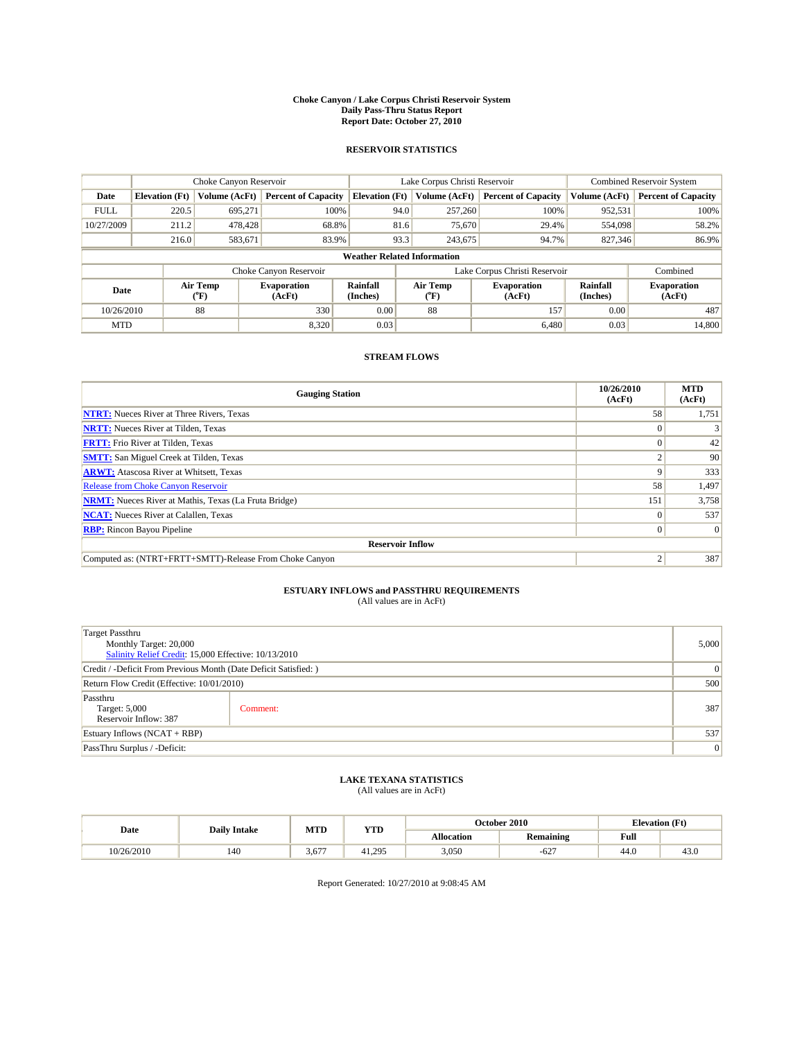#### **Choke Canyon / Lake Corpus Christi Reservoir System Daily Pass-Thru Status Report Report Date: October 27, 2010**

## **RESERVOIR STATISTICS**

|             | Choke Canyon Reservoir |                  |                              |                                    | Lake Corpus Christi Reservoir | Combined Reservoir System                            |               |                              |
|-------------|------------------------|------------------|------------------------------|------------------------------------|-------------------------------|------------------------------------------------------|---------------|------------------------------|
| Date        | <b>Elevation</b> (Ft)  | Volume (AcFt)    | <b>Percent of Capacity</b>   | <b>Elevation</b> (Ft)              | Volume (AcFt)                 | <b>Percent of Capacity</b>                           | Volume (AcFt) | <b>Percent of Capacity</b>   |
| <b>FULL</b> | 220.5                  | 695,271          | 100%                         | 94.0                               | 257,260                       | 100%                                                 | 952,531       | 100%                         |
| 10/27/2009  | 211.2                  | 478,428          | 68.8%                        | 81.6                               | 75,670                        | 29.4%                                                | 554,098       | 58.2%                        |
|             | 216.0                  | 583,671          | 83.9%                        | 93.3                               | 243,675                       | 94.7%                                                | 827,346       | 86.9%                        |
|             |                        |                  |                              | <b>Weather Related Information</b> |                               |                                                      |               |                              |
|             |                        |                  | Choke Canyon Reservoir       |                                    |                               | Lake Corpus Christi Reservoir                        |               | Combined                     |
| Date        |                        | Air Temp<br>(°F) | <b>Evaporation</b><br>(AcFt) | <b>Rainfall</b><br>(Inches)        | Air Temp<br>$(^{\circ}F)$     | Rainfall<br><b>Evaporation</b><br>(Inches)<br>(AcFt) |               | <b>Evaporation</b><br>(AcFt) |
| 10/26/2010  |                        | 88               | 330                          | 0.00                               | 88                            | 157                                                  | 0.00          | 487                          |
| <b>MTD</b>  |                        |                  | 8.320                        | 0.03                               |                               | 6,480                                                | 0.03          | 14.800                       |

## **STREAM FLOWS**

| <b>Gauging Station</b>                                       | 10/26/2010<br>(AcFt) | <b>MTD</b><br>(AcFt) |  |  |  |
|--------------------------------------------------------------|----------------------|----------------------|--|--|--|
| <b>NTRT:</b> Nueces River at Three Rivers, Texas             | 58                   | 1,751                |  |  |  |
| <b>NRTT:</b> Nueces River at Tilden, Texas                   |                      |                      |  |  |  |
| <b>FRTT:</b> Frio River at Tilden, Texas                     |                      | 42                   |  |  |  |
| <b>SMTT:</b> San Miguel Creek at Tilden, Texas               |                      | 90                   |  |  |  |
| <b>ARWT:</b> Atascosa River at Whitsett, Texas               | 9                    | 333                  |  |  |  |
| Release from Choke Canyon Reservoir                          | 58                   | 1,497                |  |  |  |
| <b>NRMT:</b> Nueces River at Mathis, Texas (La Fruta Bridge) | 151                  | 3,758                |  |  |  |
| <b>NCAT:</b> Nueces River at Calallen, Texas                 | $\Omega$             | 537                  |  |  |  |
| <b>RBP:</b> Rincon Bayou Pipeline                            | $\Omega$             | $\Omega$             |  |  |  |
| <b>Reservoir Inflow</b>                                      |                      |                      |  |  |  |
| Computed as: (NTRT+FRTT+SMTT)-Release From Choke Canyon      |                      | 387                  |  |  |  |

# **ESTUARY INFLOWS and PASSTHRU REQUIREMENTS**

|  | (All values are in AcFt) |
|--|--------------------------|
|--|--------------------------|

| <b>Target Passthru</b><br>Monthly Target: 20,000<br>Salinity Relief Credit: 15,000 Effective: 10/13/2010 |                                                                  |     |  |  |
|----------------------------------------------------------------------------------------------------------|------------------------------------------------------------------|-----|--|--|
|                                                                                                          | Credit / -Deficit From Previous Month (Date Deficit Satisfied: ) |     |  |  |
| Return Flow Credit (Effective: 10/01/2010)                                                               |                                                                  |     |  |  |
| Passthru<br>Target: 5,000<br>Reservoir Inflow: 387                                                       | Comment:                                                         | 387 |  |  |
| Estuary Inflows (NCAT + RBP)                                                                             |                                                                  |     |  |  |
| PassThru Surplus / -Deficit:                                                                             |                                                                  | 0   |  |  |

## **LAKE TEXANA STATISTICS** (All values are in AcFt)

| Date       | <b>Daily Intake</b> | <b>MTD</b> |        |                   | October 2010     | <b>Elevation</b> (Ft) |      |
|------------|---------------------|------------|--------|-------------------|------------------|-----------------------|------|
|            |                     |            | YTD    | <b>Allocation</b> | <b>Remaining</b> | Full                  |      |
| 10/26/2010 | 140                 | 3.677      | 41.295 | 3.050             | $-627$           | 44.0                  | 43.U |

Report Generated: 10/27/2010 at 9:08:45 AM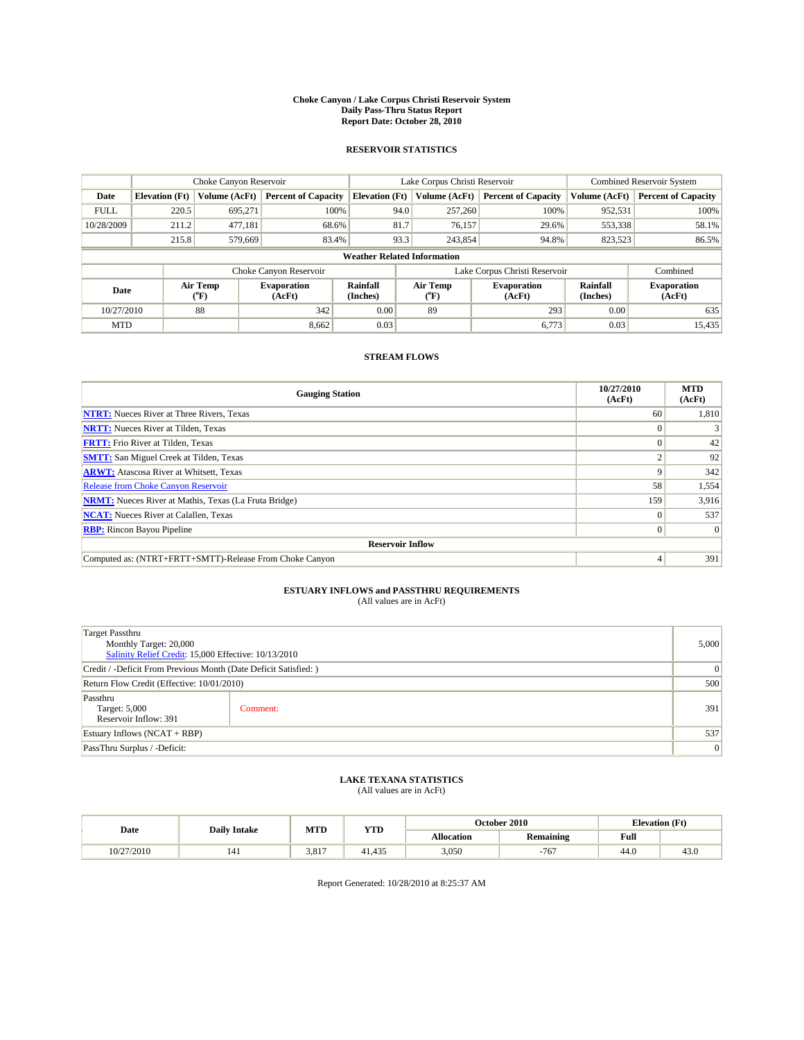#### **Choke Canyon / Lake Corpus Christi Reservoir System Daily Pass-Thru Status Report Report Date: October 28, 2010**

## **RESERVOIR STATISTICS**

|             | Choke Canyon Reservoir |                  |                              |                             | Lake Corpus Christi Reservoir      |                                                      |                               |                              | Combined Reservoir System  |  |
|-------------|------------------------|------------------|------------------------------|-----------------------------|------------------------------------|------------------------------------------------------|-------------------------------|------------------------------|----------------------------|--|
| Date        | <b>Elevation</b> (Ft)  | Volume (AcFt)    | <b>Percent of Capacity</b>   | <b>Elevation</b> (Ft)       | Volume (AcFt)                      |                                                      | <b>Percent of Capacity</b>    | Volume (AcFt)                | <b>Percent of Capacity</b> |  |
| <b>FULL</b> | 220.5                  | 695,271          | 100%                         |                             | 94.0<br>257,260                    |                                                      | 100%                          | 952,531                      | 100%                       |  |
| 10/28/2009  | 211.2                  | 477,181          | 68.6%                        |                             | 81.7<br>76,157                     |                                                      | 29.6%                         | 553,338                      | 58.1%                      |  |
|             | 215.8                  | 579.669          | 83.4%                        |                             | 93.3<br>243,854                    |                                                      | 94.8%                         | 823,523                      | 86.5%                      |  |
|             |                        |                  |                              |                             | <b>Weather Related Information</b> |                                                      |                               |                              |                            |  |
|             |                        |                  | Choke Canyon Reservoir       |                             |                                    |                                                      | Lake Corpus Christi Reservoir |                              | Combined                   |  |
| Date        |                        | Air Temp<br>(°F) | <b>Evaporation</b><br>(AcFt) | <b>Rainfall</b><br>(Inches) | Air Temp<br>$(^{\circ}F)$          | Rainfall<br><b>Evaporation</b><br>(Inches)<br>(AcFt) |                               | <b>Evaporation</b><br>(AcFt) |                            |  |
| 10/27/2010  |                        | 88               | 342                          | 0.00                        | 89                                 |                                                      | 293                           | 0.00                         | 635                        |  |
| <b>MTD</b>  |                        |                  | 8,662                        | 0.03                        |                                    |                                                      | 6,773                         | 0.03                         | 15,435                     |  |

## **STREAM FLOWS**

| <b>Gauging Station</b>                                       | 10/27/2010<br>(AcFt) | <b>MTD</b><br>(AcFt) |  |  |  |
|--------------------------------------------------------------|----------------------|----------------------|--|--|--|
| <b>NTRT:</b> Nueces River at Three Rivers, Texas             | 60                   | 1,810                |  |  |  |
| <b>NRTT:</b> Nueces River at Tilden, Texas                   |                      |                      |  |  |  |
| <b>FRTT:</b> Frio River at Tilden, Texas                     |                      | 42                   |  |  |  |
| <b>SMTT:</b> San Miguel Creek at Tilden, Texas               |                      | 92                   |  |  |  |
| <b>ARWT:</b> Atascosa River at Whitsett, Texas               | 9                    | 342                  |  |  |  |
| <b>Release from Choke Canyon Reservoir</b>                   | 58                   | 1,554                |  |  |  |
| <b>NRMT:</b> Nueces River at Mathis, Texas (La Fruta Bridge) | 159                  | 3,916                |  |  |  |
| <b>NCAT:</b> Nueces River at Calallen, Texas                 | $\Omega$             | 537                  |  |  |  |
| <b>RBP:</b> Rincon Bayou Pipeline                            | $\overline{0}$       | $\Omega$             |  |  |  |
| <b>Reservoir Inflow</b>                                      |                      |                      |  |  |  |
| Computed as: (NTRT+FRTT+SMTT)-Release From Choke Canyon      | 4                    | 391                  |  |  |  |

# **ESTUARY INFLOWS and PASSTHRU REQUIREMENTS**

|  | (All values are in AcFt) |
|--|--------------------------|
|--|--------------------------|

| <b>Target Passthru</b><br>Monthly Target: 20,000<br>Salinity Relief Credit: 15,000 Effective: 10/13/2010 |                                                                  |     |  |  |
|----------------------------------------------------------------------------------------------------------|------------------------------------------------------------------|-----|--|--|
|                                                                                                          | Credit / -Deficit From Previous Month (Date Deficit Satisfied: ) |     |  |  |
| Return Flow Credit (Effective: 10/01/2010)                                                               |                                                                  |     |  |  |
| Passthru<br>Target: 5,000<br>Reservoir Inflow: 391                                                       | Comment:                                                         | 391 |  |  |
| Estuary Inflows $(NCAT + RBP)$                                                                           |                                                                  |     |  |  |
| PassThru Surplus / -Deficit:                                                                             |                                                                  | 0   |  |  |

## **LAKE TEXANA STATISTICS** (All values are in AcFt)

|            | <b>Daily Intake</b> | <b>MTD</b> | YTD    | October 2010      |                  | <b>Elevation</b> (Ft) |      |
|------------|---------------------|------------|--------|-------------------|------------------|-----------------------|------|
| Date       |                     |            |        | <b>Allocation</b> | <b>Remaining</b> | Full                  |      |
| 10/27/2010 | 141                 | 3.817      | 41.435 | 3.050             | $-767$           | 44.0                  | 43.U |

Report Generated: 10/28/2010 at 8:25:37 AM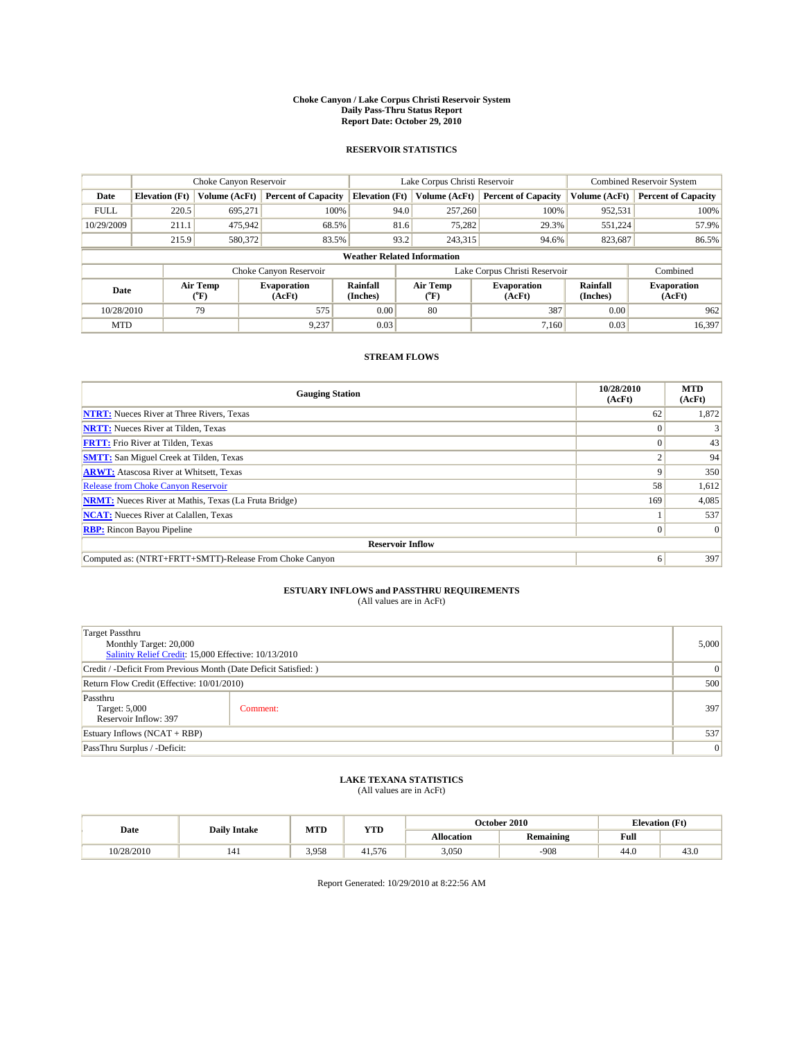#### **Choke Canyon / Lake Corpus Christi Reservoir System Daily Pass-Thru Status Report Report Date: October 29, 2010**

## **RESERVOIR STATISTICS**

|                          | Choke Canyon Reservoir |                              |                             |                                    | Lake Corpus Christi Reservoir | Combined Reservoir System  |                              |                            |
|--------------------------|------------------------|------------------------------|-----------------------------|------------------------------------|-------------------------------|----------------------------|------------------------------|----------------------------|
| Date                     | <b>Elevation</b> (Ft)  | Volume (AcFt)                | <b>Percent of Capacity</b>  | <b>Elevation</b> (Ft)              | Volume (AcFt)                 | <b>Percent of Capacity</b> | Volume (AcFt)                | <b>Percent of Capacity</b> |
| <b>FULL</b>              | 220.5                  | 695,271                      | 100%                        | 94.0                               | 257,260                       | 100%                       | 952,531                      | 100%                       |
| 10/29/2009               | 211.1                  | 475,942                      | 68.5%                       |                                    | 75,282<br>81.6                | 29.3%                      | 551,224                      | 57.9%                      |
|                          | 215.9                  | 580,372                      | 83.5%                       | 93.2                               | 243,315                       | 94.6%                      | 823,687                      | 86.5%                      |
|                          |                        |                              |                             | <b>Weather Related Information</b> |                               |                            |                              |                            |
|                          |                        |                              | Choke Canyon Reservoir      |                                    | Lake Corpus Christi Reservoir |                            |                              | Combined                   |
| Air Temp<br>Date<br>(°F) |                        | <b>Evaporation</b><br>(AcFt) | <b>Rainfall</b><br>(Inches) | Air Temp<br>$(^{\circ}F)$          | <b>Evaporation</b><br>(AcFt)  |                            | <b>Evaporation</b><br>(AcFt) |                            |
| 10/28/2010               |                        | 79                           | 575                         | 0.00                               | 80                            | 387                        | 0.00                         | 962                        |
| <b>MTD</b>               |                        |                              | 9,237                       | 0.03                               |                               | 7.160                      | 0.03                         | 16,397                     |

## **STREAM FLOWS**

| <b>Gauging Station</b>                                       | 10/28/2010<br>(AcFt) | <b>MTD</b><br>(AcFt) |  |  |  |  |
|--------------------------------------------------------------|----------------------|----------------------|--|--|--|--|
| <b>NTRT:</b> Nueces River at Three Rivers, Texas             | 62                   | 1,872                |  |  |  |  |
| <b>NRTT:</b> Nueces River at Tilden, Texas                   |                      |                      |  |  |  |  |
| <b>FRTT:</b> Frio River at Tilden, Texas                     |                      | 43                   |  |  |  |  |
| <b>SMTT:</b> San Miguel Creek at Tilden, Texas               |                      | 94                   |  |  |  |  |
| <b>ARWT:</b> Atascosa River at Whitsett, Texas               | 9                    | 350                  |  |  |  |  |
| <b>Release from Choke Canyon Reservoir</b>                   | 58                   | 1,612                |  |  |  |  |
| <b>NRMT:</b> Nueces River at Mathis, Texas (La Fruta Bridge) | 169                  | 4,085                |  |  |  |  |
| <b>NCAT:</b> Nueces River at Calallen, Texas                 |                      | 537                  |  |  |  |  |
| <b>RBP:</b> Rincon Bayou Pipeline                            | $\overline{0}$       | $\Omega$             |  |  |  |  |
| <b>Reservoir Inflow</b>                                      |                      |                      |  |  |  |  |
| Computed as: (NTRT+FRTT+SMTT)-Release From Choke Canyon      | 6                    | 397                  |  |  |  |  |

# **ESTUARY INFLOWS and PASSTHRU REQUIREMENTS**

|  | (All values are in AcFt) |
|--|--------------------------|
|--|--------------------------|

| <b>Target Passthru</b><br>Monthly Target: 20,000<br>Salinity Relief Credit: 15,000 Effective: 10/13/2010 |          |     |  |  |
|----------------------------------------------------------------------------------------------------------|----------|-----|--|--|
| Credit / -Deficit From Previous Month (Date Deficit Satisfied: )                                         |          |     |  |  |
| Return Flow Credit (Effective: 10/01/2010)                                                               |          |     |  |  |
| Passthru<br>Target: 5,000<br>Reservoir Inflow: 397                                                       | Comment: | 397 |  |  |
| Estuary Inflows (NCAT + RBP)                                                                             |          |     |  |  |
| PassThru Surplus / -Deficit:                                                                             |          |     |  |  |

## **LAKE TEXANA STATISTICS** (All values are in AcFt)

|            | <b>Daily Intake</b> | <b>MTD</b> | YTD    | October 2010      | <b>Elevation</b> (Ft) |      |      |
|------------|---------------------|------------|--------|-------------------|-----------------------|------|------|
| Date       |                     |            |        | <b>Allocation</b> | <b>Remaining</b>      | Full |      |
| 10/28/2010 | 141                 | 3.958      | 41.576 | 3.050             | $-908$                | 44.0 | 43.U |

Report Generated: 10/29/2010 at 8:22:56 AM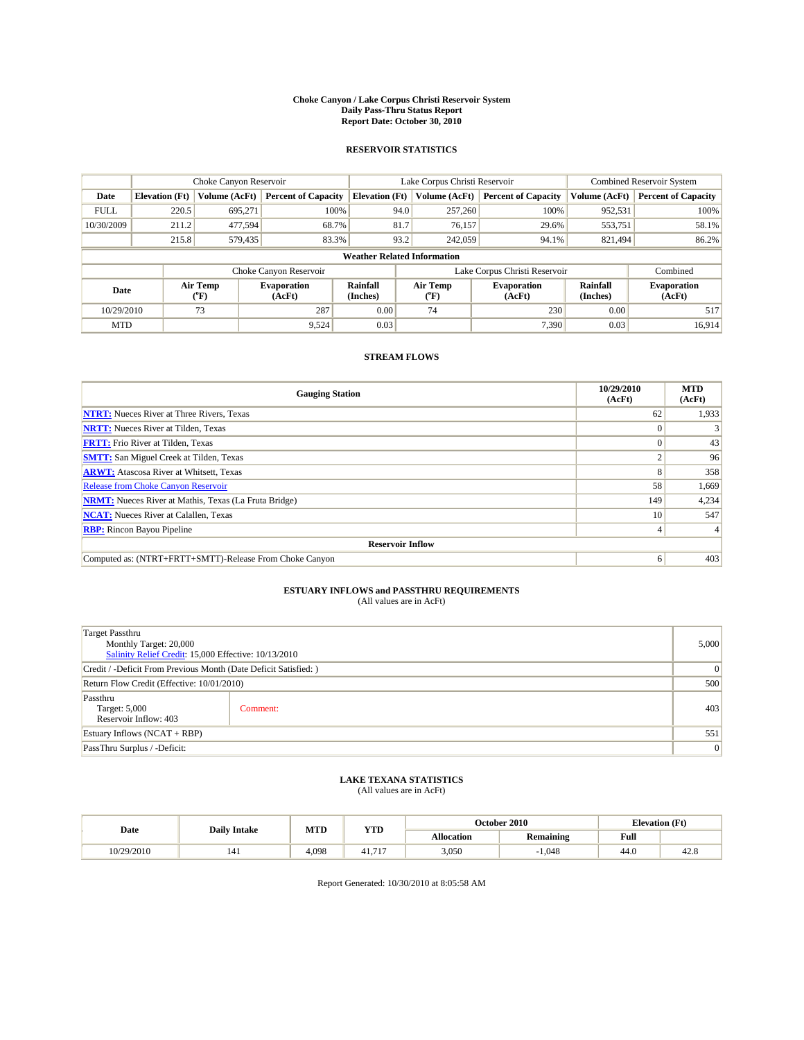#### **Choke Canyon / Lake Corpus Christi Reservoir System Daily Pass-Thru Status Report Report Date: October 30, 2010**

## **RESERVOIR STATISTICS**

|                          | Choke Canyon Reservoir |                              |                             |                           | Lake Corpus Christi Reservoir      | Combined Reservoir System  |                              |                            |
|--------------------------|------------------------|------------------------------|-----------------------------|---------------------------|------------------------------------|----------------------------|------------------------------|----------------------------|
| Date                     | <b>Elevation</b> (Ft)  | Volume (AcFt)                | <b>Percent of Capacity</b>  | <b>Elevation</b> (Ft)     | Volume (AcFt)                      | <b>Percent of Capacity</b> | Volume (AcFt)                | <b>Percent of Capacity</b> |
| <b>FULL</b>              | 220.5                  | 695,271                      | 100%                        |                           | 94.0<br>257,260                    | 100%                       | 952,531                      | 100%                       |
| 10/30/2009               | 211.2                  | 477,594                      | 68.7%                       | 81.7                      | 76,157                             | 29.6%                      | 553,751                      | 58.1%                      |
|                          | 215.8                  | 579,435                      | 83.3%                       |                           | 93.2<br>242,059                    | 94.1%                      | 821,494                      | 86.2%                      |
|                          |                        |                              |                             |                           | <b>Weather Related Information</b> |                            |                              |                            |
|                          |                        |                              | Choke Canyon Reservoir      |                           | Lake Corpus Christi Reservoir      |                            |                              | Combined                   |
| Air Temp<br>Date<br>(°F) |                        | <b>Evaporation</b><br>(AcFt) | <b>Rainfall</b><br>(Inches) | Air Temp<br>$(^{\circ}F)$ | <b>Evaporation</b><br>(AcFt)       | Rainfall<br>(Inches)       | <b>Evaporation</b><br>(AcFt) |                            |
| 10/29/2010               |                        | 73                           | 287                         | 0.00                      | 74                                 | 230                        | 0.00                         | 517                        |
| <b>MTD</b>               |                        |                              | 9,524                       | 0.03                      |                                    | 7,390                      | 0.03                         | 16.914                     |

## **STREAM FLOWS**

| <b>Gauging Station</b>                                       | 10/29/2010<br>(AcFt) | <b>MTD</b><br>(AcFt) |  |  |  |  |  |
|--------------------------------------------------------------|----------------------|----------------------|--|--|--|--|--|
| <b>NTRT:</b> Nueces River at Three Rivers, Texas             | 62                   | 1,933                |  |  |  |  |  |
| <b>NRTT:</b> Nueces River at Tilden, Texas                   |                      |                      |  |  |  |  |  |
| <b>FRTT:</b> Frio River at Tilden, Texas                     |                      | 43                   |  |  |  |  |  |
| <b>SMTT:</b> San Miguel Creek at Tilden, Texas               |                      | 96                   |  |  |  |  |  |
| <b>ARWT:</b> Atascosa River at Whitsett, Texas               | ð.                   | 358                  |  |  |  |  |  |
| <b>Release from Choke Canyon Reservoir</b>                   | 58                   | 1,669                |  |  |  |  |  |
| <b>NRMT:</b> Nueces River at Mathis, Texas (La Fruta Bridge) | 149                  | 4,234                |  |  |  |  |  |
| <b>NCAT:</b> Nueces River at Calallen, Texas                 | 10                   | 547                  |  |  |  |  |  |
| <b>RBP:</b> Rincon Bayou Pipeline                            | 4.                   |                      |  |  |  |  |  |
| <b>Reservoir Inflow</b>                                      |                      |                      |  |  |  |  |  |
| Computed as: (NTRT+FRTT+SMTT)-Release From Choke Canyon      | 6                    | 403                  |  |  |  |  |  |

# **ESTUARY INFLOWS and PASSTHRU REQUIREMENTS**

|  | (All values are in AcFt) |
|--|--------------------------|
|--|--------------------------|

| <b>Target Passthru</b><br>Monthly Target: 20,000<br>Salinity Relief Credit: 15,000 Effective: 10/13/2010 |          |     |  |  |
|----------------------------------------------------------------------------------------------------------|----------|-----|--|--|
| Credit / -Deficit From Previous Month (Date Deficit Satisfied: )                                         |          |     |  |  |
| Return Flow Credit (Effective: 10/01/2010)                                                               |          |     |  |  |
| Passthru<br>Target: 5,000<br>Reservoir Inflow: 403                                                       | Comment: | 403 |  |  |
| Estuary Inflows (NCAT + RBP)                                                                             |          |     |  |  |
| PassThru Surplus / -Deficit:                                                                             |          |     |  |  |

## **LAKE TEXANA STATISTICS** (All values are in AcFt)

|            | <b>Daily Intake</b> | <b>MTD</b> | YTD    | October 2010      | <b>Elevation</b> (Ft) |      |      |
|------------|---------------------|------------|--------|-------------------|-----------------------|------|------|
| Date       |                     |            |        | <b>Allocation</b> | <b>Remaining</b>      | Full |      |
| 10/29/2010 | 141                 | 4.098      | 41.717 | 3.050             | 1.048                 | 44.0 | 42.6 |

Report Generated: 10/30/2010 at 8:05:58 AM